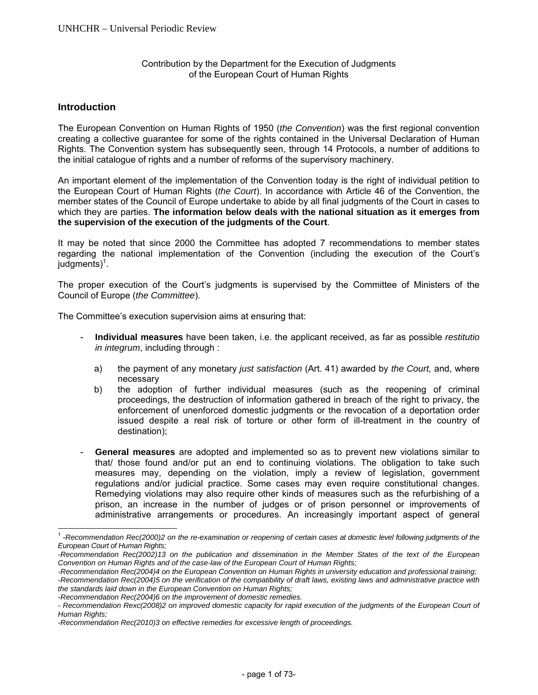# Contribution by the Department for the Execution of Judgments of the European Court of Human Rights

# **Introduction**

l

The European Convention on Human Rights of 1950 (*the Convention*) was the first regional convention creating a collective guarantee for some of the rights contained in the Universal Declaration of Human Rights. The Convention system has subsequently seen, through 14 Protocols, a number of additions to the initial catalogue of rights and a number of reforms of the supervisory machinery.

An important element of the implementation of the Convention today is the right of individual petition to the European Court of Human Rights (*the Court*). In accordance with Article 46 of the Convention, the member states of the Council of Europe undertake to abide by all final judgments of the Court in cases to which they are parties. **The information below deals with the national situation as it emerges from the supervision of the execution of the judgments of the Court**.

It may be noted that since 2000 the Committee has adopted 7 recommendations to member states regarding the national implementation of the Convention (including the execution of the Court's judgments)<sup>1</sup>.

The proper execution of the Court's judgments is supervised by the Committee of Ministers of the Council of Europe (*the Committee*).

The Committee's execution supervision aims at ensuring that:

- **Individual measures** have been taken, i.e. the applicant received, as far as possible *restitutio in integrum*, including through :
	- a) the payment of any monetary *just satisfaction* (Art. 41) awarded by *the Court,* and, where necessary
	- b) the adoption of further individual measures (such as the reopening of criminal proceedings, the destruction of information gathered in breach of the right to privacy, the enforcement of unenforced domestic judgments or the revocation of a deportation order issued despite a real risk of torture or other form of ill-treatment in the country of destination);
- General measures are adopted and implemented so as to prevent new violations similar to that/ those found and/or put an end to continuing violations. The obligation to take such measures may, depending on the violation, imply a review of legislation, government regulations and/or judicial practice. Some cases may even require constitutional changes. Remedying violations may also require other kinds of measures such as the refurbishing of a prison, an increase in the number of judges or of prison personnel or improvements of administrative arrangements or procedures. An increasingly important aspect of general

<sup>1</sup> -*Recommendation Rec(2000)2 on the re-examination or reopening of certain cases at domestic level following judgments of the European Court of Human Rights;* 

*<sup>-</sup>Recommendation Rec(2002)13 on the publication and dissemination in the Member States of the text of the European Convention on Human Rights and of the case-law of the European Court of Human Rights;* 

*<sup>-</sup>Recommendation Rec(2004)4 on the European Convention on Human Rights in university education and professional training;* 

*<sup>-</sup>Recommendation Rec(2004)5 on the verification of the compatibility of draft laws, existing laws and administrative practice with the standards laid down in the European Convention on Human Rights;* 

*<sup>-</sup>Recommendation Rec(2004)6 on the improvement of domestic remedies.* 

<sup>-</sup> Recommendation Rexc(2008)2 on improved domestic capacity for rapid execution of the judgments of the European Court of *Human Rights;* 

*<sup>-</sup>Recommendation Rec(2010)3 on effective remedies for excessive length of proceedings.*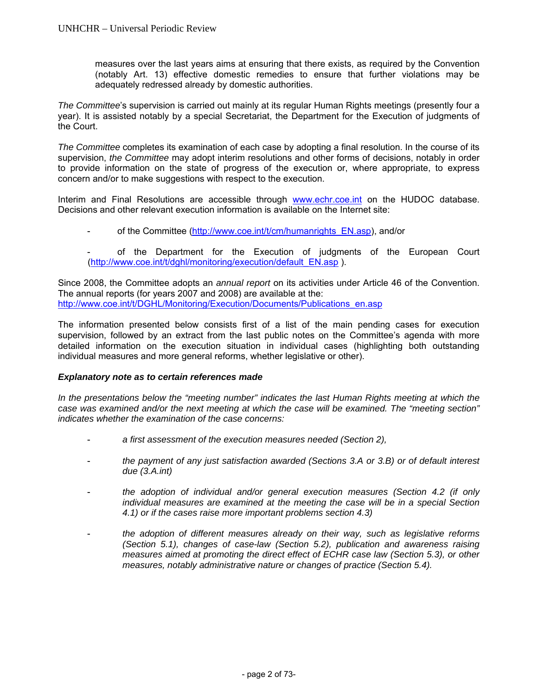measures over the last years aims at ensuring that there exists, as required by the Convention (notably Art. 13) effective domestic remedies to ensure that further violations may be adequately redressed already by domestic authorities.

*The Committee*'s supervision is carried out mainly at its regular Human Rights meetings (presently four a year). It is assisted notably by a special Secretariat, the Department for the Execution of judgments of the Court.

*The Committee* completes its examination of each case by adopting a final resolution. In the course of its supervision, *the Committee* may adopt interim resolutions and other forms of decisions, notably in order to provide information on the state of progress of the execution or, where appropriate, to express concern and/or to make suggestions with respect to the execution.

Interim and Final Resolutions are accessible through www.echr.coe.int on the HUDOC database. Decisions and other relevant execution information is available on the Internet site:

- of the Committee (http://www.coe.int/t/cm/humanrights\_EN.asp), and/or
- of the Department for the Execution of judgments of the European Court (http://www.coe.int/t/dghl/monitoring/execution/default\_EN.asp ).

Since 2008, the Committee adopts an *annual report* on its activities under Article 46 of the Convention. The annual reports (for years 2007 and 2008) are available at the: http://www.coe.int/t/DGHL/Monitoring/Execution/Documents/Publications\_en.asp

The information presented below consists first of a list of the main pending cases for execution supervision, followed by an extract from the last public notes on the Committee's agenda with more detailed information on the execution situation in individual cases (highlighting both outstanding individual measures and more general reforms, whether legislative or other).

# *Explanatory note as to certain references made*

In the presentations below the "meeting number" indicates the last Human Rights meeting at which the *case was examined and/or the next meeting at which the case will be examined. The "meeting section" indicates whether the examination of the case concerns:* 

- a first assessment of the execution measures needed (Section 2),
- *the payment of any just satisfaction awarded (Sections 3.A or 3.B) or of default interest due (3.A.int)*
- *the adoption of individual and/or general execution measures (Section 4.2 (if only individual measures are examined at the meeting the case will be in a special Section 4.1) or if the cases raise more important problems section 4.3)*
- *the adoption of different measures already on their way, such as legislative reforms (Section 5.1), changes of case-law (Section 5.2), publication and awareness raising measures aimed at promoting the direct effect of ECHR case law (Section 5.3), or other measures, notably administrative nature or changes of practice (Section 5.4).*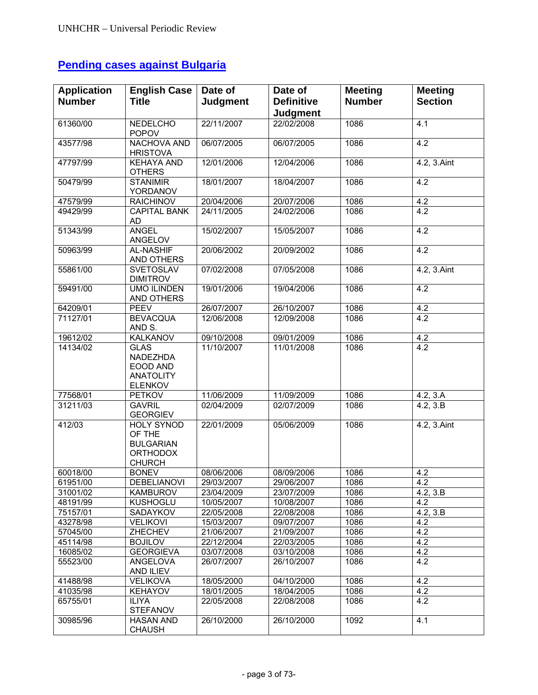# **Pending cases against Bulgaria**

| <b>Application</b> | <b>English Case</b>                                                          | Date of                  | Date of                       | <b>Meeting</b> | <b>Meeting</b>   |
|--------------------|------------------------------------------------------------------------------|--------------------------|-------------------------------|----------------|------------------|
| <b>Number</b>      | <b>Title</b>                                                                 | <b>Judgment</b>          | <b>Definitive</b>             | <b>Number</b>  | <b>Section</b>   |
| 61360/00           | <b>NEDELCHO</b>                                                              | 22/11/2007               | <b>Judgment</b><br>22/02/2008 | 1086           | $\overline{4.1}$ |
|                    | <b>POPOV</b>                                                                 |                          |                               |                |                  |
| 43577/98           | <b>NACHOVA AND</b><br><b>HRISTOVA</b>                                        | 06/07/2005               | 06/07/2005                    | 1086           | 4.2              |
| 47797/99           | <b>KEHAYA AND</b><br><b>OTHERS</b>                                           | 12/01/2006               | 12/04/2006                    | 1086           | 4.2, 3.Aint      |
| 50479/99           | <b>STANIMIR</b><br>YORDANOV                                                  | 18/01/2007               | 18/04/2007                    | 1086           | 4.2              |
| 47579/99           | <b>RAICHINOV</b>                                                             | 20/04/2006               | 20/07/2006                    | 1086           | 4.2              |
| 49429/99           | <b>CAPITAL BANK</b><br>AD                                                    | 24/11/2005               | 24/02/2006                    | 1086           | 4.2              |
| 51343/99           | <b>ANGEL</b><br>ANGELOV                                                      | 15/02/2007               | 15/05/2007                    | 1086           | 4.2              |
| 50963/99           | <b>AL-NASHIF</b><br>AND OTHERS                                               | 20/06/2002               | 20/09/2002                    | 1086           | 4.2              |
| 55861/00           | <b>SVETOSLAV</b><br><b>DIMITROV</b>                                          | 07/02/2008               | 07/05/2008                    | 1086           | 4.2, 3.Aint      |
| 59491/00           | <b>UMO ILINDEN</b><br>AND OTHERS                                             | 19/01/2006               | 19/04/2006                    | 1086           | 4.2              |
| 64209/01           | <b>PEEV</b>                                                                  | 26/07/2007               | 26/10/2007                    | 1086           | 4.2              |
| 71127/01           | <b>BEVACQUA</b><br>AND S.                                                    | 12/06/2008               | 12/09/2008                    | 1086           | 4.2              |
| 19612/02           | <b>KALKANOV</b>                                                              | 09/10/2008               | 09/01/2009                    | 1086           | 4.2              |
| 14134/02           | <b>GLAS</b><br>NADEZHDA<br>EOOD AND<br><b>ANATOLITY</b><br><b>ELENKOV</b>    | 11/10/2007               | 11/01/2008                    | 1086           | 4.2              |
| 77568/01           | <b>PETKOV</b>                                                                | 11/06/2009               | 11/09/2009                    | 1086           | 4.2, 3.A         |
| 31211/03           | <b>GAVRIL</b><br><b>GEORGIEV</b>                                             | 02/04/2009               | 02/07/2009                    | 1086           | 4.2, 3.B         |
| 412/03             | HOLY SYNOD<br>OF THE<br><b>BULGARIAN</b><br><b>ORTHODOX</b><br><b>CHURCH</b> | 22/01/2009               | 05/06/2009                    | 1086           | 4.2, 3.Aint      |
| 60018/00           | <b>BONEV</b>                                                                 | 08/06/2006               | 08/09/2006                    | 1086           | 4.2              |
| 61951/00           | <b>DEBELIANOVI</b>                                                           | 29/03/2007               | 29/06/2007                    | 1086           | 4.2              |
| 31001/02           | <b>KAMBUROV</b>                                                              | 23/04/2009               | 23/07/2009                    | 1086           | 4.2, 3.B         |
| 48191/99           | <b>KUSHOGLU</b>                                                              | 10/05/2007               | 10/08/2007                    | 1086           | 4.2              |
| 75157/01           | SADAYKOV                                                                     | 22/05/2008               | 22/08/2008                    | 1086           | 4.2, 3.B         |
| 43278/98           | <b>VELIKOVI</b>                                                              | 15/03/2007               | 09/07/2007                    | 1086           | 4.2              |
| 57045/00           | ZHECHEV                                                                      | 21/06/2007               | 21/09/2007                    | 1086           | 4.2              |
| 45114/98           | <b>BOJILOV</b>                                                               | 22/12/2004               | 22/03/2005                    | 1086           | 4.2              |
| 16085/02           | <b>GEORGIEVA</b><br>ANGELOVA                                                 | 03/07/2008<br>26/07/2007 | 03/10/2008<br>26/10/2007      | 1086<br>1086   | 4.2<br>4.2       |
| 55523/00           | AND ILIEV                                                                    |                          |                               |                |                  |
| 41488/98           | <b>VELIKOVA</b>                                                              | 18/05/2000               | 04/10/2000                    | 1086           | 4.2              |
| 41035/98           | <b>KEHAYOV</b>                                                               | 18/01/2005               | 18/04/2005                    | 1086           | 4.2              |
| 65755/01           | <b>ILIYA</b><br><b>STEFANOV</b>                                              | 22/05/2008               | 22/08/2008                    | 1086           | 4.2              |
| 30985/96           | <b>HASAN AND</b><br><b>CHAUSH</b>                                            | 26/10/2000               | 26/10/2000                    | 1092           | 4.1              |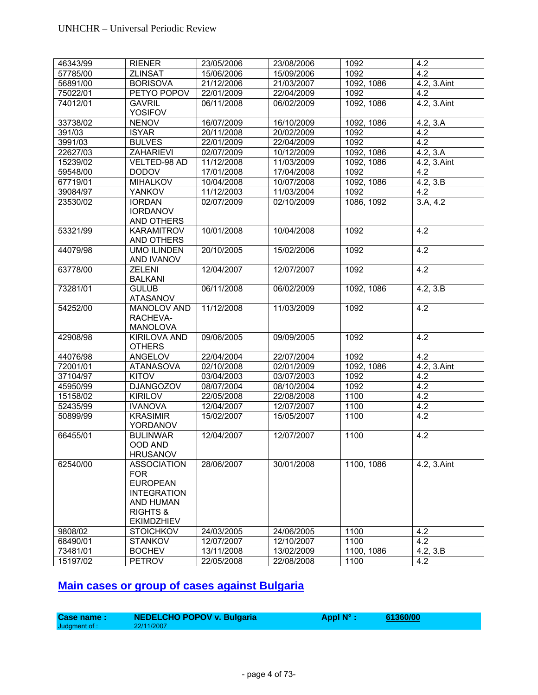| 46343/99 | <b>RIENER</b>               | 23/05/2006 | 23/08/2006 | 1092       | 4.2                    |
|----------|-----------------------------|------------|------------|------------|------------------------|
| 57785/00 | <b>ZLINSAT</b>              | 15/06/2006 | 15/09/2006 | 1092       | 4.2                    |
| 56891/00 | <b>BORISOVA</b>             | 21/12/2006 | 21/03/2007 | 1092, 1086 | 4.2, 3.Aint            |
| 75022/01 | PETYO POPOV                 | 22/01/2009 | 22/04/2009 | 1092       | 4.2                    |
| 74012/01 | <b>GAVRIL</b>               | 06/11/2008 | 06/02/2009 | 1092, 1086 | 4.2, 3.Aint            |
|          | <b>YOSIFOV</b>              |            |            |            |                        |
| 33738/02 | <b>NENOV</b>                | 16/07/2009 | 16/10/2009 | 1092, 1086 | $\overline{4.2}$ , 3.A |
| 391/03   | <b>ISYAR</b>                | 20/11/2008 | 20/02/2009 | 1092       | 4.2                    |
| 3991/03  | <b>BULVES</b>               | 22/01/2009 | 22/04/2009 | 1092       | 4.2                    |
| 22627/03 | <b>ZAHARIEVI</b>            | 02/07/2009 | 10/12/2009 | 1092, 1086 | 4.2, 3.A               |
| 15239/02 | VELTED-98 AD                | 11/12/2008 | 11/03/2009 | 1092, 1086 | 4.2, 3.Aint            |
| 59548/00 | <b>DODOV</b>                | 17/01/2008 | 17/04/2008 | 1092       | 4.2                    |
| 67719/01 | <b>MIHALKOV</b>             | 10/04/2008 | 10/07/2008 | 1092, 1086 | 4.2, 3.B               |
| 39084/97 | <b>YANKOV</b>               | 11/12/2003 | 11/03/2004 | 1092       | 4.2                    |
| 23530/02 | <b>IORDAN</b>               | 02/07/2009 | 02/10/2009 | 1086, 1092 | $3.\overline{A, 4.2}$  |
|          | <b>IORDANOV</b>             |            |            |            |                        |
|          | AND OTHERS                  |            |            |            |                        |
| 53321/99 | KARAMITROV                  | 10/01/2008 | 10/04/2008 | 1092       | 4.2                    |
|          | AND OTHERS                  |            |            |            |                        |
| 44079/98 | <b>UMO ILINDEN</b>          | 20/10/2005 | 15/02/2006 | 1092       | $\overline{4.2}$       |
|          | AND IVANOV                  |            |            |            |                        |
| 63778/00 | <b>ZELENI</b>               | 12/04/2007 | 12/07/2007 | 1092       | 4.2                    |
|          | <b>BALKANI</b>              |            |            |            |                        |
| 73281/01 | <b>GULUB</b>                | 06/11/2008 | 06/02/2009 | 1092, 1086 | 4.2, 3.B               |
|          | <b>ATASANOV</b>             |            |            |            |                        |
| 54252/00 | <b>MANOLOV AND</b>          | 11/12/2008 | 11/03/2009 | 1092       | 4.2                    |
|          | RACHEVA-                    |            |            |            |                        |
|          | <b>MANOLOVA</b>             |            |            |            |                        |
| 42908/98 | <b>KIRILOVA AND</b>         | 09/06/2005 | 09/09/2005 | 1092       | 4.2                    |
|          | <b>OTHERS</b>               |            |            |            |                        |
| 44076/98 | ANGELOV                     | 22/04/2004 | 22/07/2004 | 1092       | 4.2                    |
| 72001/01 | <b>ATANASOVA</b>            | 02/10/2008 | 02/01/2009 | 1092, 1086 | 4.2, 3.Aint            |
| 37104/97 | KITOV                       | 03/04/2003 | 03/07/2003 | 1092       | 4.2                    |
| 45950/99 | <b>DJANGOZOV</b>            | 08/07/2004 | 08/10/2004 | 1092       | 4.2                    |
| 15158/02 | <b>KIRILOV</b>              | 22/05/2008 | 22/08/2008 | 1100       | 4.2                    |
| 52435/99 | <b>IVANOVA</b>              | 12/04/2007 | 12/07/2007 | 1100       | 4.2                    |
| 50899/99 | <b>KRASIMIR</b><br>YORDANOV | 15/02/2007 | 15/05/2007 | 1100       | 4.2                    |
| 66455/01 | <b>BULINWAR</b>             | 12/04/2007 | 12/07/2007 | 1100       | 4.2                    |
|          | OOD AND                     |            |            |            |                        |
|          | <b>HRUSANOV</b>             |            |            |            |                        |
| 62540/00 | <b>ASSOCIATION</b>          | 28/06/2007 | 30/01/2008 | 1100, 1086 | 4.2, 3.Aint            |
|          | <b>FOR</b>                  |            |            |            |                        |
|          | <b>EUROPEAN</b>             |            |            |            |                        |
|          | <b>INTEGRATION</b>          |            |            |            |                        |
|          | <b>AND HUMAN</b>            |            |            |            |                        |
|          | <b>RIGHTS &amp;</b>         |            |            |            |                        |
|          | <b>EKIMDZHIEV</b>           |            |            |            |                        |
| 9808/02  | <b>STOICHKOV</b>            | 24/03/2005 | 24/06/2005 | 1100       | 4.2                    |
| 68490/01 | <b>STANKOV</b>              | 12/07/2007 | 12/10/2007 | 1100       | 4.2                    |
| 73481/01 | <b>BOCHEV</b>               | 13/11/2008 | 13/02/2009 | 1100, 1086 | 4.2, 3.B               |
| 15197/02 | <b>PETROV</b>               | 22/05/2008 | 22/08/2008 | 1100       | 4.2                    |

# **Main cases or group of cases against Bulgaria**

| <b>Case name :</b> | <b>NEDELCHO POPOV v. Bulgaria</b> | Appl $N^{\circ}$ : | 61360/00 |
|--------------------|-----------------------------------|--------------------|----------|
| Judgment of :      | 22/11/2007                        |                    |          |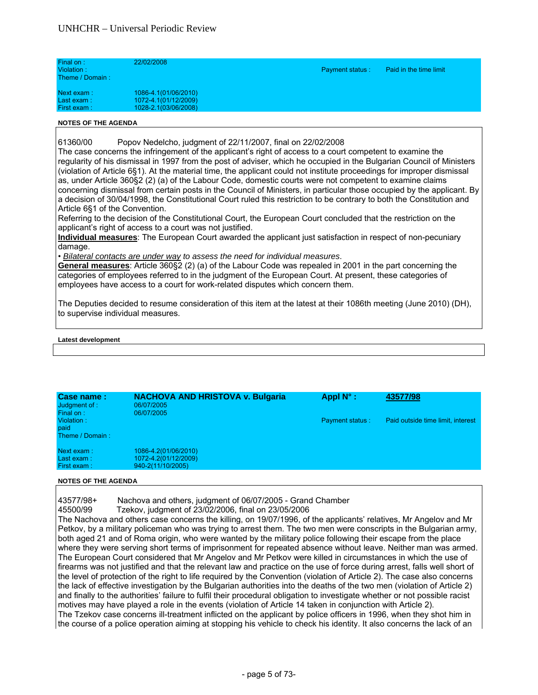| Final on:<br>Violation:<br>Theme / Domain: | 22/02/2008                                                           | <b>Payment status:</b> | Paid in the time limit |  |
|--------------------------------------------|----------------------------------------------------------------------|------------------------|------------------------|--|
| Next exam:<br>Last exam:<br>First exam:    | 1086-4.1(01/06/2010)<br>1072-4.1(01/12/2009)<br>1028-2.1(03/06/2008) |                        |                        |  |

61360/00 Popov Nedelcho, judgment of 22/11/2007, final on 22/02/2008

The case concerns the infringement of the applicant's right of access to a court competent to examine the regularity of his dismissal in 1997 from the post of adviser, which he occupied in the Bulgarian Council of Ministers (violation of Article 6§1). At the material time, the applicant could not institute proceedings for improper dismissal as, under Article 360§2 (2) (a) of the Labour Code, domestic courts were not competent to examine claims concerning dismissal from certain posts in the Council of Ministers, in particular those occupied by the applicant. By a decision of 30/04/1998, the Constitutional Court ruled this restriction to be contrary to both the Constitution and Article 6§1 of the Convention.

Referring to the decision of the Constitutional Court, the European Court concluded that the restriction on the applicant's right of access to a court was not justified.

**Individual measures**: The European Court awarded the applicant just satisfaction in respect of non-pecuniary damage.

• *Bilateral contacts are under way to assess the need for individual measures*.

**General measures**: Article 360§2 (2) (a) of the Labour Code was repealed in 2001 in the part concerning the categories of employees referred to in the judgment of the European Court. At present, these categories of employees have access to a court for work-related disputes which concern them.

The Deputies decided to resume consideration of this item at the latest at their 1086th meeting (June 2010) (DH), to supervise individual measures.

#### **Latest development**

| Case name:<br>Judgment of:<br>Final on: | <b>NACHOVA AND HRISTOVA v. Bulgaria</b><br>06/07/2005<br>06/07/2005 | Appl $N^{\circ}$ :     | 43577/98                          |
|-----------------------------------------|---------------------------------------------------------------------|------------------------|-----------------------------------|
| Violation:<br>paid<br>Theme / Domain:   |                                                                     | <b>Payment status:</b> | Paid outside time limit, interest |
| Next exam:<br>Last exam:<br>First exam: | 1086-4.2(01/06/2010)<br>1072-4.2(01/12/2009)<br>940-2(11/10/2005)   |                        |                                   |

#### **NOTES OF THE AGENDA**

43577/98+ Nachova and others, judgment of 06/07/2005 - Grand Chamber

45500/99 Tzekov, judgment of 23/02/2006, final on 23/05/2006

The Nachova and others case concerns the killing, on 19/07/1996, of the applicants' relatives, Mr Angelov and Mr Petkov, by a military policeman who was trying to arrest them. The two men were conscripts in the Bulgarian army, both aged 21 and of Roma origin, who were wanted by the military police following their escape from the place where they were serving short terms of imprisonment for repeated absence without leave. Neither man was armed. The European Court considered that Mr Angelov and Mr Petkov were killed in circumstances in which the use of firearms was not justified and that the relevant law and practice on the use of force during arrest, falls well short of the level of protection of the right to life required by the Convention (violation of Article 2). The case also concerns the lack of effective investigation by the Bulgarian authorities into the deaths of the two men (violation of Article 2) and finally to the authorities' failure to fulfil their procedural obligation to investigate whether or not possible racist motives may have played a role in the events (violation of Article 14 taken in conjunction with Article 2). The Tzekov case concerns ill-treatment inflicted on the applicant by police officers in 1996, when they shot him in the course of a police operation aiming at stopping his vehicle to check his identity. It also concerns the lack of an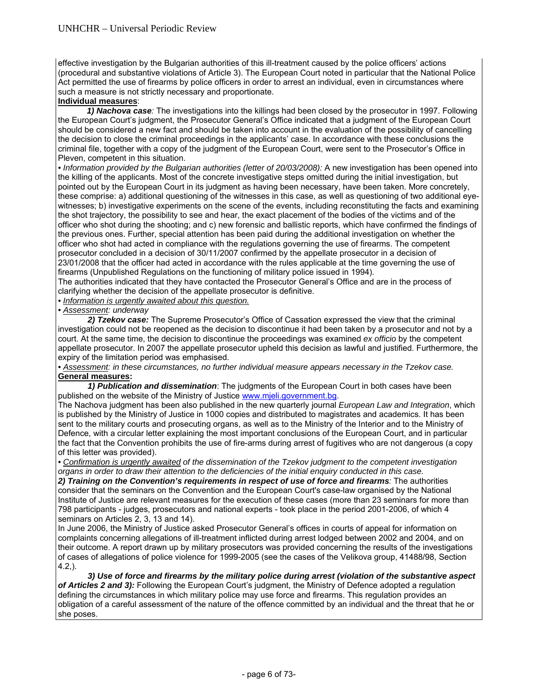effective investigation by the Bulgarian authorities of this ill-treatment caused by the police officers' actions (procedural and substantive violations of Article 3). The European Court noted in particular that the National Police Act permitted the use of firearms by police officers in order to arrest an individual, even in circumstances where such a measure is not strictly necessary and proportionate.

# **Individual measures**:

*1) Nachova case:* The investigations into the killings had been closed by the prosecutor in 1997. Following the European Court's judgment, the Prosecutor General's Office indicated that a judgment of the European Court should be considered a new fact and should be taken into account in the evaluation of the possibility of cancelling the decision to close the criminal proceedings in the applicants' case. In accordance with these conclusions the criminal file, together with a copy of the judgment of the European Court, were sent to the Prosecutor's Office in Pleven, competent in this situation.

• Information provided by the Bulgarian authorities (letter of 20/03/2008): A new investigation has been opened into the killing of the applicants. Most of the concrete investigative steps omitted during the initial investigation, but pointed out by the European Court in its judgment as having been necessary, have been taken. More concretely, these comprise: a) additional questioning of the witnesses in this case, as well as questioning of two additional eyewitnesses; b) investigative experiments on the scene of the events, including reconstituting the facts and examining the shot trajectory, the possibility to see and hear, the exact placement of the bodies of the victims and of the officer who shot during the shooting; and c) new forensic and ballistic reports, which have confirmed the findings of the previous ones. Further, special attention has been paid during the additional investigation on whether the officer who shot had acted in compliance with the regulations governing the use of firearms. The competent prosecutor concluded in a decision of 30/11/2007 confirmed by the appellate prosecutor in a decision of 23/01/2008 that the officer had acted in accordance with the rules applicable at the time governing the use of firearms (Unpublished Regulations on the functioning of military police issued in 1994).

The authorities indicated that they have contacted the Prosecutor General's Office and are in the process of clarifying whether the decision of the appellate prosecutor is definitive.

*• Information is urgently awaited about this question.*

*• Assessment: underway* 

*2) Tzekov case:* The Supreme Prosecutor's Office of Cassation expressed the view that the criminal investigation could not be reopened as the decision to discontinue it had been taken by a prosecutor and not by a court. At the same time, the decision to discontinue the proceedings was examined *ex officio* by the competent appellate prosecutor. In 2007 the appellate prosecutor upheld this decision as lawful and justified. Furthermore, the expiry of the limitation period was emphasised.

*• Assessment: in these circumstances, no further individual measure appears necessary in the Tzekov case.*  **General measures:** 

 *1) Publication and dissemination*: The judgments of the European Court in both cases have been published on the website of the Ministry of Justice www.mjeli.government.bg.

The Nachova judgment has been also published in the new quarterly journal *European Law and Integration*, which is published by the Ministry of Justice in 1000 copies and distributed to magistrates and academics. It has been sent to the military courts and prosecuting organs, as well as to the Ministry of the Interior and to the Ministry of Defence, with a circular letter explaining the most important conclusions of the European Court, and in particular the fact that the Convention prohibits the use of fire-arms during arrest of fugitives who are not dangerous (a copy of this letter was provided).

*• Confirmation is urgently awaited of the dissemination of the Tzekov judgment to the competent investigation organs in order to draw their attention to the deficiencies of the initial enquiry conducted in this case.* 

*2) Training on the Convention's requirements in respect of use of force and firearms:* The authorities consider that the seminars on the Convention and the European Court's case-law organised by the National Institute of Justice are relevant measures for the execution of these cases (more than 23 seminars for more than 798 participants - judges, prosecutors and national experts - took place in the period 2001-2006, of which 4 seminars on Articles 2, 3, 13 and 14).

In June 2006, the Ministry of Justice asked Prosecutor General's offices in courts of appeal for information on complaints concerning allegations of ill-treatment inflicted during arrest lodged between 2002 and 2004, and on their outcome. A report drawn up by military prosecutors was provided concerning the results of the investigations of cases of allegations of police violence for 1999-2005 (see the cases of the Velikova group, 41488/98, Section 4.2,).

 *3) Use of force and firearms by the military police during arrest (violation of the substantive aspect of Articles 2 and 3):* Following the European Court's judgment, the Ministry of Defence adopted a regulation defining the circumstances in which military police may use force and firearms. This regulation provides an obligation of a careful assessment of the nature of the offence committed by an individual and the threat that he or she poses.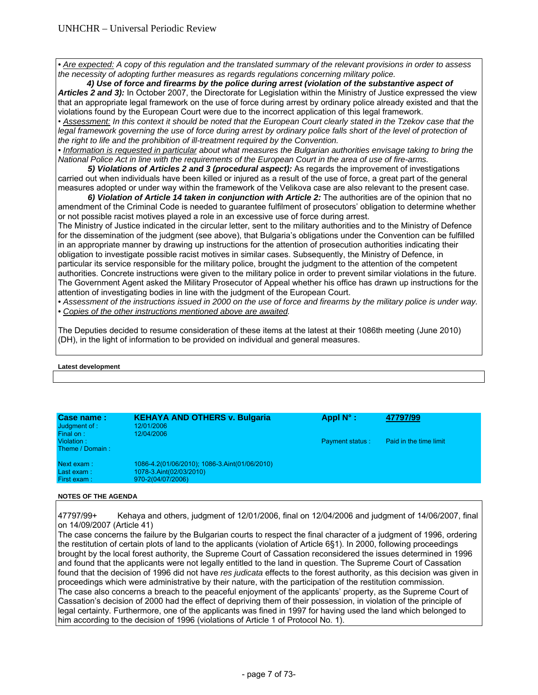*• Are expected: A copy of this regulation and the translated summary of the relevant provisions in order to assess the necessity of adopting further measures as regards regulations concerning military police.* 

 *4) Use of force and firearms by the police during arrest (violation of the substantive aspect of Articles 2 and 3):* In October 2007, the Directorate for Legislation within the Ministry of Justice expressed the view that an appropriate legal framework on the use of force during arrest by ordinary police already existed and that the violations found by the European Court were due to the incorrect application of this legal framework.

• *Assessment: In this context it should be noted that the European Court clearly stated in the Tzekov case that the legal framework governing the use of force during arrest by ordinary police falls short of the level of protection of the right to life and the prohibition of ill-treatment required by the Convention.* 

*• Information is requested in particular about what measures the Bulgarian authorities envisage taking to bring the National Police Act in line with the requirements of the European Court in the area of use of fire-arms.*

 *5) Violations of Articles 2 and 3 (procedural aspect):* As regards the improvement of investigations carried out when individuals have been killed or injured as a result of the use of force, a great part of the general measures adopted or under way within the framework of the Velikova case are also relevant to the present case.

 *6) Violation of Article 14 taken in conjunction with Article 2:* The authorities are of the opinion that no amendment of the Criminal Code is needed to guarantee fulfilment of prosecutors' obligation to determine whether or not possible racist motives played a role in an excessive use of force during arrest.

The Ministry of Justice indicated in the circular letter, sent to the military authorities and to the Ministry of Defence for the dissemination of the judgment (see above), that Bulgaria's obligations under the Convention can be fulfilled in an appropriate manner by drawing up instructions for the attention of prosecution authorities indicating their obligation to investigate possible racist motives in similar cases. Subsequently, the Ministry of Defence, in particular its service responsible for the military police, brought the judgment to the attention of the competent authorities. Concrete instructions were given to the military police in order to prevent similar violations in the future. The Government Agent asked the Military Prosecutor of Appeal whether his office has drawn up instructions for the attention of investigating bodies in line with the judgment of the European Court.

*• Assessment of the instructions issued in 2000 on the use of force and firearms by the military police is under way. • Copies of the other instructions mentioned above are awaited.* 

The Deputies decided to resume consideration of these items at the latest at their 1086th meeting (June 2010) (DH), in the light of information to be provided on individual and general measures.

#### **Latest development**

| Case name:<br>Judgment of :<br>Final on: | <b>KEHAYA AND OTHERS v. Bulgaria</b><br>12/01/2006<br>12/04/2006                              | Appl $N^{\circ}$ :     | 47797/99               |
|------------------------------------------|-----------------------------------------------------------------------------------------------|------------------------|------------------------|
| Violation:<br>Theme / Domain:            |                                                                                               | <b>Payment status:</b> | Paid in the time limit |
| Next exam:<br>Last exam:<br>First exam:  | 1086-4.2(01/06/2010); 1086-3.Aint(01/06/2010)<br>1078-3.Aint(02/03/2010)<br>970-2(04/07/2006) |                        |                        |

#### **NOTES OF THE AGENDA**

47797/99+ Kehaya and others, judgment of 12/01/2006, final on 12/04/2006 and judgment of 14/06/2007, final on 14/09/2007 (Article 41)

The case concerns the failure by the Bulgarian courts to respect the final character of a judgment of 1996, ordering the restitution of certain plots of land to the applicants (violation of Article 6§1). In 2000, following proceedings brought by the local forest authority, the Supreme Court of Cassation reconsidered the issues determined in 1996 and found that the applicants were not legally entitled to the land in question. The Supreme Court of Cassation found that the decision of 1996 did not have *res judicata* effects to the forest authority, as this decision was given in proceedings which were administrative by their nature, with the participation of the restitution commission. The case also concerns a breach to the peaceful enjoyment of the applicants' property, as the Supreme Court of Cassation's decision of 2000 had the effect of depriving them of their possession, in violation of the principle of legal certainty. Furthermore, one of the applicants was fined in 1997 for having used the land which belonged to him according to the decision of 1996 (violations of Article 1 of Protocol No. 1).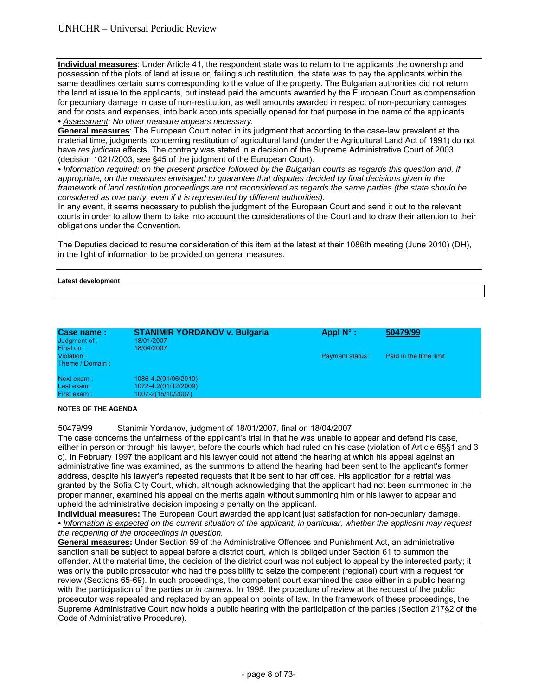**Individual measures**: Under Article 41, the respondent state was to return to the applicants the ownership and possession of the plots of land at issue or, failing such restitution, the state was to pay the applicants within the same deadlines certain sums corresponding to the value of the property. The Bulgarian authorities did not return the land at issue to the applicants, but instead paid the amounts awarded by the European Court as compensation for pecuniary damage in case of non-restitution, as well amounts awarded in respect of non-pecuniary damages and for costs and expenses, into bank accounts specially opened for that purpose in the name of the applicants. *• Assessment: No other measure appears necessary.* 

**General measures**: The European Court noted in its judgment that according to the case-law prevalent at the material time, judgments concerning restitution of agricultural land (under the Agricultural Land Act of 1991) do not have *res judicata* effects. The contrary was stated in a decision of the Supreme Administrative Court of 2003 (decision 1021/2003, see §45 of the judgment of the European Court).

*• Information required: on the present practice followed by the Bulgarian courts as regards this question and, if appropriate, on the measures envisaged to guarantee that disputes decided by final decisions given in the framework of land restitution proceedings are not reconsidered as regards the same parties (the state should be considered as one party, even if it is represented by different authorities).* 

In any event, it seems necessary to publish the judgment of the European Court and send it out to the relevant courts in order to allow them to take into account the considerations of the Court and to draw their attention to their obligations under the Convention.

The Deputies decided to resume consideration of this item at the latest at their 1086th meeting (June 2010) (DH), in the light of information to be provided on general measures.

#### **Latest development**

| Case name:<br>Judgment of :<br>Final on: | <b>STANIMIR YORDANOV v. Bulgaria</b><br>18/01/2007<br>18/04/2007   | Appl $N^{\circ}$ :     | 50479/99               |
|------------------------------------------|--------------------------------------------------------------------|------------------------|------------------------|
| Violation:<br>Theme / Domain:            |                                                                    | <b>Payment status:</b> | Paid in the time limit |
| Next exam:<br>Last exam:<br>First exam:  | 1086-4.2(01/06/2010)<br>1072-4.2(01/12/2009)<br>1007-2(15/10/2007) |                        |                        |

#### **NOTES OF THE AGENDA**

50479/99 Stanimir Yordanov, judgment of 18/01/2007, final on 18/04/2007 The case concerns the unfairness of the applicant's trial in that he was unable to appear and defend his case, either in person or through his lawyer, before the courts which had ruled on his case (violation of Article 6§§1 and 3 c). In February 1997 the applicant and his lawyer could not attend the hearing at which his appeal against an administrative fine was examined, as the summons to attend the hearing had been sent to the applicant's former address, despite his lawyer's repeated requests that it be sent to her offices. His application for a retrial was granted by the Sofia City Court, which, although acknowledging that the applicant had not been summoned in the proper manner, examined his appeal on the merits again without summoning him or his lawyer to appear and upheld the administrative decision imposing a penalty on the applicant.

**Individual measures:** The European Court awarded the applicant just satisfaction for non-pecuniary damage. *• Information is expected on the current situation of the applicant, in particular, whether the applicant may request the reopening of the proceedings in question.* 

**General measures:** Under Section 59 of the Administrative Offences and Punishment Act, an administrative sanction shall be subject to appeal before a district court, which is obliged under Section 61 to summon the offender. At the material time, the decision of the district court was not subject to appeal by the interested party; it was only the public prosecutor who had the possibility to seize the competent (regional) court with a request for review (Sections 65-69). In such proceedings, the competent court examined the case either in a public hearing with the participation of the parties or *in camera*. In 1998, the procedure of review at the request of the public prosecutor was repealed and replaced by an appeal on points of law. In the framework of these proceedings, the Supreme Administrative Court now holds a public hearing with the participation of the parties (Section 217§2 of the Code of Administrative Procedure).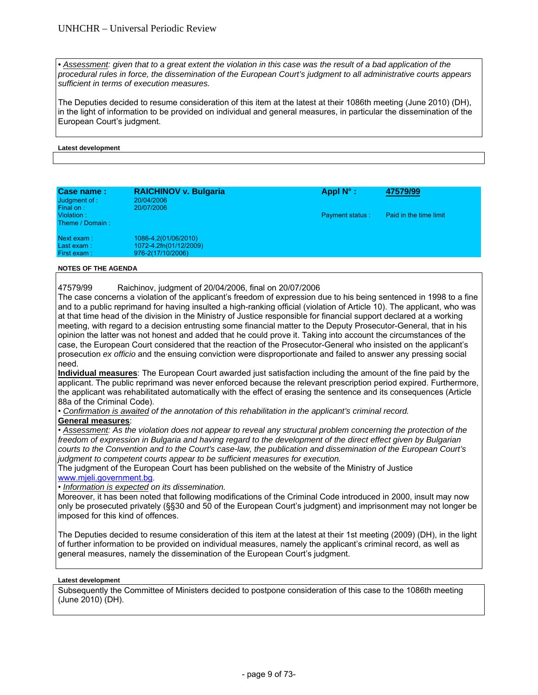**•** Assessment: given that to a great extent the violation in this case was the result of a bad application of the *procedural rules in force, the dissemination of the European Court's judgment to all administrative courts appears sufficient in terms of execution measures.* 

The Deputies decided to resume consideration of this item at the latest at their 1086th meeting (June 2010) (DH), in the light of information to be provided on individual and general measures, in particular the dissemination of the European Court's judgment.

#### **Latest development**

| Case name:<br>Judgment of :<br>Final on: | <b>RAICHINOV v. Bulgaria</b><br>20/04/2006<br>20/07/2006            | Appl $N^{\circ}$ :     | 47579/99               |
|------------------------------------------|---------------------------------------------------------------------|------------------------|------------------------|
| Violation:<br>Theme / Domain:            |                                                                     | <b>Payment status:</b> | Paid in the time limit |
| Next exam:<br>Last exam:<br>First exam:  | 1086-4.2(01/06/2010)<br>1072-4.2fn(01/12/2009)<br>976-2(17/10/2006) |                        |                        |

#### **NOTES OF THE AGENDA**

47579/99 Raichinov, judgment of 20/04/2006, final on 20/07/2006

The case concerns a violation of the applicant's freedom of expression due to his being sentenced in 1998 to a fine and to a public reprimand for having insulted a high-ranking official (violation of Article 10). The applicant, who was at that time head of the division in the Ministry of Justice responsible for financial support declared at a working meeting, with regard to a decision entrusting some financial matter to the Deputy Prosecutor-General, that in his opinion the latter was not honest and added that he could prove it. Taking into account the circumstances of the case, the European Court considered that the reaction of the Prosecutor-General who insisted on the applicant's prosecution *ex officio* and the ensuing conviction were disproportionate and failed to answer any pressing social need.

**Individual measures**: The European Court awarded just satisfaction including the amount of the fine paid by the applicant. The public reprimand was never enforced because the relevant prescription period expired. Furthermore, the applicant was rehabilitated automatically with the effect of erasing the sentence and its consequences (Article 88a of the Criminal Code).

• *Confirmation is awaited of the annotation of this rehabilitation in the applicant's criminal record.* 

#### **General measures**:

• *Assessment: As the violation does not appear to reveal any structural problem concerning the protection of the freedom of expression in Bulgaria and having regard to the development of the direct effect given by Bulgarian courts to the Convention and to the Court's case-law, the publication and dissemination of the European Court's judgment to competent courts appear to be sufficient measures for execution.* 

The judgment of the European Court has been published on the website of the Ministry of Justice www.mjeli.government.bg.

• *Information is expected on its dissemination.*

Moreover, it has been noted that following modifications of the Criminal Code introduced in 2000, insult may now only be prosecuted privately (§§30 and 50 of the European Court's judgment) and imprisonment may not longer be imposed for this kind of offences.

The Deputies decided to resume consideration of this item at the latest at their 1st meeting (2009) (DH), in the light of further information to be provided on individual measures, namely the applicant's criminal record, as well as general measures, namely the dissemination of the European Court's judgment.

#### **Latest development**

Subsequently the Committee of Ministers decided to postpone consideration of this case to the 1086th meeting (June 2010) (DH).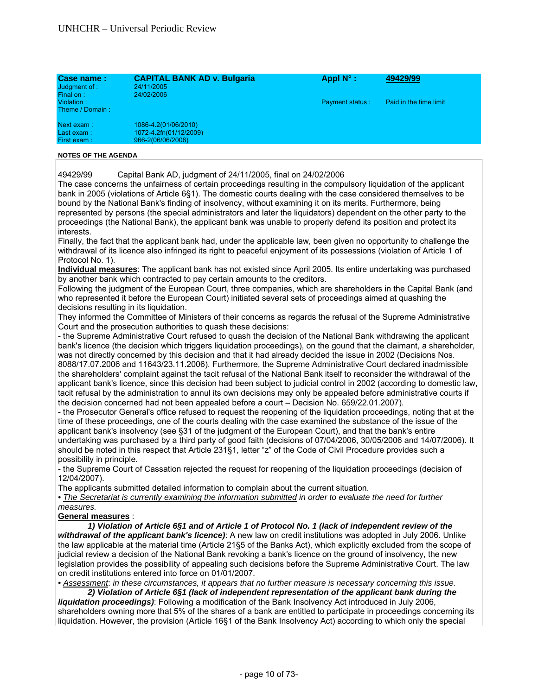| Case name:<br>Judgment of :<br>Final on: | <b>CAPITAL BANK AD v. Bulgaria</b><br>24/11/2005<br>24/02/2006      | Appl N°:               | 49429/99               |
|------------------------------------------|---------------------------------------------------------------------|------------------------|------------------------|
| Violation:<br>Theme / Domain:            |                                                                     | <b>Payment status:</b> | Paid in the time limit |
| Next exam:<br>Last exam:<br>First exam:  | 1086-4.2(01/06/2010)<br>1072-4.2fn(01/12/2009)<br>966-2(06/06/2006) |                        |                        |

49429/99 Capital Bank AD, judgment of 24/11/2005, final on 24/02/2006

The case concerns the unfairness of certain proceedings resulting in the compulsory liquidation of the applicant bank in 2005 (violations of Article 6§1). The domestic courts dealing with the case considered themselves to be bound by the National Bank's finding of insolvency, without examining it on its merits. Furthermore, being represented by persons (the special administrators and later the liquidators) dependent on the other party to the proceedings (the National Bank), the applicant bank was unable to properly defend its position and protect its interests.

Finally, the fact that the applicant bank had, under the applicable law, been given no opportunity to challenge the withdrawal of its licence also infringed its right to peaceful enjoyment of its possessions (violation of Article 1 of Protocol No. 1).

**Individual measures**: The applicant bank has not existed since April 2005. Its entire undertaking was purchased by another bank which contracted to pay certain amounts to the creditors.

Following the judgment of the European Court, three companies, which are shareholders in the Capital Bank (and who represented it before the European Court) initiated several sets of proceedings aimed at quashing the decisions resulting in its liquidation.

They informed the Committee of Ministers of their concerns as regards the refusal of the Supreme Administrative Court and the prosecution authorities to quash these decisions:

- the Supreme Administrative Court refused to quash the decision of the National Bank withdrawing the applicant bank's licence (the decision which triggers liquidation proceedings), on the gound that the claimant, a shareholder, was not directly concerned by this decision and that it had already decided the issue in 2002 (Decisions Nos. 8088/17.07.2006 and 11643/23.11.2006). Furthermore, the Supreme Administrative Court declared inadmissible the shareholders' complaint against the tacit refusal of the National Bank itself to reconsider the withdrawal of the applicant bank's licence, since this decision had been subject to judicial control in 2002 (according to domestic law, tacit refusal by the administration to annul its own decisions may only be appealed before administrative courts if the decision concerned had not been appealed before a court – Decision No. 659/22.01.2007).

- the Prosecutor General's office refused to request the reopening of the liquidation proceedings, noting that at the time of these proceedings, one of the courts dealing with the case examined the substance of the issue of the applicant bank's insolvency (see §31 of the judgment of the European Court), and that the bank's entire undertaking was purchased by a third party of good faith (decisions of 07/04/2006, 30/05/2006 and 14/07/2006). It should be noted in this respect that Article 231§1, letter "z" of the Code of Civil Procedure provides such a possibility in principle.

- the Supreme Court of Cassation rejected the request for reopening of the liquidation proceedings (decision of 12/04/2007).

The applicants submitted detailed information to complain about the current situation.

• The Secretariat is currently examining the information submitted in order to evaluate the need for further *measures.* 

# **General measures** :

 *1) Violation of Article 6§1 and of Article 1 of Protocol No. 1 (lack of independent review of the withdrawal of the applicant bank's licence)*: A new law on credit institutions was adopted in July 2006. Unlike the law applicable at the material time (Article 21§5 of the Banks Act), which explicitly excluded from the scope of judicial review a decision of the National Bank revoking a bank's licence on the ground of insolvency, the new legislation provides the possibility of appealing such decisions before the Supreme Administrative Court. The law on credit institutions entered into force on 01/01/2007.

*• Assessment*: *in these circumstances, it appears that no further measure is necessary concerning this issue. 2) Violation of Article 6§1 (lack of independent representation of the applicant bank during the* 

*liquidation proceedings)*: Following a modification of the Bank Insolvency Act introduced in July 2006, shareholders owning more that 5% of the shares of a bank are entitled to participate in proceedings concerning its liquidation. However, the provision (Article 16§1 of the Bank Insolvency Act) according to which only the special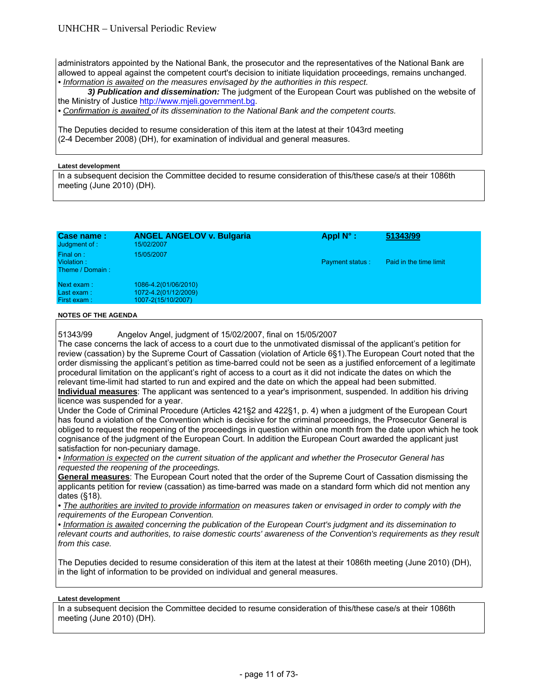administrators appointed by the National Bank, the prosecutor and the representatives of the National Bank are allowed to appeal against the competent court's decision to initiate liquidation proceedings, remains unchanged. *• Information is awaited on the measures envisaged by the authorities in this respect.* 

 *3) Publication and dissemination:* The judgment of the European Court was published on the website of the Ministry of Justice http://www.mjeli.government.bg.

*• Confirmation is awaited of its dissemination to the National Bank and the competent courts.* 

The Deputies decided to resume consideration of this item at the latest at their 1043rd meeting (2-4 December 2008) (DH), for examination of individual and general measures.

#### **Latest development**

In a subsequent decision the Committee decided to resume consideration of this/these case/s at their 1086th meeting (June 2010) (DH).

| Case name:<br>Judgment of :                | <b>ANGEL ANGELOV v. Bulgaria</b><br>15/02/2007                     | Appl $N^{\circ}$ : | 51343/99               |
|--------------------------------------------|--------------------------------------------------------------------|--------------------|------------------------|
| Final on:<br>Violation:<br>Theme / Domain: | 15/05/2007                                                         | Payment status:    | Paid in the time limit |
| Next exam:<br>Last exam:<br>First exam:    | 1086-4.2(01/06/2010)<br>1072-4.2(01/12/2009)<br>1007-2(15/10/2007) |                    |                        |
| $\overline{10}$                            |                                                                    |                    |                        |

**NOTES OF THE AGENDA** 

51343/99 Angelov Angel, judgment of 15/02/2007, final on 15/05/2007

The case concerns the lack of access to a court due to the unmotivated dismissal of the applicant's petition for review (cassation) by the Supreme Court of Cassation (violation of Article 6§1).The European Court noted that the order dismissing the applicant's petition as time-barred could not be seen as a justified enforcement of a legitimate procedural limitation on the applicant's right of access to a court as it did not indicate the dates on which the relevant time-limit had started to run and expired and the date on which the appeal had been submitted. **Individual measures**: The applicant was sentenced to a year's imprisonment, suspended. In addition his driving licence was suspended for a year.

Under the Code of Criminal Procedure (Articles 421§2 and 422§1, p. 4) when a judgment of the European Court has found a violation of the Convention which is decisive for the criminal proceedings, the Prosecutor General is obliged to request the reopening of the proceedings in question within one month from the date upon which he took cognisance of the judgment of the European Court. In addition the European Court awarded the applicant just satisfaction for non-pecuniary damage.

*• Information is expected on the current situation of the applicant and whether the Prosecutor General has requested the reopening of the proceedings.*

**General measures**: The European Court noted that the order of the Supreme Court of Cassation dismissing the applicants petition for review (cassation) as time-barred was made on a standard form which did not mention any dates (§18).

• The authorities are invited to provide information on measures taken or envisaged in order to comply with the *requirements of the European Convention.* 

*• Information is awaited concerning the publication of the European Court's judgment and its dissemination to relevant courts and authorities, to raise domestic courts' awareness of the Convention's requirements as they result from this case.* 

The Deputies decided to resume consideration of this item at the latest at their 1086th meeting (June 2010) (DH), in the light of information to be provided on individual and general measures.

#### **Latest development**

In a subsequent decision the Committee decided to resume consideration of this/these case/s at their 1086th meeting (June 2010) (DH).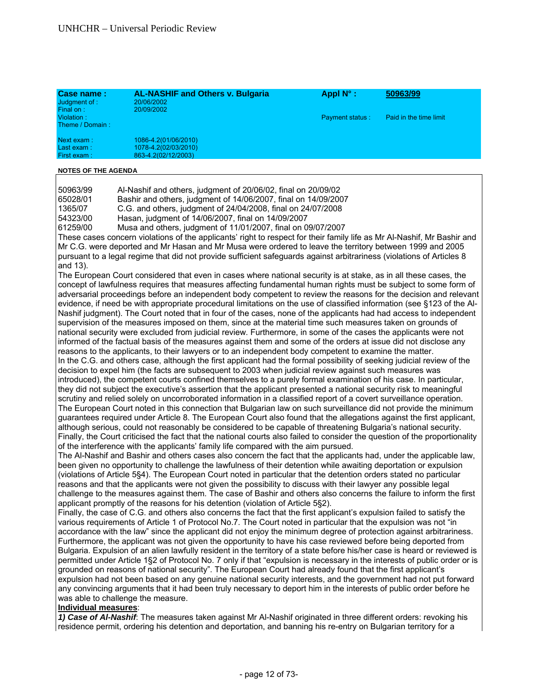| Case name:<br>Judgment of:<br>Final on:                             | <b>AL-NASHIF and Others v. Bulgaria</b><br>20/06/2002<br>20/09/2002                                                                                                                                                                                                                                                                                                                                                                                                                                                                                                                                                                                                                                                                                                                                                                                                                                                                                                                                                                                                                                                                                                                                                                                                                                                                                                                                                                                                                                                                                                                                                                                                                                                                                                                                                                                                                                                                                                                                                                                                                                                                                                                                                                                                                                                                                                                                                                                                                                                                                                                                                                                                                                                                                                                                                                                                                                                                                                                                                                                                                                                                                                                                                                                                                                                                                                                                                                                                                                                                                                                                                                                                                                                                                                                                                                                                                                                                                                                                                                                                                                                                    | Appl N°:        | 50963/99               |
|---------------------------------------------------------------------|----------------------------------------------------------------------------------------------------------------------------------------------------------------------------------------------------------------------------------------------------------------------------------------------------------------------------------------------------------------------------------------------------------------------------------------------------------------------------------------------------------------------------------------------------------------------------------------------------------------------------------------------------------------------------------------------------------------------------------------------------------------------------------------------------------------------------------------------------------------------------------------------------------------------------------------------------------------------------------------------------------------------------------------------------------------------------------------------------------------------------------------------------------------------------------------------------------------------------------------------------------------------------------------------------------------------------------------------------------------------------------------------------------------------------------------------------------------------------------------------------------------------------------------------------------------------------------------------------------------------------------------------------------------------------------------------------------------------------------------------------------------------------------------------------------------------------------------------------------------------------------------------------------------------------------------------------------------------------------------------------------------------------------------------------------------------------------------------------------------------------------------------------------------------------------------------------------------------------------------------------------------------------------------------------------------------------------------------------------------------------------------------------------------------------------------------------------------------------------------------------------------------------------------------------------------------------------------------------------------------------------------------------------------------------------------------------------------------------------------------------------------------------------------------------------------------------------------------------------------------------------------------------------------------------------------------------------------------------------------------------------------------------------------------------------------------------------------------------------------------------------------------------------------------------------------------------------------------------------------------------------------------------------------------------------------------------------------------------------------------------------------------------------------------------------------------------------------------------------------------------------------------------------------------------------------------------------------------------------------------------------------------------------------------------------------------------------------------------------------------------------------------------------------------------------------------------------------------------------------------------------------------------------------------------------------------------------------------------------------------------------------------------------------------------------------------------------------------------------------------------------------|-----------------|------------------------|
| Violation:<br>Theme / Domain:                                       |                                                                                                                                                                                                                                                                                                                                                                                                                                                                                                                                                                                                                                                                                                                                                                                                                                                                                                                                                                                                                                                                                                                                                                                                                                                                                                                                                                                                                                                                                                                                                                                                                                                                                                                                                                                                                                                                                                                                                                                                                                                                                                                                                                                                                                                                                                                                                                                                                                                                                                                                                                                                                                                                                                                                                                                                                                                                                                                                                                                                                                                                                                                                                                                                                                                                                                                                                                                                                                                                                                                                                                                                                                                                                                                                                                                                                                                                                                                                                                                                                                                                                                                                        | Payment status: | Paid in the time limit |
| Next exam:<br>Last exam:<br>First exam:                             | 1086-4.2(01/06/2010)<br>1078-4.2(02/03/2010)<br>863-4.2(02/12/2003)                                                                                                                                                                                                                                                                                                                                                                                                                                                                                                                                                                                                                                                                                                                                                                                                                                                                                                                                                                                                                                                                                                                                                                                                                                                                                                                                                                                                                                                                                                                                                                                                                                                                                                                                                                                                                                                                                                                                                                                                                                                                                                                                                                                                                                                                                                                                                                                                                                                                                                                                                                                                                                                                                                                                                                                                                                                                                                                                                                                                                                                                                                                                                                                                                                                                                                                                                                                                                                                                                                                                                                                                                                                                                                                                                                                                                                                                                                                                                                                                                                                                    |                 |                        |
| <b>NOTES OF THE AGENDA</b>                                          |                                                                                                                                                                                                                                                                                                                                                                                                                                                                                                                                                                                                                                                                                                                                                                                                                                                                                                                                                                                                                                                                                                                                                                                                                                                                                                                                                                                                                                                                                                                                                                                                                                                                                                                                                                                                                                                                                                                                                                                                                                                                                                                                                                                                                                                                                                                                                                                                                                                                                                                                                                                                                                                                                                                                                                                                                                                                                                                                                                                                                                                                                                                                                                                                                                                                                                                                                                                                                                                                                                                                                                                                                                                                                                                                                                                                                                                                                                                                                                                                                                                                                                                                        |                 |                        |
| 50963/99<br>65028/01<br>1365/07<br>54323/00<br>61259/00<br>and 13). | Al-Nashif and others, judgment of 20/06/02, final on 20/09/02<br>Bashir and others, judgment of 14/06/2007, final on 14/09/2007<br>C.G. and others, judgment of 24/04/2008, final on 24/07/2008<br>Hasan, judgment of 14/06/2007, final on 14/09/2007<br>Musa and others, judgment of 11/01/2007, final on 09/07/2007<br>These cases concern violations of the applicants' right to respect for their family life as Mr Al-Nashif, Mr Bashir and<br>Mr C.G. were deported and Mr Hasan and Mr Musa were ordered to leave the territory between 1999 and 2005<br>pursuant to a legal regime that did not provide sufficient safeguards against arbitrariness (violations of Articles 8<br>The European Court considered that even in cases where national security is at stake, as in all these cases, the<br>concept of lawfulness requires that measures affecting fundamental human rights must be subject to some form of<br>adversarial proceedings before an independent body competent to review the reasons for the decision and relevant<br>evidence, if need be with appropriate procedural limitations on the use of classified information (see §123 of the Al-<br>Nashif judgment). The Court noted that in four of the cases, none of the applicants had had access to independent<br>supervision of the measures imposed on them, since at the material time such measures taken on grounds of<br>national security were excluded from judicial review. Furthermore, in some of the cases the applicants were not<br>informed of the factual basis of the measures against them and some of the orders at issue did not disclose any<br>reasons to the applicants, to their lawyers or to an independent body competent to examine the matter.<br>In the C.G. and others case, although the first applicant had the formal possibility of seeking judicial review of the<br>decision to expel him (the facts are subsequent to 2003 when judicial review against such measures was<br>introduced), the competent courts confined themselves to a purely formal examination of his case. In particular,<br>they did not subject the executive's assertion that the applicant presented a national security risk to meaningful<br>scrutiny and relied solely on uncorroborated information in a classified report of a covert surveillance operation.<br>The European Court noted in this connection that Bulgarian law on such surveillance did not provide the minimum<br>guarantees required under Article 8. The European Court also found that the allegations against the first applicant,<br>although serious, could not reasonably be considered to be capable of threatening Bulgaria's national security.<br>Finally, the Court criticised the fact that the national courts also failed to consider the question of the proportionality<br>of the interference with the applicants' family life compared with the aim pursued.<br>The Al-Nashif and Bashir and others cases also concern the fact that the applicants had, under the applicable law,<br>been given no opportunity to challenge the lawfulness of their detention while awaiting deportation or expulsion<br>(violations of Article 5§4). The European Court noted in particular that the detention orders stated no particular<br>reasons and that the applicants were not given the possibility to discuss with their lawyer any possible legal<br>challenge to the measures against them. The case of Bashir and others also concerns the failure to inform the first<br>applicant promptly of the reasons for his detention (violation of Article 5§2).<br>Finally, the case of C.G. and others also concerns the fact that the first applicant's expulsion failed to satisfy the<br>various requirements of Article 1 of Protocol No.7. The Court noted in particular that the expulsion was not "in<br>accordance with the law" since the applicant did not enjoy the minimum degree of protection against arbitrariness.<br>Furthermore, the applicant was not given the opportunity to have his case reviewed before being deported from |                 |                        |
|                                                                     | Bulgaria. Expulsion of an alien lawfully resident in the territory of a state before his/her case is heard or reviewed is<br>permitted under Article 1§2 of Protocol No. 7 only if that "expulsion is necessary in the interests of public order or is<br>grounded on reasons of national security". The European Court had already found that the first applicant's<br>expulsion had not been based on any genuine national security interests, and the government had not put forward<br>any convincing arguments that it had been truly necessary to deport him in the interests of public order before he<br>was able to challenge the measure.                                                                                                                                                                                                                                                                                                                                                                                                                                                                                                                                                                                                                                                                                                                                                                                                                                                                                                                                                                                                                                                                                                                                                                                                                                                                                                                                                                                                                                                                                                                                                                                                                                                                                                                                                                                                                                                                                                                                                                                                                                                                                                                                                                                                                                                                                                                                                                                                                                                                                                                                                                                                                                                                                                                                                                                                                                                                                                                                                                                                                                                                                                                                                                                                                                                                                                                                                                                                                                                                                    |                 |                        |
| Individual measures:                                                | 1) Case of Al-Nashif. The measures taken against Mr Al-Nashif originated in three different orders: revoking his<br>residence permit, ordering his detention and deportation, and banning his re-entry on Bulgarian territory for a                                                                                                                                                                                                                                                                                                                                                                                                                                                                                                                                                                                                                                                                                                                                                                                                                                                                                                                                                                                                                                                                                                                                                                                                                                                                                                                                                                                                                                                                                                                                                                                                                                                                                                                                                                                                                                                                                                                                                                                                                                                                                                                                                                                                                                                                                                                                                                                                                                                                                                                                                                                                                                                                                                                                                                                                                                                                                                                                                                                                                                                                                                                                                                                                                                                                                                                                                                                                                                                                                                                                                                                                                                                                                                                                                                                                                                                                                                    |                 |                        |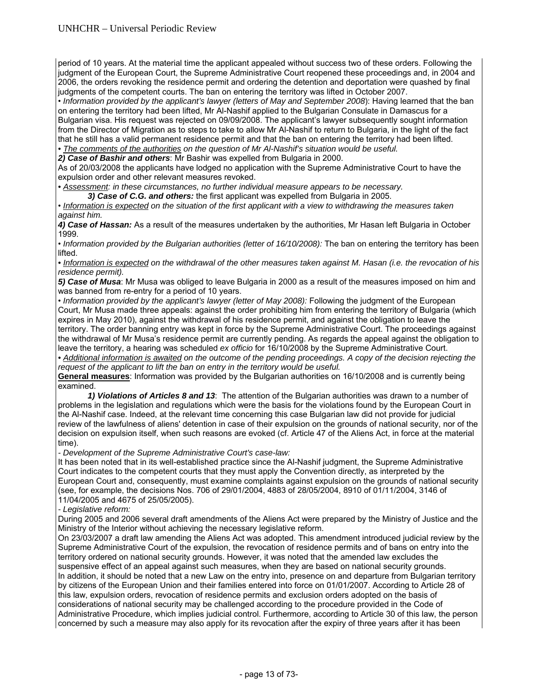period of 10 years. At the material time the applicant appealed without success two of these orders. Following the judgment of the European Court, the Supreme Administrative Court reopened these proceedings and, in 2004 and 2006, the orders revoking the residence permit and ordering the detention and deportation were quashed by final judgments of the competent courts. The ban on entering the territory was lifted in October 2007.

• *Information provided by the applicant's lawyer (letters of May and September 2008*): Having learned that the ban on entering the territory had been lifted, Mr Al-Nashif applied to the Bulgarian Consulate in Damascus for a Bulgarian visa. His request was rejected on 09/09/2008. The applicant's lawyer subsequently sought information from the Director of Migration as to steps to take to allow Mr Al-Nashif to return to Bulgaria, in the light of the fact that he still has a valid permanent residence permit and that the ban on entering the territory had been lifted. *• The comments of the authorities on the question of Mr Al-Nashif's situation would be useful.* 

*2) Case of Bashir and others*: Mr Bashir was expelled from Bulgaria in 2000.

As of 20/03/2008 the applicants have lodged no application with the Supreme Administrative Court to have the expulsion order and other relevant measures revoked.

*• Assessment: in these circumstances, no further individual measure appears to be necessary.* 

*3) Case of C.G. and others:* the first applicant was expelled from Bulgaria in 2005.

• *Information is expected on the situation of the first applicant with a view to withdrawing the measures taken against him.*

*4) Case of Hassan:* As a result of the measures undertaken by the authorities, Mr Hasan left Bulgaria in October 1999.

• *Information provided by the Bulgarian authorities (letter of 16/10/2008):* The ban on entering the territory has been lifted.

*• Information is expected on the withdrawal of the other measures taken against M. Hasan (i.e. the revocation of his residence permit).* 

*5) Case of Musa*: Mr Musa was obliged to leave Bulgaria in 2000 as a result of the measures imposed on him and was banned from re-entry for a period of 10 years.

• *Information provided by the applicant's lawyer (letter of May 2008):* Following the judgment of the European Court, Mr Musa made three appeals: against the order prohibiting him from entering the territory of Bulgaria (which expires in May 2010), against the withdrawal of his residence permit, and against the obligation to leave the territory. The order banning entry was kept in force by the Supreme Administrative Court. The proceedings against the withdrawal of Mr Musa's residence permit are currently pending. As regards the appeal against the obligation to leave the territory, a hearing was scheduled *ex officio* for 16/10/2008 by the Supreme Administrative Court.

• Additional information is awaited on the outcome of the pending proceedings. A copy of the decision rejecting the *request of the applicant to lift the ban on entry in the territory would be useful.* 

**General measures**: Information was provided by the Bulgarian authorities on 16/10/2008 and is currently being examined.

 *1) Violations of Articles 8 and 13*: The attention of the Bulgarian authorities was drawn to a number of problems in the legislation and regulations which were the basis for the violations found by the European Court in the Al-Nashif case. Indeed, at the relevant time concerning this case Bulgarian law did not provide for judicial review of the lawfulness of aliens' detention in case of their expulsion on the grounds of national security, nor of the decision on expulsion itself, when such reasons are evoked (cf. Article 47 of the Aliens Act, in force at the material time).

*- Development of the Supreme Administrative Court's case-law:*

It has been noted that in its well-established practice since the Al-Nashif judgment, the Supreme Administrative Court indicates to the competent courts that they must apply the Convention directly, as interpreted by the European Court and, consequently, must examine complaints against expulsion on the grounds of national security (see, for example, the decisions Nos. 706 of 29/01/2004, 4883 of 28/05/2004, 8910 of 01/11/2004, 3146 of 11/04/2005 and 4675 of 25/05/2005).

# *- Legislative reform:*

During 2005 and 2006 several draft amendments of the Aliens Act were prepared by the Ministry of Justice and the Ministry of the Interior without achieving the necessary legislative reform.

On 23/03/2007 a draft law amending the Aliens Act was adopted. This amendment introduced judicial review by the Supreme Administrative Court of the expulsion, the revocation of residence permits and of bans on entry into the territory ordered on national security grounds. However, it was noted that the amended law excludes the suspensive effect of an appeal against such measures, when they are based on national security grounds. In addition, it should be noted that a new Law on the entry into, presence on and departure from Bulgarian territory by citizens of the European Union and their families entered into force on 01/01/2007. According to Article 28 of this law, expulsion orders, revocation of residence permits and exclusion orders adopted on the basis of considerations of national security may be challenged according to the procedure provided in the Code of Administrative Procedure, which implies judicial control. Furthermore, according to Article 30 of this law, the person concerned by such a measure may also apply for its revocation after the expiry of three years after it has been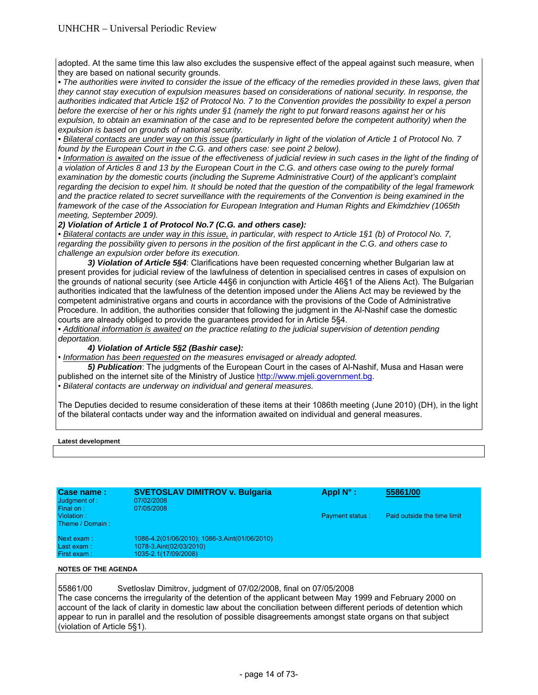adopted. At the same time this law also excludes the suspensive effect of the appeal against such measure, when they are based on national security grounds.

• The authorities were invited to consider the issue of the efficacy of the remedies provided in these laws, given that *they cannot stay execution of expulsion measures based on considerations of national security. In response, the authorities indicated that Article 1§2 of Protocol No. 7 to the Convention provides the possibility to expel a person before the exercise of her or his rights under §1 (namely the right to put forward reasons against her or his expulsion, to obtain an examination of the case and to be represented before the competent authority) when the expulsion is based on grounds of national security.* 

*• Bilateral contacts are under way on this issue (particularly in light of the violation of Article 1 of Protocol No. 7 found by the European Court in the C.G. and others case: see point 2 below).* 

• Information is awaited on the issue of the effectiveness of judicial review in such cases in the light of the finding of *a violation of Articles 8 and 13 by the European Court in the C.G. and others case owing to the purely formal examination by the domestic courts (including the Supreme Administrative Court) of the applicant's complaint regarding the decision to expel him. It should be noted that the question of the compatibility of the legal framework and the practice related to secret surveillance with the requirements of the Convention is being examined in the framework of the case of the Association for European Integration and Human Rights and Ekimdzhiev (1065th meeting, September 2009).* 

#### *2) Violation of Article 1 of Protocol No.7 (C.G. and others case):*

*• Bilateral contacts are under way in this issue, in particular, with respect to Article 1§1 (b) of Protocol No. 7, regarding the possibility given to persons in the position of the first applicant in the C.G. and others case to challenge an expulsion order before its execution.*

 *3) Violation of Article 5§4*: Clarifications have been requested concerning whether Bulgarian law at present provides for judicial review of the lawfulness of detention in specialised centres in cases of expulsion on the grounds of national security (see Article 44§6 in conjunction with Article 46§1 of the Aliens Act). The Bulgarian authorities indicated that the lawfulness of the detention imposed under the Aliens Act may be reviewed by the competent administrative organs and courts in accordance with the provisions of the Code of Administrative Procedure. In addition, the authorities consider that following the judgment in the Al-Nashif case the domestic courts are already obliged to provide the guarantees provided for in Article 5§4.

• Additional information is awaited on the practice relating to the judicial supervision of detention pending *deportation.* 

#### *4) Violation of Article 5§2 (Bashir case):*

• *Information has been requested on the measures envisaged or already adopted.* 

 *5) Publication*: The judgments of the European Court in the cases of Al-Nashif, Musa and Hasan were published on the internet site of the Ministry of Justice http://www.mjeli.government.bg.

• *Bilateral contacts are underway on individual and general measures.*

The Deputies decided to resume consideration of these items at their 1086th meeting (June 2010) (DH), in the light of the bilateral contacts under way and the information awaited on individual and general measures.

#### **Latest development**

| Case name:<br>Judgment of :<br>Final on: | <b>SVETOSLAV DIMITROV v. Bulgaria</b><br>07/02/2008<br>07/05/2008 | Appl $N^{\circ}$ :     | 55861/00                    |
|------------------------------------------|-------------------------------------------------------------------|------------------------|-----------------------------|
| Violation:<br>Theme / Domain:            |                                                                   | <b>Payment status:</b> | Paid outside the time limit |
| Next exam:                               | 1086-4.2(01/06/2010); 1086-3.Aint(01/06/2010)                     |                        |                             |
| Last exam:                               | 1078-3.Aint(02/03/2010)                                           |                        |                             |
| First exam:                              | 1035-2.1(17/09/2008)                                              |                        |                             |

#### **NOTES OF THE AGENDA**

55861/00 Svetloslav Dimitrov, judgment of 07/02/2008, final on 07/05/2008 The case concerns the irregularity of the detention of the applicant between May 1999 and February 2000 on account of the lack of clarity in domestic law about the conciliation between different periods of detention which appear to run in parallel and the resolution of possible disagreements amongst state organs on that subject (violation of Article 5§1).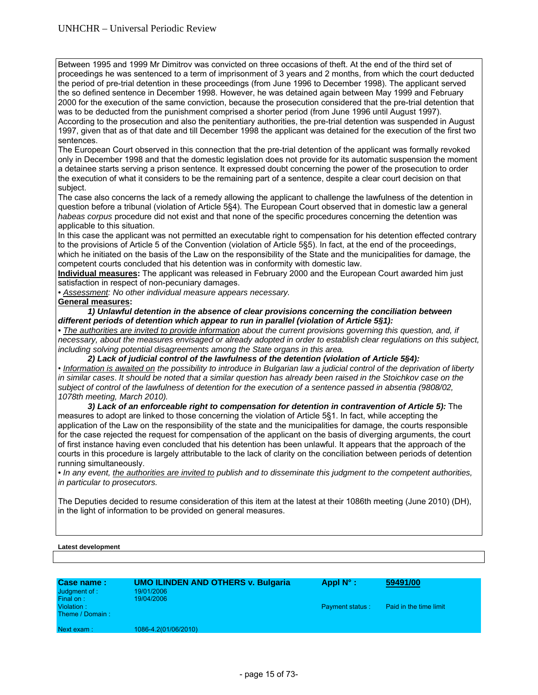Between 1995 and 1999 Mr Dimitrov was convicted on three occasions of theft. At the end of the third set of proceedings he was sentenced to a term of imprisonment of 3 years and 2 months, from which the court deducted the period of pre-trial detention in these proceedings (from June 1996 to December 1998). The applicant served the so defined sentence in December 1998. However, he was detained again between May 1999 and February 2000 for the execution of the same conviction, because the prosecution considered that the pre-trial detention that was to be deducted from the punishment comprised a shorter period (from June 1996 until August 1997). According to the prosecution and also the penitentiary authorities, the pre-trial detention was suspended in August 1997, given that as of that date and till December 1998 the applicant was detained for the execution of the first two sentences.

The European Court observed in this connection that the pre-trial detention of the applicant was formally revoked only in December 1998 and that the domestic legislation does not provide for its automatic suspension the moment a detainee starts serving a prison sentence. It expressed doubt concerning the power of the prosecution to order the execution of what it considers to be the remaining part of a sentence, despite a clear court decision on that subject.

The case also concerns the lack of a remedy allowing the applicant to challenge the lawfulness of the detention in question before a tribunal (violation of Article 5§4). The European Court observed that in domestic law a general *habeas corpus* procedure did not exist and that none of the specific procedures concerning the detention was applicable to this situation.

In this case the applicant was not permitted an executable right to compensation for his detention effected contrary to the provisions of Article 5 of the Convention (violation of Article 5§5). In fact, at the end of the proceedings, which he initiated on the basis of the Law on the responsibility of the State and the municipalities for damage, the competent courts concluded that his detention was in conformity with domestic law.

**Individual measures:** The applicant was released in February 2000 and the European Court awarded him just satisfaction in respect of non-pecuniary damages.

*• Assessment: No other individual measure appears necessary.* 

**General measures:** 

 *1) Unlawful detention in the absence of clear provisions concerning the conciliation between different periods of detention which appear to run in parallel (violation of Article 5§1):* 

• The authorities are invited to provide information about the current provisions governing this question, and, if *necessary, about the measures envisaged or already adopted in order to establish clear regulations on this subject, including solving potential disagreements among the State organs in this area.* 

 *2) Lack of judicial control of the lawfulness of the detention (violation of Article 5§4):*  • *Information is awaited on the possibility to introduce in Bulgarian law a judicial control of the deprivation of liberty in similar cases*. *It should be noted that a similar question has already been raised in the Stoichkov case on the subject of control of the lawfulness of detention for the execution of a sentence passed in absentia (9808/02, 1078th meeting, March 2010).* 

 *3) Lack of an enforceable right to compensation for detention in contravention of Article 5):* The measures to adopt are linked to those concerning the violation of Article 5§1. In fact, while accepting the application of the Law on the responsibility of the state and the municipalities for damage, the courts responsible for the case rejected the request for compensation of the applicant on the basis of diverging arguments, the court of first instance having even concluded that his detention has been unlawful. It appears that the approach of the courts in this procedure is largely attributable to the lack of clarity on the conciliation between periods of detention running simultaneously.

*• In any event, the authorities are invited to publish and to disseminate this judgment to the competent authorities, in particular to prosecutors.*

The Deputies decided to resume consideration of this item at the latest at their 1086th meeting (June 2010) (DH), in the light of information to be provided on general measures.

#### **Latest development**

| <b>Case name:</b><br>Judgment of :<br>Final on: | <b>UMO ILINDEN AND OTHERS v. Bulgaria</b><br>19/01/2006<br>19/04/2006 | Appl $N^{\circ}$ :     | 59491/00               |
|-------------------------------------------------|-----------------------------------------------------------------------|------------------------|------------------------|
| Violation:<br>Theme / Domain:                   |                                                                       | <b>Payment status:</b> | Paid in the time limit |
| Next exam:                                      | 1086-4.2(01/06/2010)                                                  |                        |                        |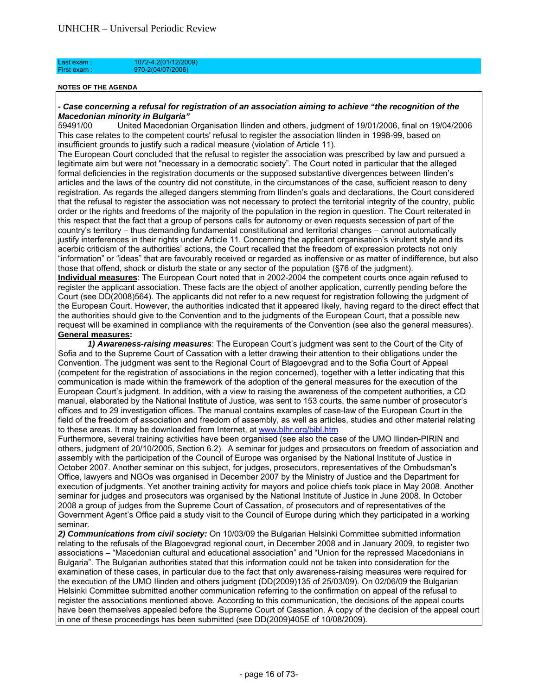| Last exam :  | 1072-4.2(01/12/2009) |  |  |
|--------------|----------------------|--|--|
| First exam : | $970-2(04/07/2006)$  |  |  |
|              |                      |  |  |

#### *- Case concerning a refusal for registration of an association aiming to achieve "the recognition of the Macedonian minority in Bulgaria"*

59491/00 United Macedonian Organisation Ilinden and others, judgment of 19/01/2006, final on 19/04/2006 This case relates to the competent courts' refusal to register the association Ilinden in 1998-99, based on insufficient grounds to justify such a radical measure (violation of Article 11).

The European Court concluded that the refusal to register the association was prescribed by law and pursued a legitimate aim but were not "necessary in a democratic society". The Court noted in particular that the alleged formal deficiencies in the registration documents or the supposed substantive divergences between Ilinden's articles and the laws of the country did not constitute, in the circumstances of the case, sufficient reason to deny registration. As regards the alleged dangers stemming from Ilinden's goals and declarations, the Court considered that the refusal to register the association was not necessary to protect the territorial integrity of the country, public order or the rights and freedoms of the majority of the population in the region in question. The Court reiterated in this respect that the fact that a group of persons calls for autonomy or even requests secession of part of the country's territory – thus demanding fundamental constitutional and territorial changes – cannot automatically justify interferences in their rights under Article 11. Concerning the applicant organisation's virulent style and its acerbic criticism of the authorities' actions, the Court recalled that the freedom of expression protects not only "information" or "ideas" that are favourably received or regarded as inoffensive or as matter of indifference, but also those that offend, shock or disturb the state or any sector of the population (§76 of the judgment).

**Individual measures**: The European Court noted that in 2002-2004 the competent courts once again refused to register the applicant association. These facts are the object of another application, currently pending before the Court (see DD(2008)564). The applicants did not refer to a new request for registration following the judgment of the European Court. However, the authorities indicated that it appeared likely, having regard to the direct effect that the authorities should give to the Convention and to the judgments of the European Court, that a possible new request will be examined in compliance with the requirements of the Convention (see also the general measures). **General measures:**

 *1) Awareness-raising measures*: The European Court's judgment was sent to the Court of the City of Sofia and to the Supreme Court of Cassation with a letter drawing their attention to their obligations under the Convention. The judgment was sent to the Regional Court of Blagoevgrad and to the Sofia Court of Appeal (competent for the registration of associations in the region concerned), together with a letter indicating that this communication is made within the framework of the adoption of the general measures for the execution of the European Court's judgment. In addition, with a view to raising the awareness of the competent authorities, a CD manual, elaborated by the National Institute of Justice, was sent to 153 courts, the same number of prosecutor's offices and to 29 investigation offices. The manual contains examples of case-law of the European Court in the field of the freedom of association and freedom of assembly, as well as articles, studies and other material relating to these areas. It may be downloaded from Internet, at www.blhr.org/bibl.htm

Furthermore, several training activities have been organised (see also the case of the UMO Ilinden-PIRIN and others, judgment of 20/10/2005, Section 6.2). A seminar for judges and prosecutors on freedom of association and assembly with the participation of the Council of Europe was organised by the National Institute of Justice in October 2007. Another seminar on this subject, for judges, prosecutors, representatives of the Ombudsman's Office, lawyers and NGOs was organised in December 2007 by the Ministry of Justice and the Department for execution of judgments. Yet another training activity for mayors and police chiefs took place in May 2008. Another seminar for judges and prosecutors was organised by the National Institute of Justice in June 2008. In October 2008 a group of judges from the Supreme Court of Cassation, of prosecutors and of representatives of the Government Agent's Office paid a study visit to the Council of Europe during which they participated in a working seminar.

*2) Communications from civil society:* On 10/03/09 the Bulgarian Helsinki Committee submitted information relating to the refusals of the Blagoevgrad regional court, in December 2008 and in January 2009, to register two associations – "Macedonian cultural and educational association" and "Union for the repressed Macedonians in Bulgaria". The Bulgarian authorities stated that this information could not be taken into consideration for the examination of these cases, in particular due to the fact that only awareness-raising measures were required for the execution of the UMO Ilinden and others judgment (DD(2009)135 of 25/03/09). On 02/06/09 the Bulgarian Helsinki Committee submitted another communication referring to the confirmation on appeal of the refusal to register the associations mentioned above. According to this communication, the decisions of the appeal courts have been themselves appealed before the Supreme Court of Cassation. A copy of the decision of the appeal court in one of these proceedings has been submitted (see DD(2009)405E of 10/08/2009).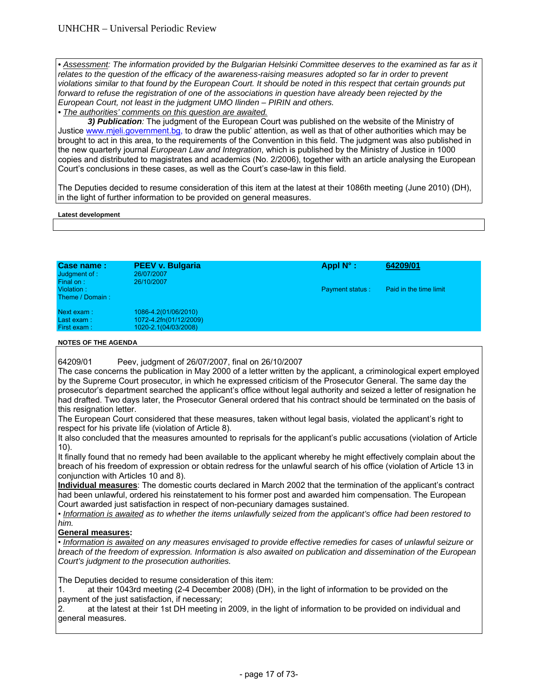**• Assessment: The information provided by the Bulgarian Helsinki Committee deserves to the examined as far as it** *relates to the question of the efficacy of the awareness-raising measures adopted so far in order to prevent*  violations similar to that found by the European Court. It should be noted in this respect that certain grounds put *forward to refuse the registration of one of the associations in question have already been rejected by the European Court, not least in the judgment UMO Ilinden – PIRIN and others.* 

*• The authorities' comments on this question are awaited.* 

 *3) Publication:* The judgment of the European Court was published on the website of the Ministry of Justice www.mjeli.government.bg, to draw the public' attention, as well as that of other authorities which may be brought to act in this area, to the requirements of the Convention in this field. The judgment was also published in the new quarterly journal *European Law and Integration*, which is published by the Ministry of Justice in 1000 copies and distributed to magistrates and academics (No. 2/2006), together with an article analysing the European Court's conclusions in these cases, as well as the Court's case-law in this field.

The Deputies decided to resume consideration of this item at the latest at their 1086th meeting (June 2010) (DH), in the light of further information to be provided on general measures.

#### **Latest development**

| Case name:<br>Judgment of :<br>Final on: | <b>PEEV v. Bulgaria</b><br>26/07/2007<br>26/10/2007                    | Appl $N^{\circ}$ :     | 64209/01               |
|------------------------------------------|------------------------------------------------------------------------|------------------------|------------------------|
| Violation:<br>Theme / Domain:            |                                                                        | <b>Payment status:</b> | Paid in the time limit |
| Next exam:<br>Last exam:<br>First exam:  | 1086-4.2(01/06/2010)<br>1072-4.2fn(01/12/2009)<br>1020-2.1(04/03/2008) |                        |                        |

#### **NOTES OF THE AGENDA**

64209/01 Peev, judgment of 26/07/2007, final on 26/10/2007

The case concerns the publication in May 2000 of a letter written by the applicant, a criminological expert employed by the Supreme Court prosecutor, in which he expressed criticism of the Prosecutor General. The same day the prosecutor's department searched the applicant's office without legal authority and seized a letter of resignation he had drafted. Two days later, the Prosecutor General ordered that his contract should be terminated on the basis of this resignation letter.

The European Court considered that these measures, taken without legal basis, violated the applicant's right to respect for his private life (violation of Article 8).

It also concluded that the measures amounted to reprisals for the applicant's public accusations (violation of Article 10).

It finally found that no remedy had been available to the applicant whereby he might effectively complain about the breach of his freedom of expression or obtain redress for the unlawful search of his office (violation of Article 13 in conjunction with Articles 10 and 8).

**Individual measures**: The domestic courts declared in March 2002 that the termination of the applicant's contract had been unlawful, ordered his reinstatement to his former post and awarded him compensation. The European Court awarded just satisfaction in respect of non-pecuniary damages sustained.

• *Information is awaited as to whether the items unlawfully seized from the applicant's office had been restored to him.* 

#### **General measures:**

• *Information is awaited on any measures envisaged to provide effective remedies for cases of unlawful seizure or breach of the freedom of expression. Information is also awaited on publication and dissemination of the European Court's judgment to the prosecution authorities.* 

The Deputies decided to resume consideration of this item:

1. at their 1043rd meeting (2-4 December 2008) (DH), in the light of information to be provided on the payment of the just satisfaction, if necessary;

2. at the latest at their 1st DH meeting in 2009, in the light of information to be provided on individual and general measures.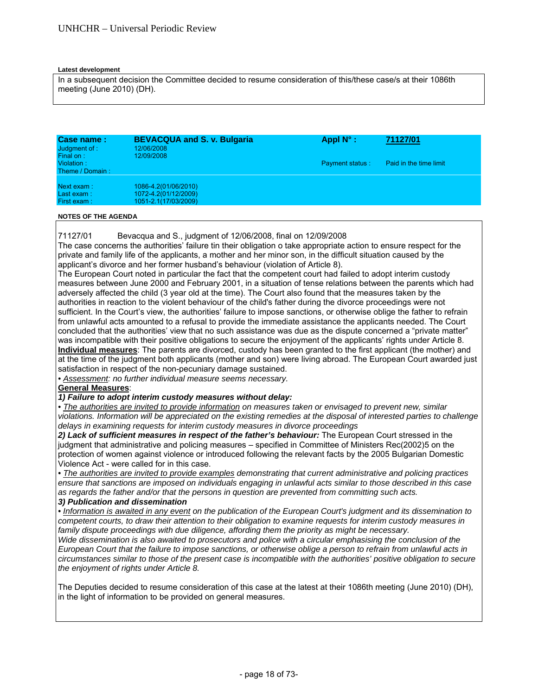#### **Latest development**

In a subsequent decision the Committee decided to resume consideration of this/these case/s at their 1086th meeting (June 2010) (DH).

| Case name:<br>Judgment of:<br>Final on: | <b>BEVACQUA and S. v. Bulgaria</b><br>12/06/2008<br>12/09/2008       | Appl $N^{\circ}$ :     | 71127/01               |  |
|-----------------------------------------|----------------------------------------------------------------------|------------------------|------------------------|--|
| Violation:<br>Theme / Domain:           |                                                                      | <b>Payment status:</b> | Paid in the time limit |  |
| Next exam:<br>Last exam:<br>First exam: | 1086-4.2(01/06/2010)<br>1072-4.2(01/12/2009)<br>1051-2.1(17/03/2009) |                        |                        |  |

#### **NOTES OF THE AGENDA**

71127/01 Bevacqua and S., judgment of 12/06/2008, final on 12/09/2008

The case concerns the authorities' failure tin their obligation o take appropriate action to ensure respect for the private and family life of the applicants, a mother and her minor son, in the difficult situation caused by the applicant's divorce and her former husband's behaviour (violation of Article 8).

The European Court noted in particular the fact that the competent court had failed to adopt interim custody measures between June 2000 and February 2001, in a situation of tense relations between the parents which had adversely affected the child (3 year old at the time). The Court also found that the measures taken by the authorities in reaction to the violent behaviour of the child's father during the divorce proceedings were not sufficient. In the Court's view, the authorities' failure to impose sanctions, or otherwise oblige the father to refrain from unlawful acts amounted to a refusal to provide the immediate assistance the applicants needed. The Court concluded that the authorities' view that no such assistance was due as the dispute concerned a "private matter" was incompatible with their positive obligations to secure the enjoyment of the applicants' rights under Article 8. **Individual measures**: The parents are divorced, custody has been granted to the first applicant (the mother) and at the time of the judgment both applicants (mother and son) were living abroad. The European Court awarded just satisfaction in respect of the non-pecuniary damage sustained.

*• Assessment: no further individual measure seems necessary.* 

#### **General Measures**:

# *1) Failure to adopt interim custody measures without delay:*

*• The authorities are invited to provide information on measures taken or envisaged to prevent new, similar violations. Information will be appreciated on the existing remedies at the disposal of interested parties to challenge delays in examining requests for interim custody measures in divorce proceedings* 

2) Lack of sufficient measures in respect of the father's behaviour: The European Court stressed in the judgment that administrative and policing measures – specified in Committee of Ministers Rec(2002)5 on the protection of women against violence or introduced following the relevant facts by the 2005 Bulgarian Domestic Violence Act - were called for in this case.

*• The authorities are invited to provide examples demonstrating that current administrative and policing practices ensure that sanctions are imposed on individuals engaging in unlawful acts similar to those described in this case as regards the father and/or that the persons in question are prevented from committing such acts.* 

# *3) Publication and dissemination*

*• Information is awaited in any event on the publication of the European Court's judgment and its dissemination to competent courts, to draw their attention to their obligation to examine requests for interim custody measures in family dispute proceedings with due diligence, affording them the priority as might be necessary.* 

*Wide dissemination is also awaited to prosecutors and police with a circular emphasising the conclusion of the European Court that the failure to impose sanctions, or otherwise oblige a person to refrain from unlawful acts in circumstances similar to those of the present case is incompatible with the authorities' positive obligation to secure the enjoyment of rights under Article 8.* 

The Deputies decided to resume consideration of this case at the latest at their 1086th meeting (June 2010) (DH), in the light of information to be provided on general measures.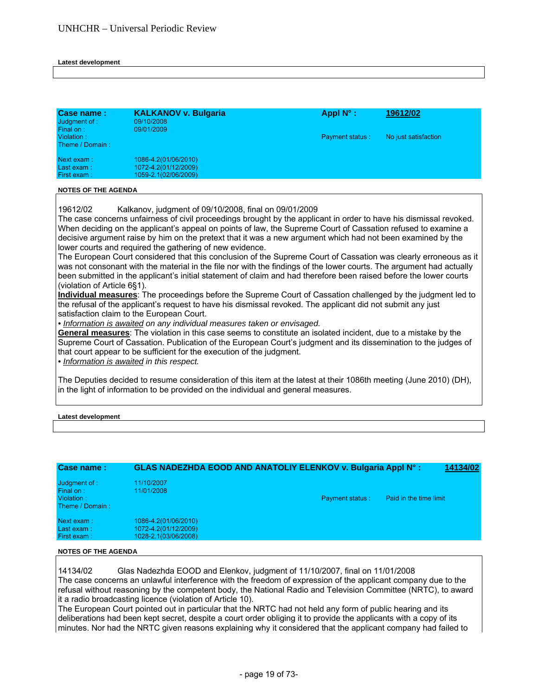#### **Latest development**

| Case name:<br>Judgment of :<br>Final on:<br>Violation:<br>Theme / Domain: | <b>KALKANOV v. Bulgaria</b><br>09/10/2008<br>09/01/2009              | Appl $N^{\circ}$ :<br><b>Payment status:</b> | 19612/02<br>No just satisfaction |  |
|---------------------------------------------------------------------------|----------------------------------------------------------------------|----------------------------------------------|----------------------------------|--|
| Next exam:<br>Last exam:<br>First exam:                                   | 1086-4.2(01/06/2010)<br>1072-4.2(01/12/2009)<br>1059-2.1(02/06/2009) |                                              |                                  |  |

#### **NOTES OF THE AGENDA**

19612/02 Kalkanov, judgment of 09/10/2008, final on 09/01/2009

The case concerns unfairness of civil proceedings brought by the applicant in order to have his dismissal revoked. When deciding on the applicant's appeal on points of law, the Supreme Court of Cassation refused to examine a decisive argument raise by him on the pretext that it was a new argument which had not been examined by the lower courts and required the gathering of new evidence.

The European Court considered that this conclusion of the Supreme Court of Cassation was clearly erroneous as it was not consonant with the material in the file nor with the findings of the lower courts. The argument had actually been submitted in the applicant's initial statement of claim and had therefore been raised before the lower courts (violation of Article 6§1).

**Individual measures**: The proceedings before the Supreme Court of Cassation challenged by the judgment led to the refusal of the applicant's request to have his dismissal revoked. The applicant did not submit any just satisfaction claim to the European Court.

*• Information is awaited on any individual measures taken or envisaged.* 

**General measures**: The violation in this case seems to constitute an isolated incident, due to a mistake by the Supreme Court of Cassation. Publication of the European Court's judgment and its dissemination to the judges of that court appear to be sufficient for the execution of the judgment.

*• Information is awaited in this respect.* 

The Deputies decided to resume consideration of this item at the latest at their 1086th meeting (June 2010) (DH), in the light of information to be provided on the individual and general measures.

#### **Latest development**

| Case name:                                                  | GLAS NADEZHDA EOOD AND ANATOLIY ELENKOV v. Bulgaria Appl N°:         |                        |                        | 14134/02 |
|-------------------------------------------------------------|----------------------------------------------------------------------|------------------------|------------------------|----------|
| Judgment of :<br>Final on:<br>Violation:<br>Theme / Domain: | 11/10/2007<br>11/01/2008                                             | <b>Payment status:</b> | Paid in the time limit |          |
| Next exam:<br>Last exam:<br>First exam:                     | 1086-4.2(01/06/2010)<br>1072-4.2(01/12/2009)<br>1028-2.1(03/06/2008) |                        |                        |          |

#### **NOTES OF THE AGENDA**

14134/02 Glas Nadezhda EOOD and Elenkov, judgment of 11/10/2007, final on 11/01/2008 The case concerns an unlawful interference with the freedom of expression of the applicant company due to the refusal without reasoning by the competent body, the National Radio and Television Committee (NRTC), to award it a radio broadcasting licence (violation of Article 10).

The European Court pointed out in particular that the NRTC had not held any form of public hearing and its deliberations had been kept secret, despite a court order obliging it to provide the applicants with a copy of its minutes. Nor had the NRTC given reasons explaining why it considered that the applicant company had failed to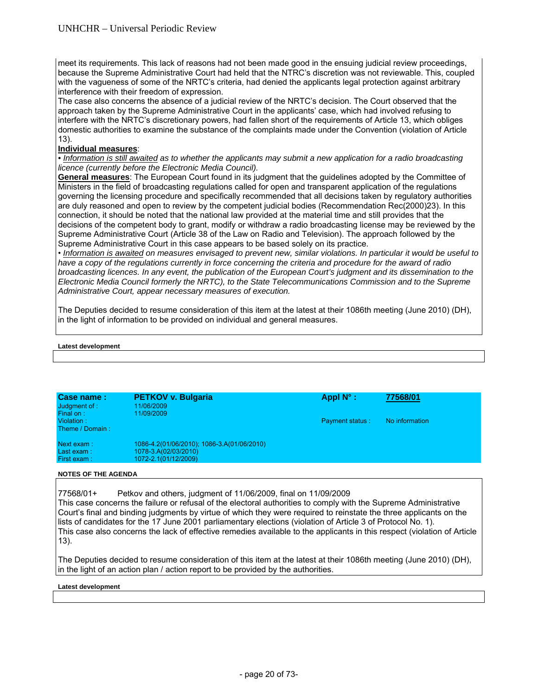meet its requirements. This lack of reasons had not been made good in the ensuing judicial review proceedings, because the Supreme Administrative Court had held that the NTRC's discretion was not reviewable. This, coupled with the vagueness of some of the NRTC's criteria, had denied the applicants legal protection against arbitrary interference with their freedom of expression.

The case also concerns the absence of a judicial review of the NRTC's decision. The Court observed that the approach taken by the Supreme Administrative Court in the applicants' case, which had involved refusing to interfere with the NRTC's discretionary powers, had fallen short of the requirements of Article 13, which obliges domestic authorities to examine the substance of the complaints made under the Convention (violation of Article 13).

# **Individual measures**:

*• Information is still awaited as to whether the applicants may submit a new application for a radio broadcasting licence (currently before the Electronic Media Council).* 

**General measures**: The European Court found in its judgment that the guidelines adopted by the Committee of Ministers in the field of broadcasting regulations called for open and transparent application of the regulations governing the licensing procedure and specifically recommended that all decisions taken by regulatory authorities are duly reasoned and open to review by the competent judicial bodies (Recommendation Rec(2000)23). In this connection, it should be noted that the national law provided at the material time and still provides that the decisions of the competent body to grant, modify or withdraw a radio broadcasting license may be reviewed by the Supreme Administrative Court (Article 38 of the Law on Radio and Television). The approach followed by the Supreme Administrative Court in this case appears to be based solely on its practice.

• *Information is awaited on measures envisaged to prevent new, similar violations. In particular it would be useful to have a copy of the regulations currently in force concerning the criteria and procedure for the award of radio broadcasting licences. In any event, the publication of the European Court's judgment and its dissemination to the Electronic Media Council formerly the NRTC), to the State Telecommunications Commission and to the Supreme Administrative Court, appear necessary measures of execution.* 

The Deputies decided to resume consideration of this item at the latest at their 1086th meeting (June 2010) (DH), in the light of information to be provided on individual and general measures.

#### **Latest development**

| Case name:<br>Judgment of :                | <b>PETKOV v. Bulgaria</b><br>11/06/2009                                                    | Appl $N^{\circ}$ : | 77568/01       |
|--------------------------------------------|--------------------------------------------------------------------------------------------|--------------------|----------------|
| Final on:<br>Violation:<br>Theme / Domain: | 11/09/2009                                                                                 | Payment status:    | No information |
| Next exam:<br>Last exam:<br>First exam:    | 1086-4.2(01/06/2010); 1086-3.A(01/06/2010)<br>1078-3.A(02/03/2010)<br>1072-2.1(01/12/2009) |                    |                |

#### **NOTES OF THE AGENDA**

77568/01+ Petkov and others, judgment of 11/06/2009, final on 11/09/2009 This case concerns the failure or refusal of the electoral authorities to comply with the Supreme Administrative Court's final and binding judgments by virtue of which they were required to reinstate the three applicants on the lists of candidates for the 17 June 2001 parliamentary elections (violation of Article 3 of Protocol No. 1). This case also concerns the lack of effective remedies available to the applicants in this respect (violation of Article 13).

The Deputies decided to resume consideration of this item at the latest at their 1086th meeting (June 2010) (DH), in the light of an action plan / action report to be provided by the authorities.

#### **Latest development**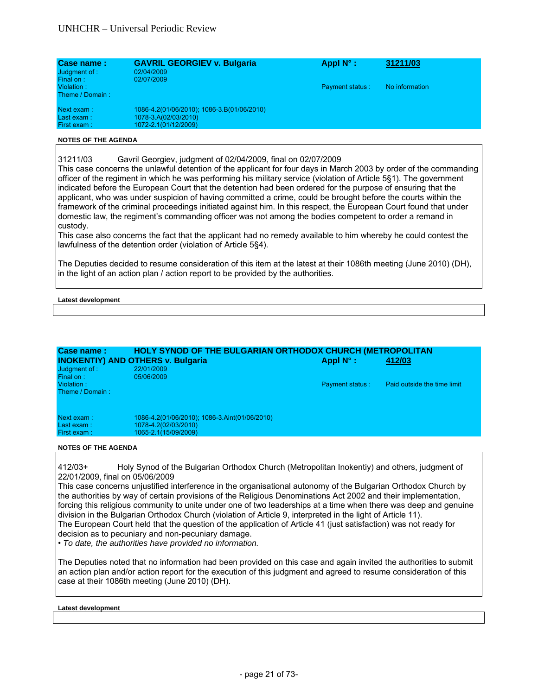| Case name:<br>Judgment of :<br>Final on: | <b>GAVRIL GEORGIEV v. Bulgaria</b><br>02/04/2009<br>02/07/2009                             | Appl $N^{\circ}$ :     | 31211/03       |
|------------------------------------------|--------------------------------------------------------------------------------------------|------------------------|----------------|
| Violation:<br>Theme / Domain:            |                                                                                            | <b>Payment status:</b> | No information |
| Next exam:<br>Last exam:<br>First exam:  | 1086-4.2(01/06/2010); 1086-3.B(01/06/2010)<br>1078-3.A(02/03/2010)<br>1072-2.1(01/12/2009) |                        |                |

31211/03 Gavril Georgiev, judgment of 02/04/2009, final on 02/07/2009

This case concerns the unlawful detention of the applicant for four days in March 2003 by order of the commanding officer of the regiment in which he was performing his military service (violation of Article 5§1). The government indicated before the European Court that the detention had been ordered for the purpose of ensuring that the applicant, who was under suspicion of having committed a crime, could be brought before the courts within the framework of the criminal proceedings initiated against him. In this respect, the European Court found that under domestic law, the regiment's commanding officer was not among the bodies competent to order a remand in custody.

This case also concerns the fact that the applicant had no remedy available to him whereby he could contest the lawfulness of the detention order (violation of Article 5§4).

The Deputies decided to resume consideration of this item at the latest at their 1086th meeting (June 2010) (DH), in the light of an action plan / action report to be provided by the authorities.

#### **Latest development**

| Case name:<br>Judgment of :<br>Final on: | <b>HOLY SYNOD OF THE BULGARIAN ORTHODOX CHURCH (METROPOLITAN</b><br><b>INOKENTIY) AND OTHERS v. Bulgaria</b><br>22/01/2009<br>05/06/2009 | Appl $N^{\circ}$ :     | 412/03                      |
|------------------------------------------|------------------------------------------------------------------------------------------------------------------------------------------|------------------------|-----------------------------|
| Violation:<br>Theme / Domain:            |                                                                                                                                          | <b>Payment status:</b> | Paid outside the time limit |
| Next exam:<br>Last exam:<br>First exam:  | 1086-4.2(01/06/2010); 1086-3.Aint(01/06/2010)<br>1078-4.2(02/03/2010)<br>1065-2.1(15/09/2009)                                            |                        |                             |

**NOTES OF THE AGENDA** 

412/03+ Holy Synod of the Bulgarian Orthodox Church (Metropolitan Inokentiy) and others, judgment of 22/01/2009, final on 05/06/2009

This case concerns unjustified interference in the organisational autonomy of the Bulgarian Orthodox Church by the authorities by way of certain provisions of the Religious Denominations Act 2002 and their implementation, forcing this religious community to unite under one of two leaderships at a time when there was deep and genuine division in the Bulgarian Orthodox Church (violation of Article 9, interpreted in the light of Article 11). The European Court held that the question of the application of Article 41 (just satisfaction) was not ready for decision as to pecuniary and non-pecuniary damage.

• *To date, the authorities have provided no information.*

The Deputies noted that no information had been provided on this case and again invited the authorities to submit an action plan and/or action report for the execution of this judgment and agreed to resume consideration of this case at their 1086th meeting (June 2010) (DH).

#### **Latest development**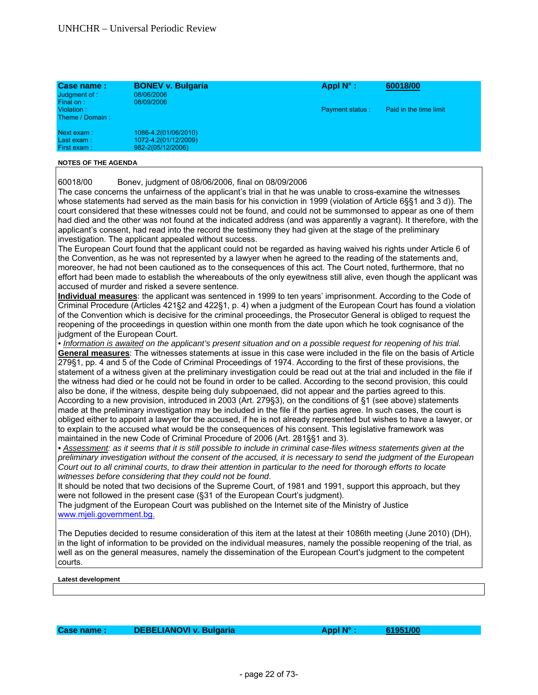| Case name:<br>Judgment of :<br>Final on: | <b>BONEV v. Bulgaria</b><br>08/06/2006<br>08/09/2006              | Appl $N^{\circ}$ :     | 60018/00               |
|------------------------------------------|-------------------------------------------------------------------|------------------------|------------------------|
| Violation:<br>Theme / Domain:            |                                                                   | <b>Payment status:</b> | Paid in the time limit |
| Next exam:<br>Last exam:<br>First exam:  | 1086-4.2(01/06/2010)<br>1072-4.2(01/12/2009)<br>982-2(05/12/2006) |                        |                        |

60018/00 Bonev, judgment of 08/06/2006, final on 08/09/2006

The case concerns the unfairness of the applicant's trial in that he was unable to cross-examine the witnesses whose statements had served as the main basis for his conviction in 1999 (violation of Article 6§§1 and 3 d)). The court considered that these witnesses could not be found, and could not be summonsed to appear as one of them had died and the other was not found at the indicated address (and was apparently a vagrant). It therefore, with the applicant's consent, had read into the record the testimony they had given at the stage of the preliminary investigation. The applicant appealed without success.

The European Court found that the applicant could not be regarded as having waived his rights under Article 6 of the Convention, as he was not represented by a lawyer when he agreed to the reading of the statements and, moreover, he had not been cautioned as to the consequences of this act. The Court noted, furthermore, that no effort had been made to establish the whereabouts of the only eyewitness still alive, even though the applicant was accused of murder and risked a severe sentence.

**Individual measures**: the applicant was sentenced in 1999 to ten years' imprisonment. According to the Code of Criminal Procedure (Articles 421§2 and 422§1, p. 4) when a judgment of the European Court has found a violation of the Convention which is decisive for the criminal proceedings, the Prosecutor General is obliged to request the reopening of the proceedings in question within one month from the date upon which he took cognisance of the judgment of the European Court.

*• Information is awaited on the applicant's present situation and on a possible request for reopening of his trial.*  **General measures**: The witnesses statements at issue in this case were included in the file on the basis of Article 279§1, pp. 4 and 5 of the Code of Criminal Proceedings of 1974. According to the first of these provisions, the statement of a witness given at the preliminary investigation could be read out at the trial and included in the file if the witness had died or he could not be found in order to be called. According to the second provision, this could also be done, if the witness, despite being duly subpoenaed, did not appear and the parties agreed to this. According to a new provision, introduced in 2003 (Art. 279§3), on the conditions of §1 (see above) statements made at the preliminary investigation may be included in the file if the parties agree. In such cases, the court is obliged either to appoint a lawyer for the accused, if he is not already represented but wishes to have a lawyer, or to explain to the accused what would be the consequences of his consent. This legislative framework was maintained in the new Code of Criminal Procedure of 2006 (Art. 281§§1 and 3).

*• Assessment: as it seems that it is still possible to include in criminal case-files witness statements given at the preliminary investigation without the consent of the accused, it is necessary to send the judgment of the European Court out to all criminal courts, to draw their attention in particular to the need for thorough efforts to locate witnesses before considering that they could not be found*.

It should be noted that two decisions of the Supreme Court, of 1981 and 1991, support this approach, but they were not followed in the present case (§31 of the European Court's judgment).

The judgment of the European Court was published on the Internet site of the Ministry of Justice www.mjeli.government.bg.

The Deputies decided to resume consideration of this item at the latest at their 1086th meeting (June 2010) (DH), in the light of information to be provided on the individual measures, namely the possible reopening of the trial, as well as on the general measures, namely the dissemination of the European Court's judgment to the competent courts.

**Latest development** 

Case name : CASE DEBELIANOVI v. Bulgaria **Access 1999 1991/00 Appl N°** : 61951/00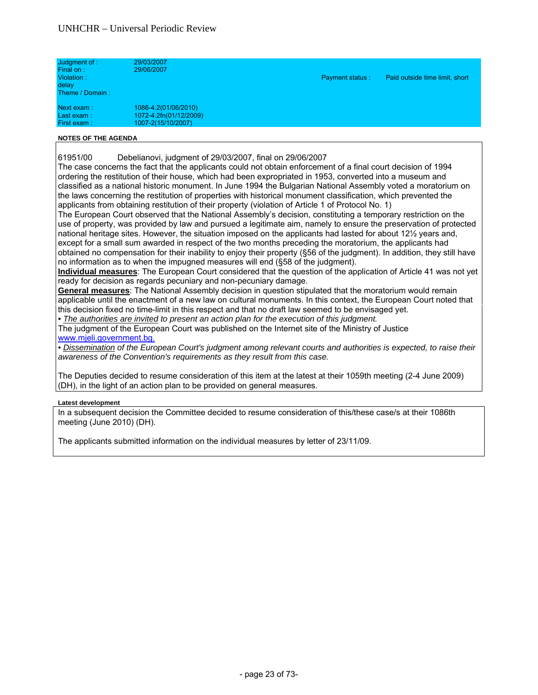| Judgment of :<br>Final on:<br>Violation:<br>delay<br>Theme / Domain:                                                                                                                                                                                                                                                                                                               | 29/03/2007<br>29/06/2007                                             | <b>Payment status:</b> | Paid outside time limit, short |
|------------------------------------------------------------------------------------------------------------------------------------------------------------------------------------------------------------------------------------------------------------------------------------------------------------------------------------------------------------------------------------|----------------------------------------------------------------------|------------------------|--------------------------------|
| Next exam:<br>Last exam:<br>First exam:                                                                                                                                                                                                                                                                                                                                            | 1086-4.2(01/06/2010)<br>1072-4.2fn(01/12/2009)<br>1007-2(15/10/2007) |                        |                                |
| $\mathbf{11.6} + \mathbf{1.6} + \mathbf{2.7} + \mathbf{3.8} + \mathbf{1.1} + \mathbf{1.1} + \mathbf{1.1} + \mathbf{1.1} + \mathbf{1.1} + \mathbf{1.1} + \mathbf{1.1} + \mathbf{1.1} + \mathbf{1.1} + \mathbf{1.1} + \mathbf{1.1} + \mathbf{1.1} + \mathbf{1.1} + \mathbf{1.1} + \mathbf{1.1} + \mathbf{1.1} + \mathbf{1.1} + \mathbf{1.1} + \mathbf{1.1} + \mathbf{1.1} + \mathbf$ |                                                                      |                        |                                |

61951/00 Debelianovi, judgment of 29/03/2007, final on 29/06/2007

The case concerns the fact that the applicants could not obtain enforcement of a final court decision of 1994 ordering the restitution of their house, which had been expropriated in 1953, converted into a museum and classified as a national historic monument. In June 1994 the Bulgarian National Assembly voted a moratorium on the laws concerning the restitution of properties with historical monument classification, which prevented the applicants from obtaining restitution of their property (violation of Article 1 of Protocol No. 1)

The European Court observed that the National Assembly's decision, constituting a temporary restriction on the use of property, was provided by law and pursued a legitimate aim, namely to ensure the preservation of protected national heritage sites. However, the situation imposed on the applicants had lasted for about 12½ years and, except for a small sum awarded in respect of the two months preceding the moratorium, the applicants had obtained no compensation for their inability to enjoy their property (§56 of the judgment). In addition, they still have no information as to when the impugned measures will end (§58 of the judgment).

**Individual measures**: The European Court considered that the question of the application of Article 41 was not yet ready for decision as regards pecuniary and non-pecuniary damage.

**General measures**: The National Assembly decision in question stipulated that the moratorium would remain applicable until the enactment of a new law on cultural monuments. In this context, the European Court noted that this decision fixed no time-limit in this respect and that no draft law seemed to be envisaged yet.

*• The authorities are invited to present an action plan for the execution of this judgment.* 

The judgment of the European Court was published on the Internet site of the Ministry of Justice www.mjeli.government.bg.

*• Dissemination of the European Court's judgment among relevant courts and authorities is expected, to raise their awareness of the Convention's requirements as they result from this case.* 

The Deputies decided to resume consideration of this item at the latest at their 1059th meeting (2-4 June 2009) (DH), in the light of an action plan to be provided on general measures.

#### **Latest development**

In a subsequent decision the Committee decided to resume consideration of this/these case/s at their 1086th meeting (June 2010) (DH).

The applicants submitted information on the individual measures by letter of 23/11/09.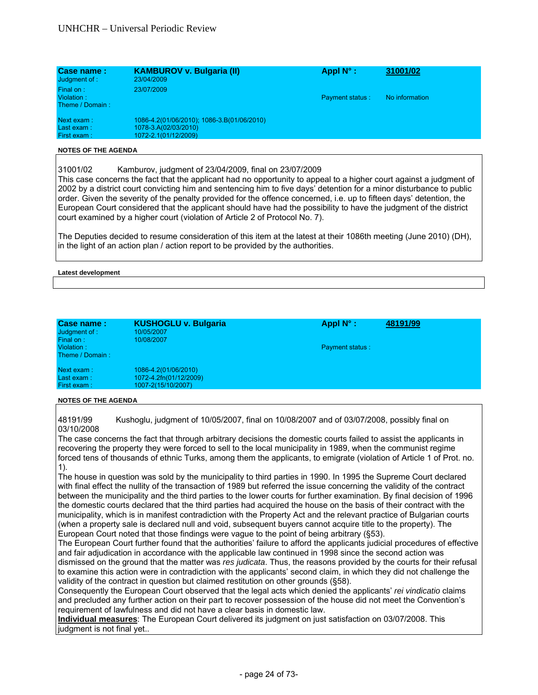| Case name:<br>Judgment of :                | <b>KAMBUROV v. Bulgaria (II)</b><br>23/04/2009                                             | Appl $N^{\circ}$ :     | 31001/02       |
|--------------------------------------------|--------------------------------------------------------------------------------------------|------------------------|----------------|
| Final on:<br>Violation:<br>Theme / Domain: | 23/07/2009                                                                                 | <b>Payment status:</b> | No information |
| Next exam:<br>Last exam:<br>First exam:    | 1086-4.2(01/06/2010); 1086-3.B(01/06/2010)<br>1078-3.A(02/03/2010)<br>1072-2.1(01/12/2009) |                        |                |

31001/02 Kamburov, judgment of 23/04/2009, final on 23/07/2009

This case concerns the fact that the applicant had no opportunity to appeal to a higher court against a judgment of 2002 by a district court convicting him and sentencing him to five days' detention for a minor disturbance to public order. Given the severity of the penalty provided for the offence concerned, i.e. up to fifteen days' detention, the European Court considered that the applicant should have had the possibility to have the judgment of the district court examined by a higher court (violation of Article 2 of Protocol No. 7).

The Deputies decided to resume consideration of this item at the latest at their 1086th meeting (June 2010) (DH), in the light of an action plan / action report to be provided by the authorities.

**Latest development** 

| Case name:<br>Judgment of :<br>Final on:<br>Violation:<br>Theme / Domain: | <b>KUSHOGLU v. Bulgaria</b><br>10/05/2007<br>10/08/2007              | Appl $N^{\circ}$ :<br><b>Payment status:</b> | 48191/99 |
|---------------------------------------------------------------------------|----------------------------------------------------------------------|----------------------------------------------|----------|
| Next exam:<br>Last exam:<br>First exam:                                   | 1086-4.2(01/06/2010)<br>1072-4.2fn(01/12/2009)<br>1007-2(15/10/2007) |                                              |          |

#### **NOTES OF THE AGENDA**

48191/99 Kushoglu, judgment of 10/05/2007, final on 10/08/2007 and of 03/07/2008, possibly final on 03/10/2008

The case concerns the fact that through arbitrary decisions the domestic courts failed to assist the applicants in recovering the property they were forced to sell to the local municipality in 1989, when the communist regime forced tens of thousands of ethnic Turks, among them the applicants, to emigrate (violation of Article 1 of Prot. no. 1).

The house in question was sold by the municipality to third parties in 1990. In 1995 the Supreme Court declared with final effect the nullity of the transaction of 1989 but referred the issue concerning the validity of the contract between the municipality and the third parties to the lower courts for further examination. By final decision of 1996 the domestic courts declared that the third parties had acquired the house on the basis of their contract with the municipality, which is in manifest contradiction with the Property Act and the relevant practice of Bulgarian courts (when a property sale is declared null and void, subsequent buyers cannot acquire title to the property). The European Court noted that those findings were vague to the point of being arbitrary (§53).

The European Court further found that the authorities' failure to afford the applicants judicial procedures of effective and fair adjudication in accordance with the applicable law continued in 1998 since the second action was dismissed on the ground that the matter was *res judicata*. Thus, the reasons provided by the courts for their refusal to examine this action were in contradiction with the applicants' second claim, in which they did not challenge the validity of the contract in question but claimed restitution on other grounds (§58).

Consequently the European Court observed that the legal acts which denied the applicants' *rei vindicatio* claims and precluded any further action on their part to recover possession of the house did not meet the Convention's requirement of lawfulness and did not have a clear basis in domestic law.

**Individual measures**: The European Court delivered its judgment on just satisfaction on 03/07/2008. This judgment is not final yet..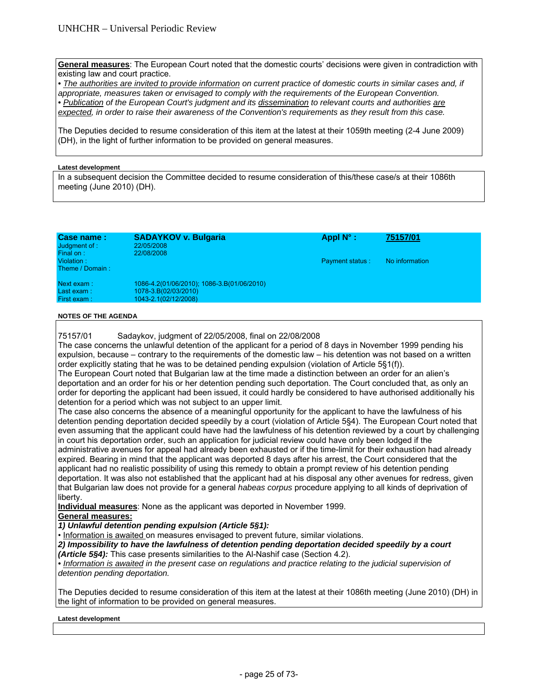**General measures**: The European Court noted that the domestic courts' decisions were given in contradiction with existing law and court practice.

*• The authorities are invited to provide information on current practice of domestic courts in similar cases and, if appropriate, measures taken or envisaged to comply with the requirements of the European Convention. • Publication of the European Court's judgment and its dissemination to relevant courts and authorities are expected, in order to raise their awareness of the Convention's requirements as they result from this case.* 

The Deputies decided to resume consideration of this item at the latest at their 1059th meeting (2-4 June 2009) (DH), in the light of further information to be provided on general measures.

#### **Latest development**

In a subsequent decision the Committee decided to resume consideration of this/these case/s at their 1086th meeting (June 2010) (DH).

| Case name:<br>Judgment of :<br>Final on: | <b>SADAYKOV v. Bulgaria</b><br>22/05/2008<br>22/08/2008                                    | Appl $N^{\circ}$ :     | 75157/01       |
|------------------------------------------|--------------------------------------------------------------------------------------------|------------------------|----------------|
| Violation:<br>Theme / Domain:            |                                                                                            | <b>Payment status:</b> | No information |
| Next exam:<br>Last exam:<br>First exam:  | 1086-4.2(01/06/2010); 1086-3.B(01/06/2010)<br>1078-3.B(02/03/2010)<br>1043-2.1(02/12/2008) |                        |                |

#### **NOTES OF THE AGENDA**

75157/01 Sadaykov, judgment of 22/05/2008, final on 22/08/2008

The case concerns the unlawful detention of the applicant for a period of 8 days in November 1999 pending his expulsion, because – contrary to the requirements of the domestic law – his detention was not based on a written order explicitly stating that he was to be detained pending expulsion (violation of Article 5§1(f)).

The European Court noted that Bulgarian law at the time made a distinction between an order for an alien's deportation and an order for his or her detention pending such deportation. The Court concluded that, as only an order for deporting the applicant had been issued, it could hardly be considered to have authorised additionally his detention for a period which was not subject to an upper limit.

The case also concerns the absence of a meaningful opportunity for the applicant to have the lawfulness of his detention pending deportation decided speedily by a court (violation of Article 5§4). The European Court noted that even assuming that the applicant could have had the lawfulness of his detention reviewed by a court by challenging in court his deportation order, such an application for judicial review could have only been lodged if the administrative avenues for appeal had already been exhausted or if the time-limit for their exhaustion had already expired. Bearing in mind that the applicant was deported 8 days after his arrest, the Court considered that the applicant had no realistic possibility of using this remedy to obtain a prompt review of his detention pending deportation. It was also not established that the applicant had at his disposal any other avenues for redress, given that Bulgarian law does not provide for a general *habeas corpus* procedure applying to all kinds of deprivation of liberty.

**Individual measures**: None as the applicant was deported in November 1999.

# **General measures:**

*1) Unlawful detention pending expulsion (Article 5§1):* 

• Information is awaited on measures envisaged to prevent future, similar violations.

*2) Impossibility to have the lawfulness of detention pending deportation decided speedily by a court (Article 5§4):* This case presents similarities to the Al-Nashif case (Section 4.2).

*• Information is awaited in the present case on regulations and practice relating to the judicial supervision of detention pending deportation.*

The Deputies decided to resume consideration of this item at the latest at their 1086th meeting (June 2010) (DH) in the light of information to be provided on general measures.

#### **Latest development**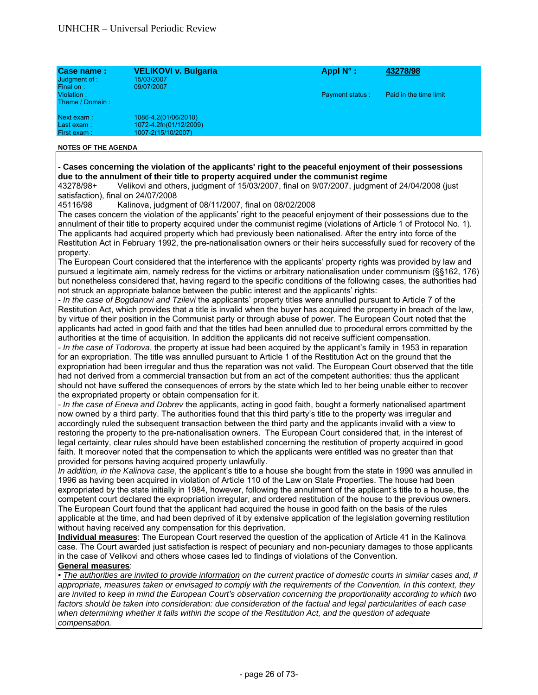| Case name:<br>Judgment of :<br>Final on: | VELIKOVI v. Bulgaria<br>15/03/2007<br>09/07/2007                     | Appl $N^{\circ}$ :     | 43278/98               |
|------------------------------------------|----------------------------------------------------------------------|------------------------|------------------------|
| Violation:<br>Theme / Domain:            |                                                                      | <b>Payment status:</b> | Paid in the time limit |
| Next exam:<br>Last exam:<br>First exam:  | 1086-4.2(01/06/2010)<br>1072-4.2fn(01/12/2009)<br>1007-2(15/10/2007) |                        |                        |

### **- Cases concerning the violation of the applicants' right to the peaceful enjoyment of their possessions due to the annulment of their title to property acquired under the communist regime**

43278/98+ Velikovi and others, judgment of 15/03/2007, final on 9/07/2007, judgment of 24/04/2008 (just satisfaction), final on 24/07/2008

45116/98 Kalinova, judgment of 08/11/2007, final on 08/02/2008

The cases concern the violation of the applicants' right to the peaceful enjoyment of their possessions due to the annulment of their title to property acquired under the communist regime (violations of Article 1 of Protocol No. 1). The applicants had acquired property which had previously been nationalised. After the entry into force of the Restitution Act in February 1992, the pre-nationalisation owners or their heirs successfully sued for recovery of the property.

The European Court considered that the interference with the applicants' property rights was provided by law and pursued a legitimate aim, namely redress for the victims or arbitrary nationalisation under communism (§§162, 176) but nonetheless considered that, having regard to the specific conditions of the following cases, the authorities had not struck an appropriate balance between the public interest and the applicants' rights:

*- In the case of Bogdanovi and Tzilevi* the applicants' property titles were annulled pursuant to Article 7 of the Restitution Act, which provides that a title is invalid when the buyer has acquired the property in breach of the law, by virtue of their position in the Communist party or through abuse of power. The European Court noted that the applicants had acted in good faith and that the titles had been annulled due to procedural errors committed by the authorities at the time of acquisition. In addition the applicants did not receive sufficient compensation.

*- In the case of Todorova*, the property at issue had been acquired by the applicant's family in 1953 in reparation for an expropriation. The title was annulled pursuant to Article 1 of the Restitution Act on the ground that the expropriation had been irregular and thus the reparation was not valid. The European Court observed that the title had not derived from a commercial transaction but from an act of the competent authorities: thus the applicant should not have suffered the consequences of errors by the state which led to her being unable either to recover the expropriated property or obtain compensation for it.

*- In the case of Eneva and Dobrev* the applicants, acting in good faith, bought a formerly nationalised apartment now owned by a third party. The authorities found that this third party's title to the property was irregular and accordingly ruled the subsequent transaction between the third party and the applicants invalid with a view to restoring the property to the pre-nationalisation owners. The European Court considered that, in the interest of legal certainty, clear rules should have been established concerning the restitution of property acquired in good faith. It moreover noted that the compensation to which the applicants were entitled was no greater than that provided for persons having acquired property unlawfully.

*In addition, in the Kalinova case*, the applicant's title to a house she bought from the state in 1990 was annulled in 1996 as having been acquired in violation of Article 110 of the Law on State Properties. The house had been expropriated by the state initially in 1984, however, following the annulment of the applicant's title to a house, the competent court declared the expropriation irregular, and ordered restitution of the house to the previous owners. The European Court found that the applicant had acquired the house in good faith on the basis of the rules applicable at the time, and had been deprived of it by extensive application of the legislation governing restitution without having received any compensation for this deprivation.

**Individual measures**: The European Court reserved the question of the application of Article 41 in the Kalinova case. The Court awarded just satisfaction is respect of pecuniary and non-pecuniary damages to those applicants in the case of Velikovi and others whose cases led to findings of violations of the Convention. **General measures**:

*• The authorities are invited to provide information on the current practice of domestic courts in similar cases and, if appropriate, measures taken or envisaged to comply with the requirements of the Convention. In this context, they are invited to keep in mind the European Court's observation concerning the proportionality according to which two*  factors should be taken into consideration: due consideration of the factual and legal particularities of each case *when determining whether it falls within the scope of the Restitution Act, and the question of adequate compensation.*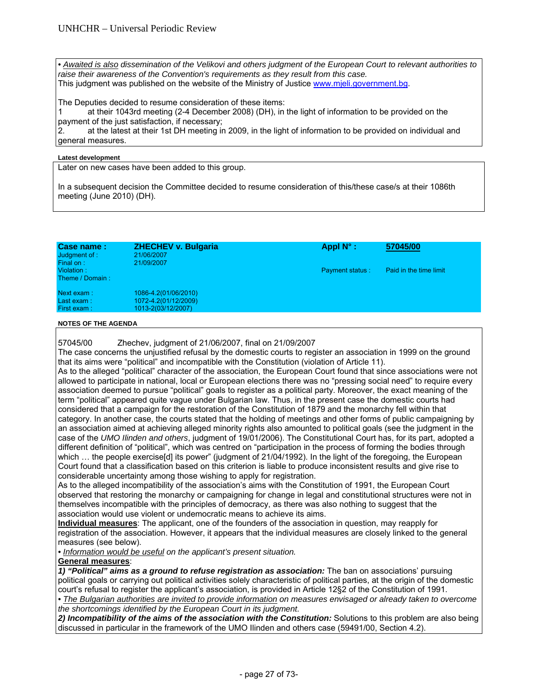*• Awaited is also dissemination of the Velikovi and others judgment of the European Court to relevant authorities to raise their awareness of the Convention's requirements as they result from this case.*  This judgment was published on the website of the Ministry of Justice www.mjeli.government.bg.

The Deputies decided to resume consideration of these items:

1 at their 1043rd meeting (2-4 December 2008) (DH), in the light of information to be provided on the payment of the just satisfaction, if necessary;

2. at the latest at their 1st DH meeting in 2009, in the light of information to be provided on individual and general measures.

#### **Latest development**

Later on new cases have been added to this group.

In a subsequent decision the Committee decided to resume consideration of this/these case/s at their 1086th meeting (June 2010) (DH).

| Case name:<br>Judgment of:<br>Final on: | <b>ZHECHEV v. Bulgaria</b><br>21/06/2007<br>21/09/2007 | Appl $N^{\circ}$ :     | 57045/00               |
|-----------------------------------------|--------------------------------------------------------|------------------------|------------------------|
| Violation:<br>Theme / Domain:           |                                                        | <b>Payment status:</b> | Paid in the time limit |
| Next exam:                              | 1086-4.2(01/06/2010)                                   |                        |                        |
| Last exam:                              | 1072-4.2(01/12/2009)                                   |                        |                        |
| First exam:                             | 1013-2(03/12/2007)                                     |                        |                        |
|                                         |                                                        |                        |                        |

#### **NOTES OF THE AGENDA**

57045/00 Zhechev, judgment of 21/06/2007, final on 21/09/2007

The case concerns the unjustified refusal by the domestic courts to register an association in 1999 on the ground that its aims were "political" and incompatible with the Constitution (violation of Article 11).

As to the alleged "political" character of the association, the European Court found that since associations were not allowed to participate in national, local or European elections there was no "pressing social need" to require every association deemed to pursue "political" goals to register as a political party. Moreover, the exact meaning of the term "political" appeared quite vague under Bulgarian law. Thus, in the present case the domestic courts had considered that a campaign for the restoration of the Constitution of 1879 and the monarchy fell within that category. In another case, the courts stated that the holding of meetings and other forms of public campaigning by an association aimed at achieving alleged minority rights also amounted to political goals (see the judgment in the case of the *UMO Ilinden and others*, judgment of 19/01/2006). The Constitutional Court has, for its part, adopted a different definition of "political", which was centred on "participation in the process of forming the bodies through which ... the people exercise<sup>[d]</sup> its power" (judgment of 21/04/1992). In the light of the foregoing, the European Court found that a classification based on this criterion is liable to produce inconsistent results and give rise to considerable uncertainty among those wishing to apply for registration.

As to the alleged incompatibility of the association's aims with the Constitution of 1991, the European Court observed that restoring the monarchy or campaigning for change in legal and constitutional structures were not in themselves incompatible with the principles of democracy, as there was also nothing to suggest that the association would use violent or undemocratic means to achieve its aims.

**Individual measures**: The applicant, one of the founders of the association in question, may reapply for registration of the association. However, it appears that the individual measures are closely linked to the general measures (see below).

*• Information would be useful on the applicant's present situation.* 

# **General measures**:

*1) "Political" aims as a ground to refuse registration as association:* The ban on associations' pursuing political goals or carrying out political activities solely characteristic of political parties, at the origin of the domestic court's refusal to register the applicant's association, is provided in Article 12§2 of the Constitution of 1991.

**•** The Bulgarian authorities are invited to provide information on measures envisaged or already taken to overcome *the shortcomings identified by the European Court in its judgment.* 

*2) Incompatibility of the aims of the association with the Constitution:* Solutions to this problem are also being discussed in particular in the framework of the UMO Ilinden and others case (59491/00, Section 4.2).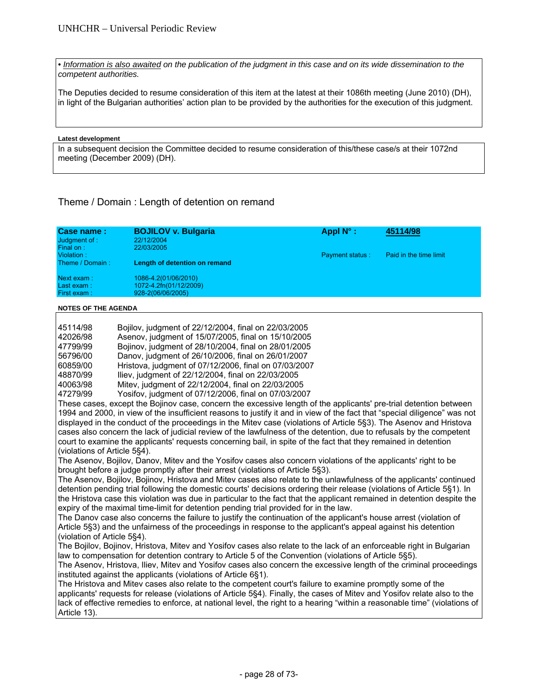**•** Information is also awaited on the publication of the judgment in this case and on its wide dissemination to the *competent authorities.* 

The Deputies decided to resume consideration of this item at the latest at their 1086th meeting (June 2010) (DH), in light of the Bulgarian authorities' action plan to be provided by the authorities for the execution of this judgment.

#### **Latest development**

In a subsequent decision the Committee decided to resume consideration of this/these case/s at their 1072nd meeting (December 2009) (DH).

# Theme / Domain : Length of detention on remand

| Case name:<br>Judgment of :<br>Final on: | <b>BOJILOV v. Bulgaria</b><br>22/12/2004<br>22/03/2005              | Appl $N^{\circ}$ :     | 45114/98               |
|------------------------------------------|---------------------------------------------------------------------|------------------------|------------------------|
| Violation:<br>Theme / Domain:            | Length of detention on remand                                       | <b>Payment status:</b> | Paid in the time limit |
| Next exam:<br>Last exam:<br>First exam:  | 1086-4.2(01/06/2010)<br>1072-4.2fn(01/12/2009)<br>928-2(06/06/2005) |                        |                        |

#### **NOTES OF THE AGENDA**

| 45114/98 | Bojilov, judgment of 22/12/2004, final on 22/03/2005  |
|----------|-------------------------------------------------------|
| 42026/98 | Asenov, judgment of 15/07/2005, final on 15/10/2005   |
| 47799/99 | Bojinov, judgment of 28/10/2004, final on 28/01/2005  |
| 56796/00 | Danov, judgment of 26/10/2006, final on 26/01/2007    |
| 60859/00 | Hristova, judgment of 07/12/2006, final on 07/03/2007 |
| 48870/99 | Iliev, judgment of 22/12/2004, final on 22/03/2005    |
| 40063/98 | Mitev, judgment of 22/12/2004, final on 22/03/2005    |
| 47279/99 | Yosifov, judgment of 07/12/2006, final on 07/03/2007  |

These cases, except the Bojinov case, concern the excessive length of the applicants' pre-trial detention between 1994 and 2000, in view of the insufficient reasons to justify it and in view of the fact that "special diligence" was not displayed in the conduct of the proceedings in the Mitev case (violations of Article 5§3). The Asenov and Hristova cases also concern the lack of judicial review of the lawfulness of the detention, due to refusals by the competent court to examine the applicants' requests concerning bail, in spite of the fact that they remained in detention (violations of Article 5§4).

The Asenov, Bojilov, Danov, Mitev and the Yosifov cases also concern violations of the applicants' right to be brought before a judge promptly after their arrest (violations of Article 5§3).

The Asenov, Bojilov, Bojinov, Hristova and Mitev cases also relate to the unlawfulness of the applicants' continued detention pending trial following the domestic courts' decisions ordering their release (violations of Article 5§1). In the Hristova case this violation was due in particular to the fact that the applicant remained in detention despite the expiry of the maximal time-limit for detention pending trial provided for in the law.

The Danov case also concerns the failure to justify the continuation of the applicant's house arrest (violation of Article 5§3) and the unfairness of the proceedings in response to the applicant's appeal against his detention (violation of Article 5§4).

The Bojilov, Bojinov, Hristova, Mitev and Yosifov cases also relate to the lack of an enforceable right in Bulgarian law to compensation for detention contrary to Article 5 of the Convention (violations of Article 5§5).

The Asenov, Hristova, Iliev, Mitev and Yosifov cases also concern the excessive length of the criminal proceedings instituted against the applicants (violations of Article 6§1).

The Hristova and Mitev cases also relate to the competent court's failure to examine promptly some of the applicants' requests for release (violations of Article 5§4). Finally, the cases of Mitev and Yosifov relate also to the lack of effective remedies to enforce, at national level, the right to a hearing "within a reasonable time" (violations of Article 13).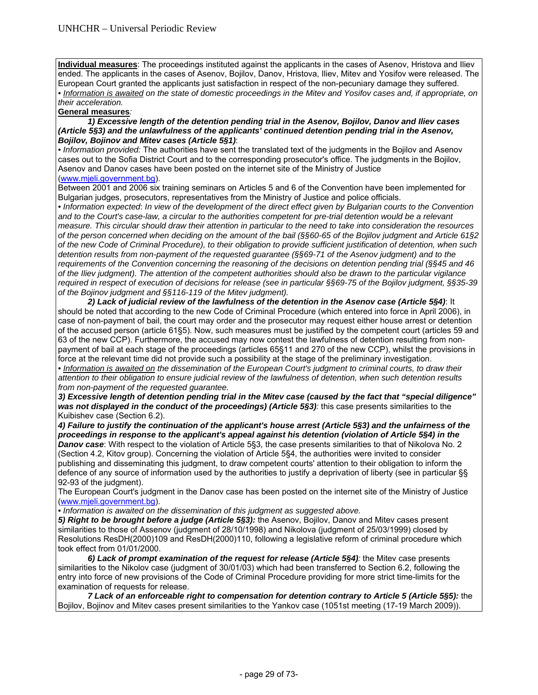**Individual measures**: The proceedings instituted against the applicants in the cases of Asenov, Hristova and Iliev ended. The applicants in the cases of Asenov, Bojilov, Danov, Hristova, Iliev, Mitev and Yosifov were released. The European Court granted the applicants just satisfaction in respect of the non-pecuniary damage they suffered. *• Information is awaited on the state of domestic proceedings in the Mitev and Yosifov cases and, if appropriate, on their acceleration.* 

#### **General measures***:*

## *1) Excessive length of the detention pending trial in the Asenov, Bojilov, Danov and Iliev cases (Article 5§3) and the unlawfulness of the applicants' continued detention pending trial in the Asenov, Bojilov, Bojinov and Mitev cases (Article 5§1)*:

*• Information provided:* The authorities have sent the translated text of the judgments in the Bojilov and Asenov cases out to the Sofia District Court and to the corresponding prosecutor's office. The judgments in the Bojilov, Asenov and Danov cases have been posted on the internet site of the Ministry of Justice (www.mjeli.government.bg).

Between 2001 and 2006 six training seminars on Articles 5 and 6 of the Convention have been implemented for Bulgarian judges, prosecutors, representatives from the Ministry of Justice and police officials.

*• Information expected*: *In view of the development of the direct effect given by Bulgarian courts to the Convention*  and to the Court's case-law, a circular to the authorities competent for pre-trial detention would be a relevant *measure. This circular should draw their attention in particular to the need to take into consideration the resources of the person concerned when deciding on the amount of the bail (§§60-65 of the Bojilov judgment and Article 61§2 of the new Code of Criminal Procedure), to their obligation to provide sufficient justification of detention, when such detention results from non-payment of the requested guarantee (§§69-71 of the Asenov judgment) and to the requirements of the Convention concerning the reasoning of the decisions on detention pending trial (§§45 and 46 of the Iliev judgment). The attention of the competent authorities should also be drawn to the particular vigilance required in respect of execution of decisions for release (see in particular §§69-75 of the Bojilov judgment, §§35-39 of the Bojinov judgment and §§116-119 of the Mitev judgment).* 

 *2) Lack of judicial review of the lawfulness of the detention in the Asenov case (Article 5§4)*: It should be noted that according to the new Code of Criminal Procedure (which entered into force in April 2006), in case of non-payment of bail, the court may order and the prosecutor may request either house arrest or detention of the accused person (article 61§5). Now, such measures must be justified by the competent court (articles 59 and 63 of the new CCP). Furthermore, the accused may now contest the lawfulness of detention resulting from nonpayment of bail at each stage of the proceedings (articles 65§11 and 270 of the new CCP), whilst the provisions in force at the relevant time did not provide such a possibility at the stage of the preliminary investigation.

*• Information is awaited on the dissemination of the European Court's judgment to criminal courts, to draw their attention to their obligation to ensure judicial review of the lawfulness of detention, when such detention results from non-payment of the requested guarantee.* 

*3) Excessive length of detention pending trial in the Mitev case (caused by the fact that "special diligence" was not displayed in the conduct of the proceedings) (Article 5§3):* this case presents similarities to the Kuibishev case (Section 6.2).

*4) Failure to justify the continuation of the applicant's house arrest (Article 5§3) and the unfairness of the proceedings in response to the applicant's appeal against his detention (violation of Article 5§4) in the Danov case*: With respect to the violation of Article 5§3, the case presents similarities to that of Nikolova No. 2 (Section 4.2, Kitov group). Concerning the violation of Article 5§4, the authorities were invited to consider publishing and disseminating this judgment, to draw competent courts' attention to their obligation to inform the defence of any source of information used by the authorities to justify a deprivation of liberty (see in particular §§ 92-93 of the judgment).

The European Court's judgment in the Danov case has been posted on the internet site of the Ministry of Justice (www.mjeli.government.bg).

*• Information is awaited on the dissemination of this judgment as suggested above.*

*5) Right to be brought before a judge (Article 5§3):* the Asenov, Bojilov, Danov and Mitev cases present similarities to those of Assenov (judgment of 28/10/1998) and Nikolova (judgment of 25/03/1999) closed by Resolutions ResDH(2000)109 and ResDH(2000)110, following a legislative reform of criminal procedure which took effect from 01/01/2000.

 *6) Lack of prompt examination of the request for release (Article 5§4):* the Mitev case presents similarities to the Nikolov case (judgment of 30/01/03) which had been transferred to Section 6.2, following the entry into force of new provisions of the Code of Criminal Procedure providing for more strict time-limits for the examination of requests for release.

 *7 Lack of an enforceable right to compensation for detention contrary to Article 5 (Article 5§5):* the Bojilov, Bojinov and Mitev cases present similarities to the Yankov case (1051st meeting (17-19 March 2009)).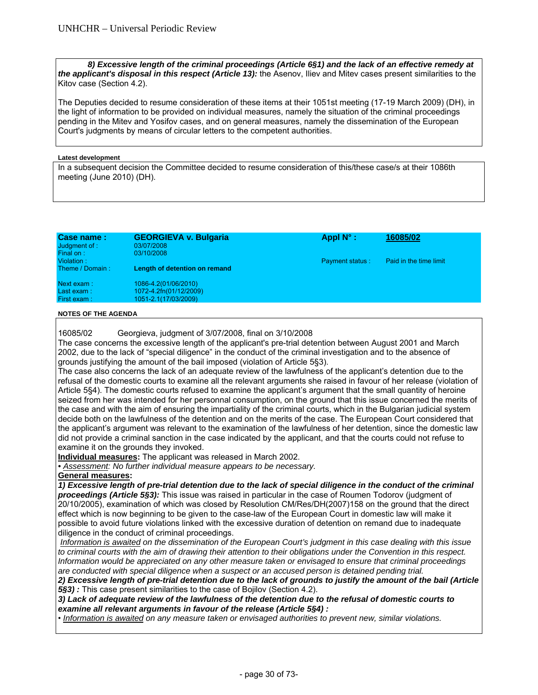*8) Excessive length of the criminal proceedings (Article 6§1) and the lack of an effective remedy at the applicant's disposal in this respect (Article 13):* the Asenov, Iliev and Mitev cases present similarities to the Kitov case (Section 4.2).

The Deputies decided to resume consideration of these items at their 1051st meeting (17-19 March 2009) (DH), in the light of information to be provided on individual measures, namely the situation of the criminal proceedings pending in the Mitev and Yosifov cases, and on general measures, namely the dissemination of the European Court's judgments by means of circular letters to the competent authorities.

#### **Latest development**

In a subsequent decision the Committee decided to resume consideration of this/these case/s at their 1086th meeting (June 2010) (DH).

| Case name:<br>Judgment of:<br>Final on: | <b>GEORGIEVA v. Bulgaria</b><br>03/07/2008<br>03/10/2008               | Appl $N^{\circ}$ :     | 16085/02               |
|-----------------------------------------|------------------------------------------------------------------------|------------------------|------------------------|
| Violation:<br>Theme / Domain:           | Length of detention on remand                                          | <b>Payment status:</b> | Paid in the time limit |
| Next exam:<br>Last exam:<br>First exam: | 1086-4.2(01/06/2010)<br>1072-4.2fn(01/12/2009)<br>1051-2.1(17/03/2009) |                        |                        |

#### **NOTES OF THE AGENDA**

16085/02 Georgieva, judgment of 3/07/2008, final on 3/10/2008

The case concerns the excessive length of the applicant's pre-trial detention between August 2001 and March 2002, due to the lack of "special diligence" in the conduct of the criminal investigation and to the absence of grounds justifying the amount of the bail imposed (violation of Article 5§3).

The case also concerns the lack of an adequate review of the lawfulness of the applicant's detention due to the refusal of the domestic courts to examine all the relevant arguments she raised in favour of her release (violation of Article 5§4). The domestic courts refused to examine the applicant's argument that the small quantity of heroine seized from her was intended for her personnal consumption, on the ground that this issue concerned the merits of the case and with the aim of ensuring the impartiality of the criminal courts, which in the Bulgarian judicial system decide both on the lawfulness of the detention and on the merits of the case. The European Court considered that the applicant's argument was relevant to the examination of the lawfulness of her detention, since the domestic law did not provide a criminal sanction in the case indicated by the applicant, and that the courts could not refuse to examine it on the grounds they invoked.

**Individual measures:** The applicant was released in March 2002.

*• Assessment: No further individual measure appears to be necessary.* 

**General measures:** 

*1) Excessive length of pre-trial detention due to the lack of special diligence in the conduct of the criminal proceedings (Article 5§3):* This issue was raised in particular in the case of Roumen Todorov (judgment of 20/10/2005), examination of which was closed by Resolution CM/Res/DH(2007)158 on the ground that the direct effect which is now beginning to be given to the case-law of the European Court in domestic law will make it possible to avoid future violations linked with the excessive duration of detention on remand due to inadequate diligence in the conduct of criminal proceedings.

 *Information is awaited on the dissemination of the European Court's judgment in this case dealing with this issue to criminal courts with the aim of drawing their attention to their obligations under the Convention in this respect. Information would be appreciated on any other measure taken or envisaged to ensure that criminal proceedings are conducted with special diligence when a suspect or an accused person is detained pending trial.* 

*2) Excessive length of pre-trial detention due to the lack of grounds to justify the amount of the bail (Article 5§3) :* This case present similarities to the case of Bojilov (Section 4.2).

*3) Lack of adequate review of the lawfulness of the detention due to the refusal of domestic courts to examine all relevant arguments in favour of the release (Article 5§4) :* 

• *Information is awaited on any measure taken or envisaged authorities to prevent new, similar violations.*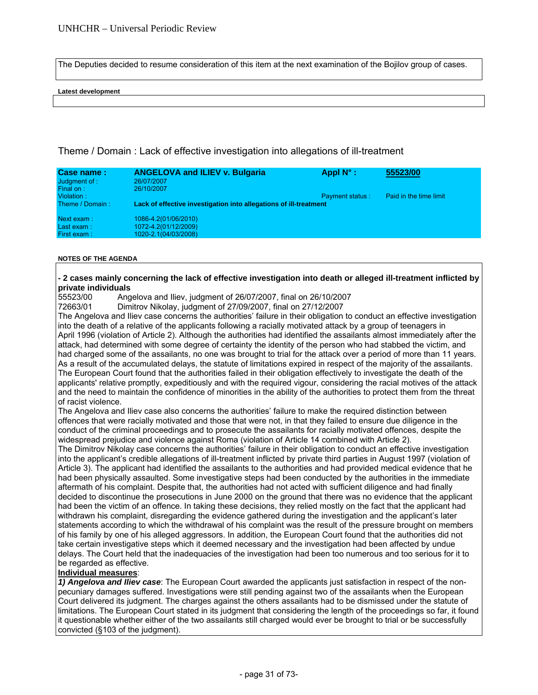The Deputies decided to resume consideration of this item at the next examination of the Bojilov group of cases.

#### **Latest development**

# Theme / Domain : Lack of effective investigation into allegations of ill-treatment

| Case name:<br>Judgment of :<br>Final on: | <b>ANGELOVA and ILIEV v. Bulgaria</b><br>26/07/2007<br>26/10/2007    | Appl $N^{\circ}$ :     | 55523/00               |
|------------------------------------------|----------------------------------------------------------------------|------------------------|------------------------|
| Violation:<br>Theme / Domain:            | Lack of effective investigation into allegations of ill-treatment    | <b>Payment status:</b> | Paid in the time limit |
| Next exam:<br>Last exam:<br>First exam:  | 1086-4.2(01/06/2010)<br>1072-4.2(01/12/2009)<br>1020-2.1(04/03/2008) |                        |                        |

#### **NOTES OF THE AGENDA**

# **- 2 cases mainly concerning the lack of effective investigation into death or alleged ill-treatment inflicted by private individuals**

55523/00 Angelova and Iliev, judgment of 26/07/2007, final on 26/10/2007

72663/01 Dimitrov Nikolay, judgment of 27/09/2007, final on 27/12/2007

The Angelova and Iliev case concerns the authorities' failure in their obligation to conduct an effective investigation into the death of a relative of the applicants following a racially motivated attack by a group of teenagers in April 1996 (violation of Article 2). Although the authorities had identified the assailants almost immediately after the attack, had determined with some degree of certainty the identity of the person who had stabbed the victim, and had charged some of the assailants, no one was brought to trial for the attack over a period of more than 11 years. As a result of the accumulated delays, the statute of limitations expired in respect of the majority of the assailants. The European Court found that the authorities failed in their obligation effectively to investigate the death of the applicants' relative promptly, expeditiously and with the required vigour, considering the racial motives of the attack and the need to maintain the confidence of minorities in the ability of the authorities to protect them from the threat of racist violence.

The Angelova and Iliev case also concerns the authorities' failure to make the required distinction between offences that were racially motivated and those that were not, in that they failed to ensure due diligence in the conduct of the criminal proceedings and to prosecute the assailants for racially motivated offences, despite the widespread prejudice and violence against Roma (violation of Article 14 combined with Article 2).

The Dimitrov Nikolay case concerns the authorities' failure in their obligation to conduct an effective investigation into the applicant's credible allegations of ill-treatment inflicted by private third parties in August 1997 (violation of Article 3). The applicant had identified the assailants to the authorities and had provided medical evidence that he had been physically assaulted. Some investigative steps had been conducted by the authorities in the immediate aftermath of his complaint. Despite that, the authorities had not acted with sufficient diligence and had finally decided to discontinue the prosecutions in June 2000 on the ground that there was no evidence that the applicant had been the victim of an offence. In taking these decisions, they relied mostly on the fact that the applicant had withdrawn his complaint, disregarding the evidence gathered during the investigation and the applicant's later statements according to which the withdrawal of his complaint was the result of the pressure brought on members of his family by one of his alleged aggressors. In addition, the European Court found that the authorities did not take certain investigative steps which it deemed necessary and the investigation had been affected by undue delays. The Court held that the inadequacies of the investigation had been too numerous and too serious for it to be regarded as effective.

#### **Individual measures**:

*1) Angelova and Iliev case*: The European Court awarded the applicants just satisfaction in respect of the nonpecuniary damages suffered. Investigations were still pending against two of the assailants when the European Court delivered its judgment. The charges against the others assailants had to be dismissed under the statute of limitations. The European Court stated in its judgment that considering the length of the proceedings so far, it found it questionable whether either of the two assailants still charged would ever be brought to trial or be successfully convicted (§103 of the judgment).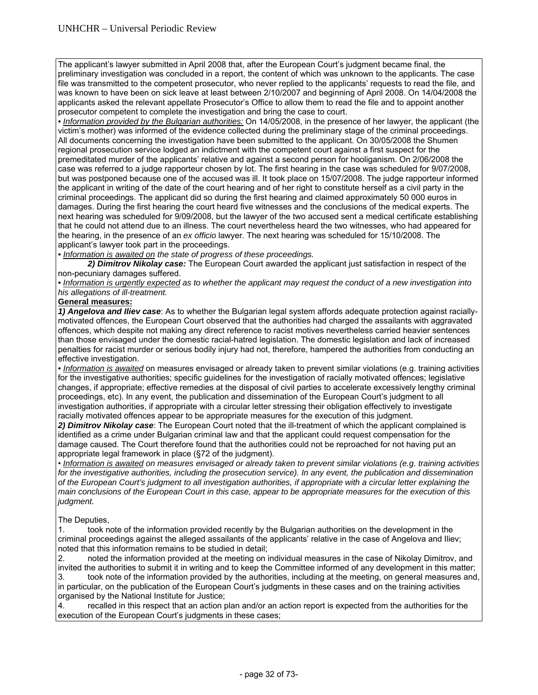The applicant's lawyer submitted in April 2008 that, after the European Court's judgment became final, the preliminary investigation was concluded in a report, the content of which was unknown to the applicants. The case file was transmitted to the competent prosecutor, who never replied to the applicants' requests to read the file, and was known to have been on sick leave at least between 2/10/2007 and beginning of April 2008. On 14/04/2008 the applicants asked the relevant appellate Prosecutor's Office to allow them to read the file and to appoint another prosecutor competent to complete the investigation and bring the case to court.

*• Information provided by the Bulgarian authorities:* On 14/05/2008, in the presence of her lawyer, the applicant (the victim's mother) was informed of the evidence collected during the preliminary stage of the criminal proceedings. All documents concerning the investigation have been submitted to the applicant. On 30/05/2008 the Shumen regional prosecution service lodged an indictment with the competent court against a first suspect for the premeditated murder of the applicants' relative and against a second person for hooliganism. On 2/06/2008 the case was referred to a judge rapporteur chosen by lot. The first hearing in the case was scheduled for 9/07/2008, but was postponed because one of the accused was ill. It took place on 15/07/2008. The judge rapporteur informed the applicant in writing of the date of the court hearing and of her right to constitute herself as a civil party in the criminal proceedings. The applicant did so during the first hearing and claimed approximately 50 000 euros in damages. During the first hearing the court heard five witnesses and the conclusions of the medical experts. The next hearing was scheduled for 9/09/2008, but the lawyer of the two accused sent a medical certificate establishing that he could not attend due to an illness. The court nevertheless heard the two witnesses, who had appeared for the hearing, in the presence of an *ex officio* lawyer. The next hearing was scheduled for 15/10/2008. The applicant's lawyer took part in the proceedings.

*• Information is awaited on the state of progress of these proceedings.* 

*2) Dimitrov Nikolay case:* The European Court awarded the applicant just satisfaction in respect of the non-pecuniary damages suffered.

*• Information is urgently expected as to whether the applicant may request the conduct of a new investigation into his allegations of ill-treatment.* 

# **General measures:**

*1) Angelova and Iliev case*: As to whether the Bulgarian legal system affords adequate protection against raciallymotivated offences, the European Court observed that the authorities had charged the assailants with aggravated offences, which despite not making any direct reference to racist motives nevertheless carried heavier sentences than those envisaged under the domestic racial-hatred legislation. The domestic legislation and lack of increased penalties for racist murder or serious bodily injury had not, therefore, hampered the authorities from conducting an effective investigation.

*• Information is awaited* on measures envisaged or already taken to prevent similar violations (e.g. training activities for the investigative authorities; specific guidelines for the investigation of racially motivated offences; legislative changes, if appropriate; effective remedies at the disposal of civil parties to accelerate excessively lengthy criminal proceedings, etc). In any event, the publication and dissemination of the European Court's judgment to all investigation authorities, if appropriate with a circular letter stressing their obligation effectively to investigate racially motivated offences appear to be appropriate measures for the execution of this judgment.

*2) Dimitrov Nikolay case*: The European Court noted that the ill-treatment of which the applicant complained is identified as a crime under Bulgarian criminal law and that the applicant could request compensation for the damage caused. The Court therefore found that the authorities could not be reproached for not having put an appropriate legal framework in place (§72 of the judgment).

• *Information is awaited on measures envisaged or already taken to prevent similar violations (e.g. training activities*  for the investigative authorities, including the prosecution service). In any event, the publication and dissemination *of the European Court's judgment to all investigation authorities, if appropriate with a circular letter explaining the main conclusions of the European Court in this case, appear to be appropriate measures for the execution of this judgment.* 

The Deputies,

1. took note of the information provided recently by the Bulgarian authorities on the development in the criminal proceedings against the alleged assailants of the applicants' relative in the case of Angelova and Iliev; noted that this information remains to be studied in detail;

2. noted the information provided at the meeting on individual measures in the case of Nikolay Dimitrov, and invited the authorities to submit it in writing and to keep the Committee informed of any development in this matter; 3. took note of the information provided by the authorities, including at the meeting, on general measures and, in particular, on the publication of the European Court's judgments in these cases and on the training activities organised by the National Institute for Justice;

4. recalled in this respect that an action plan and/or an action report is expected from the authorities for the execution of the European Court's judgments in these cases;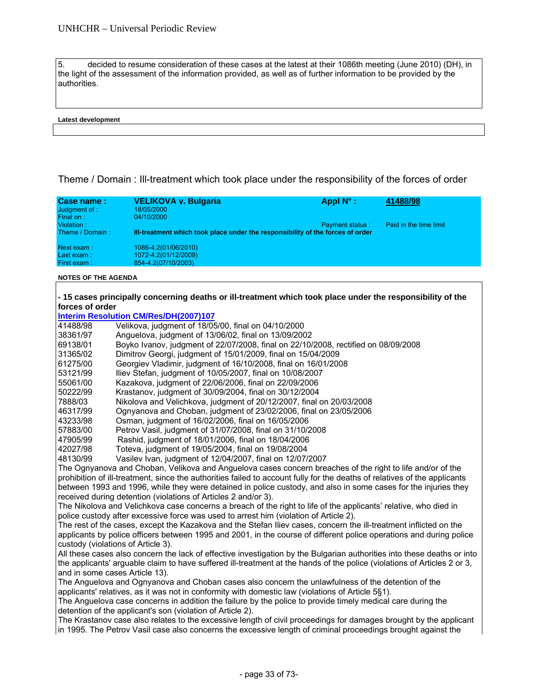5. decided to resume consideration of these cases at the latest at their 1086th meeting (June 2010) (DH), in the light of the assessment of the information provided, as well as of further information to be provided by the authorities.

#### **Latest development**

Theme / Domain : Ill-treatment which took place under the responsibility of the forces of order

| Case name:<br>Judgment of :<br>Final on: | <b>VELIKOVA v. Bulgaria</b><br>18/05/2000<br>04/10/2000                        | Appl $N^{\circ}$ :     | 41488/98               |
|------------------------------------------|--------------------------------------------------------------------------------|------------------------|------------------------|
| Violation:<br>Theme / Domain:            | III-treatment which took place under the responsibility of the forces of order | <b>Payment status:</b> | Paid in the time limit |
| Next exam:<br>Last exam:<br>First exam:  | 1086-4.2(01/06/2010)<br>1072-4.2(01/12/2009)<br>854-4.2(07/10/2003)            |                        |                        |

#### **NOTES OF THE AGENDA**

|                 | - 15 cases principally concerning deaths or ill-treatment which took place under the responsibility of the |  |
|-----------------|------------------------------------------------------------------------------------------------------------|--|
| forces of order |                                                                                                            |  |
|                 | Interim Resolution CM/Res/DH(2007)107                                                                      |  |
| 41488/98        | Velikova, judgment of 18/05/00, final on 04/10/2000                                                        |  |
| 20201107        | $0.2000000$ independent of 12/08/02 final and 2/00/2002                                                    |  |

| 38361/97                       | Anguelova, judgment of 13/06/02, final on 13/09/2002                                                                                                                                                      |
|--------------------------------|-----------------------------------------------------------------------------------------------------------------------------------------------------------------------------------------------------------|
| 69138/01                       | Boyko Ivanov, judgment of 22/07/2008, final on 22/10/2008, rectified on 08/09/2008                                                                                                                        |
| 31365/02                       | Dimitrov Georgi, judgment of 15/01/2009, final on 15/04/2009                                                                                                                                              |
| 61275/00                       | Georgiev Vladimir, judgment of 16/10/2008, final on 16/01/2008                                                                                                                                            |
| 53121/99                       | Iliev Stefan, judgment of 10/05/2007, final on 10/08/2007                                                                                                                                                 |
| 55061/00                       | Kazakova, judgment of 22/06/2006, final on 22/09/2006                                                                                                                                                     |
| 50222/99                       | Krastanov, judgment of 30/09/2004, final on 30/12/2004                                                                                                                                                    |
| 7888/03                        | Nikolova and Velichkova, judgment of 20/12/2007, final on 20/03/2008                                                                                                                                      |
| 46317/99                       | Ognyanova and Choban, judgment of 23/02/2006, final on 23/05/2006                                                                                                                                         |
| 43233/98                       | Osman, judgment of 16/02/2006, final on 16/05/2006                                                                                                                                                        |
| 57883/00                       | Petrov Vasil, judgment of 31/07/2008, final on 31/10/2008                                                                                                                                                 |
| 47905/99                       | Rashid, judgment of 18/01/2006, final on 18/04/2006                                                                                                                                                       |
| 42027/98                       | Toteva, judgment of 19/05/2004, final on 19/08/2004                                                                                                                                                       |
| 48130/99                       | Vasilev Ivan, judgment of 12/04/2007, final on 12/07/2007                                                                                                                                                 |
|                                | The Ognyanova and Choban, Velikova and Anguelova cases concern breaches of the right to life and/or of the                                                                                                |
|                                | prohibition of ill-treatment, since the authorities failed to account fully for the deaths of relatives of the applicants                                                                                 |
|                                | between 1993 and 1996, while they were detained in police custody, and also in some cases for the injuries they                                                                                           |
|                                | received during detention (violations of Articles 2 and/or 3).                                                                                                                                            |
|                                | The Nikolova and Velichkova case concerns a breach of the right to life of the applicants' relative, who died in<br>police custody after excessive force was used to arrest him (violation of Article 2). |
|                                | The rest of the cases, except the Kazakova and the Stefan Iliev cases, concern the ill-treatment inflicted on the                                                                                         |
|                                | applicants by police officers between 1995 and 2001, in the course of different police operations and during police                                                                                       |
|                                | custody (violations of Article 3).                                                                                                                                                                        |
|                                | All these cases also concern the lack of effective investigation by the Bulgarian authorities into these deaths or into                                                                                   |
|                                | the applicants' arguable claim to have suffered ill-treatment at the hands of the police (violations of Articles 2 or 3,                                                                                  |
| and in some cases Article 13). |                                                                                                                                                                                                           |
|                                | The Anguelova and Ognyanova and Choban cases also concern the unlawfulness of the detention of the                                                                                                        |
|                                | applicants' relatives, as it was not in conformity with domestic law (violations of Article 5§1).                                                                                                         |
|                                | The Anguelova case concerns in addition the failure by the police to provide timely medical care during the                                                                                               |
|                                | detention of the applicant's son (violation of Article 2).                                                                                                                                                |
|                                | The Krastanov case also relates to the excessive length of civil proceedings for damages brought by the applicant                                                                                         |
|                                | in 1995. The Petrov Vasil case also concerns the excessive length of criminal proceedings brought against the                                                                                             |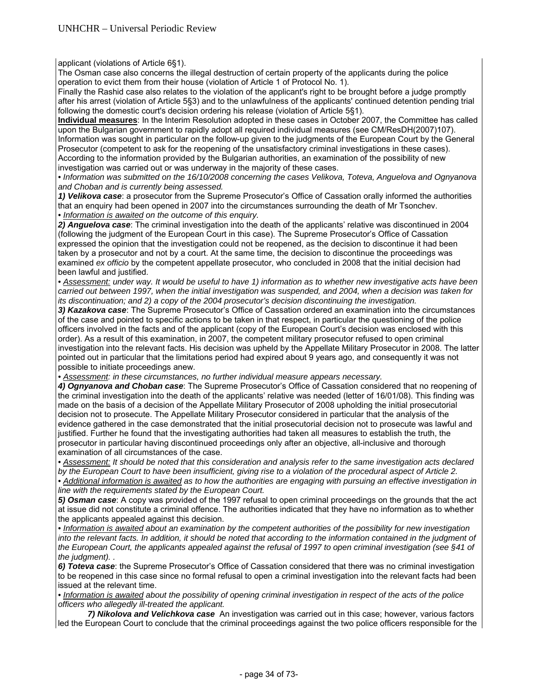applicant (violations of Article 6§1).

The Osman case also concerns the illegal destruction of certain property of the applicants during the police operation to evict them from their house (violation of Article 1 of Protocol No. 1).

Finally the Rashid case also relates to the violation of the applicant's right to be brought before a judge promptly after his arrest (violation of Article 5§3) and to the unlawfulness of the applicants' continued detention pending trial following the domestic court's decision ordering his release (violation of Article 5§1).

**Individual measures**: In the Interim Resolution adopted in these cases in October 2007, the Committee has called upon the Bulgarian government to rapidly adopt all required individual measures (see CM/ResDH(2007)107). Information was sought in particular on the follow-up given to the judgments of the European Court by the General Prosecutor (competent to ask for the reopening of the unsatisfactory criminal investigations in these cases). According to the information provided by the Bulgarian authorities, an examination of the possibility of new investigation was carried out or was underway in the majority of these cases.

*• Information was submitted on the 16/10/2008 concerning the cases Velikova, Toteva, Anguelova and Ognyanova and Choban and is currently being assessed.* 

*1) Velikova case*: a prosecutor from the Supreme Prosecutor's Office of Cassation orally informed the authorities that an enquiry had been opened in 2007 into the circumstances surrounding the death of Mr Tsonchev. *• Information is awaited on the outcome of this enquiry.* 

*2) Anguelova case*: The criminal investigation into the death of the applicants' relative was discontinued in 2004 (following the judgment of the European Court in this case). The Supreme Prosecutor's Office of Cassation expressed the opinion that the investigation could not be reopened, as the decision to discontinue it had been taken by a prosecutor and not by a court. At the same time, the decision to discontinue the proceedings was examined *ex officio* by the competent appellate prosecutor, who concluded in 2008 that the initial decision had been lawful and justified.

*• Assessment: under way. It would be useful to have 1) information as to whether new investigative acts have been carried out between 1997, when the initial investigation was suspended, and 2004, when a decision was taken for its discontinuation; and 2) a copy of the 2004 prosecutor's decision discontinuing the investigation.* 

*3) Kazakova case*: The Supreme Prosecutor's Office of Cassation ordered an examination into the circumstances of the case and pointed to specific actions to be taken in that respect, in particular the questioning of the police officers involved in the facts and of the applicant (copy of the European Court's decision was enclosed with this order). As a result of this examination, in 2007, the competent military prosecutor refused to open criminal investigation into the relevant facts. His decision was upheld by the Appellate Military Prosecutor in 2008. The latter pointed out in particular that the limitations period had expired about 9 years ago, and consequently it was not possible to initiate proceedings anew.

*• Assessment: in these circumstances, no further individual measure appears necessary.* 

*4) Ognyanova and Choban case*: The Supreme Prosecutor's Office of Cassation considered that no reopening of the criminal investigation into the death of the applicants' relative was needed (letter of 16/01/08). This finding was made on the basis of a decision of the Appellate Military Prosecutor of 2008 upholding the initial prosecutorial decision not to prosecute. The Appellate Military Prosecutor considered in particular that the analysis of the evidence gathered in the case demonstrated that the initial prosecutorial decision not to prosecute was lawful and justified. Further he found that the investigating authorities had taken all measures to establish the truth, the prosecutor in particular having discontinued proceedings only after an objective, all-inclusive and thorough examination of all circumstances of the case.

*• Assessment: It should be noted that this consideration and analysis refer to the same investigation acts declared by the European Court to have been insufficient, giving rise to a violation of the procedural aspect of Article 2.* 

*• Additional information is awaited as to how the authorities are engaging with pursuing an effective investigation in line with the requirements stated by the European Court.* 

*5) Osman case*: A copy was provided of the 1997 refusal to open criminal proceedings on the grounds that the act at issue did not constitute a criminal offence. The authorities indicated that they have no information as to whether the applicants appealed against this decision.

*• Information is awaited about an examination by the competent authorities of the possibility for new investigation into the relevant facts. In addition, it should be noted that according to the information contained in the judgment of the European Court, the applicants appealed against the refusal of 1997 to open criminal investigation (see §41 of the judgment). .* 

*6) Toteva case*: the Supreme Prosecutor's Office of Cassation considered that there was no criminal investigation to be reopened in this case since no formal refusal to open a criminal investigation into the relevant facts had been issued at the relevant time.

*• Information is awaited about the possibility of opening criminal investigation in respect of the acts of the police officers who allegedly ill-treated the applicant.* 

 *7) Nikolova and Velichkova case* An investigation was carried out in this case; however, various factors led the European Court to conclude that the criminal proceedings against the two police officers responsible for the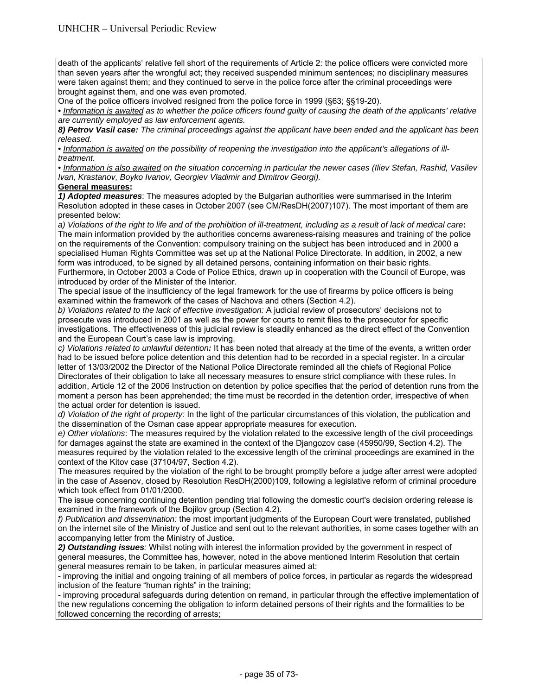death of the applicants' relative fell short of the requirements of Article 2: the police officers were convicted more than seven years after the wrongful act; they received suspended minimum sentences; no disciplinary measures were taken against them; and they continued to serve in the police force after the criminal proceedings were brought against them, and one was even promoted.

One of the police officers involved resigned from the police force in 1999 (§63; §§19-20).

• Information is awaited as to whether the police officers found guilty of causing the death of the applicants' relative *are currently employed as law enforcement agents.* 

*8) Petrov Vasil case: The criminal proceedings against the applicant have been ended and the applicant has been released.* 

*• Information is awaited on the possibility of reopening the investigation into the applicant's allegations of illtreatment.* 

*• Information is also awaited on the situation concerning in particular the newer cases (Iliev Stefan, Rashid, Vasilev Ivan, Krastanov, Boyko Ivanov, Georgiev Vladimir and Dimitrov Georgi).* 

# **General measures:**

*1) Adopted measures*: The measures adopted by the Bulgarian authorities were summarised in the Interim Resolution adopted in these cases in October 2007 (see CM/ResDH(2007)107). The most important of them are presented below:

*a) Violations of the right to life and of the prohibition of ill-treatment, including as a result of lack of medical care***:**  The main information provided by the authorities concerns awareness-raising measures and training of the police on the requirements of the Convention: compulsory training on the subject has been introduced and in 2000 a specialised Human Rights Committee was set up at the National Police Directorate. In addition, in 2002, a new form was introduced, to be signed by all detained persons, containing information on their basic rights. Furthermore, in October 2003 a Code of Police Ethics, drawn up in cooperation with the Council of Europe, was introduced by order of the Minister of the Interior.

The special issue of the insufficiency of the legal framework for the use of firearms by police officers is being examined within the framework of the cases of Nachova and others (Section 4.2).

*b) Violations related to the lack of effective investigation:* A judicial review of prosecutors' decisions not to prosecute was introduced in 2001 as well as the power for courts to remit files to the prosecutor for specific investigations. The effectiveness of this judicial review is steadily enhanced as the direct effect of the Convention and the European Court's case law is improving.

*c) Violations related to unlawful detention:* It has been noted that already at the time of the events, a written order had to be issued before police detention and this detention had to be recorded in a special register. In a circular letter of 13/03/2002 the Director of the National Police Directorate reminded all the chiefs of Regional Police Directorates of their obligation to take all necessary measures to ensure strict compliance with these rules. In addition, Article 12 of the 2006 Instruction on detention by police specifies that the period of detention runs from the moment a person has been apprehended; the time must be recorded in the detention order, irrespective of when the actual order for detention is issued.

*d) Violation of the right of property:* In the light of the particular circumstances of this violation, the publication and the dissemination of the Osman case appear appropriate measures for execution.

*e) Other violations*: The measures required by the violation related to the excessive length of the civil proceedings for damages against the state are examined in the context of the Djangozov case (45950/99, Section 4.2). The measures required by the violation related to the excessive length of the criminal proceedings are examined in the context of the Kitov case (37104/97, Section 4.2).

The measures required by the violation of the right to be brought promptly before a judge after arrest were adopted in the case of Assenov, closed by Resolution ResDH(2000)109, following a legislative reform of criminal procedure which took effect from 01/01/2000.

The issue concerning continuing detention pending trial following the domestic court's decision ordering release is examined in the framework of the Bojilov group (Section 4.2).

*f) Publication and dissemination:* the most important judgments of the European Court were translated, published on the internet site of the Ministry of Justice and sent out to the relevant authorities, in some cases together with an accompanying letter from the Ministry of Justice.

*2) Outstanding issues:* Whilst noting with interest the information provided by the government in respect of general measures, the Committee has, however, noted in the above mentioned Interim Resolution that certain general measures remain to be taken, in particular measures aimed at:

- improving the initial and ongoing training of all members of police forces, in particular as regards the widespread inclusion of the feature "human rights" in the training;

- improving procedural safeguards during detention on remand, in particular through the effective implementation of the new regulations concerning the obligation to inform detained persons of their rights and the formalities to be followed concerning the recording of arrests;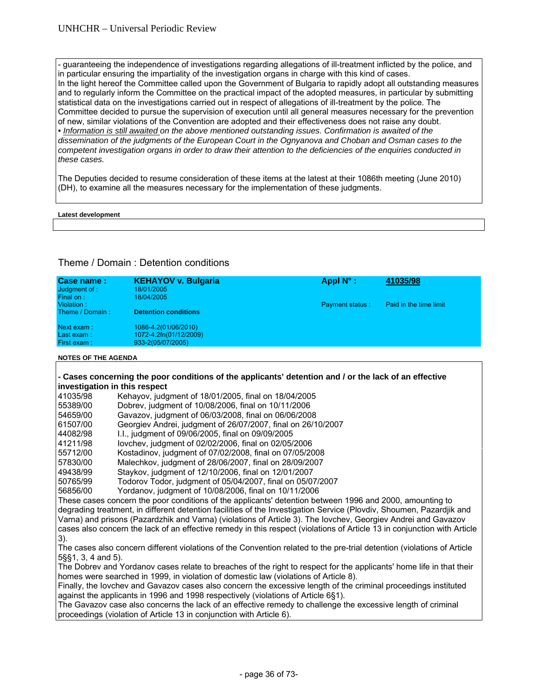- guaranteeing the independence of investigations regarding allegations of ill-treatment inflicted by the police, and in particular ensuring the impartiality of the investigation organs in charge with this kind of cases. In the light hereof the Committee called upon the Government of Bulgaria to rapidly adopt all outstanding measures and to regularly inform the Committee on the practical impact of the adopted measures, in particular by submitting statistical data on the investigations carried out in respect of allegations of ill-treatment by the police. The Committee decided to pursue the supervision of execution until all general measures necessary for the prevention of new, similar violations of the Convention are adopted and their effectiveness does not raise any doubt. *• Information is still awaited on the above mentioned outstanding issues. Confirmation is awaited of the dissemination of the judgments of the European Court in the Ognyanova and Choban and Osman cases to the competent investigation organs in order to draw their attention to the deficiencies of the enquiries conducted in these cases.* 

The Deputies decided to resume consideration of these items at the latest at their 1086th meeting (June 2010) (DH), to examine all the measures necessary for the implementation of these judgments.

#### **Latest development**

# Theme / Domain : Detention conditions

| Case name:                 | <b>KEHAYOV v. Bulgaria</b>  | Appl $N^{\circ}$ :     | 41035/98               |
|----------------------------|-----------------------------|------------------------|------------------------|
| Judgment of :<br>Final on: | 18/01/2005<br>18/04/2005    |                        |                        |
| Violation:                 |                             | <b>Payment status:</b> | Paid in the time limit |
| Theme / Domain:            | <b>Detention conditions</b> |                        |                        |
| Next exam:                 | 1086-4.2(01/06/2010)        |                        |                        |
| Last exam:                 | 1072-4.2fn(01/12/2009)      |                        |                        |
| First exam:                | 933-2(05/07/2005)           |                        |                        |
|                            |                             |                        |                        |

#### **NOTES OF THE AGENDA**

#### **- Cases concerning the poor conditions of the applicants' detention and / or the lack of an effective investigation in this respect**

| 41035/98                                                                                                             | Kehayov, judgment of 18/01/2005, final on 18/04/2005         |
|----------------------------------------------------------------------------------------------------------------------|--------------------------------------------------------------|
| 55389/00                                                                                                             | Dobrey, judgment of 10/08/2006, final on 10/11/2006          |
| 54659/00                                                                                                             | Gavazov, judgment of 06/03/2008, final on 06/06/2008         |
| 61507/00                                                                                                             | Georgiev Andrei, judgment of 26/07/2007, final on 26/10/2007 |
| 44082/98                                                                                                             | I.I., judgment of 09/06/2005, final on 09/09/2005            |
| 41211/98                                                                                                             | lovchev, judgment of 02/02/2006, final on 02/05/2006         |
| 55712/00                                                                                                             | Kostadinov, judgment of 07/02/2008, final on 07/05/2008      |
| 57830/00                                                                                                             | Malechkov, judgment of 28/06/2007, final on 28/09/2007       |
| 49438/99                                                                                                             | Staykov, judgment of 12/10/2006, final on 12/01/2007         |
| 50765/99                                                                                                             | Todorov Todor, judgment of 05/04/2007, final on 05/07/2007   |
| 56856/00                                                                                                             | Yordanov, judgment of 10/08/2006, final on 10/11/2006        |
| These cases concern the poor conditions of the applicants' detention between 1996 and 2000, amounting to             |                                                              |
| degrading treatment, in different detention facilities of the Investigation Service (Plovdiv, Shoumen, Pazardiik and |                                                              |

Varna) and prisons (Pazardzhik and Varna) (violations of Article 3). The Iovchev, Georgiev Andrei and Gavazov cases also concern the lack of an effective remedy in this respect (violations of Article 13 in conjunction with Article 3).

The cases also concern different violations of the Convention related to the pre-trial detention (violations of Article 5§§1, 3, 4 and 5).

The Dobrev and Yordanov cases relate to breaches of the right to respect for the applicants' home life in that their homes were searched in 1999, in violation of domestic law (violations of Article 8).

Finally, the Iovchev and Gavazov cases also concern the excessive length of the criminal proceedings instituted against the applicants in 1996 and 1998 respectively (violations of Article 6§1).

The Gavazov case also concerns the lack of an effective remedy to challenge the excessive length of criminal proceedings (violation of Article 13 in conjunction with Article 6).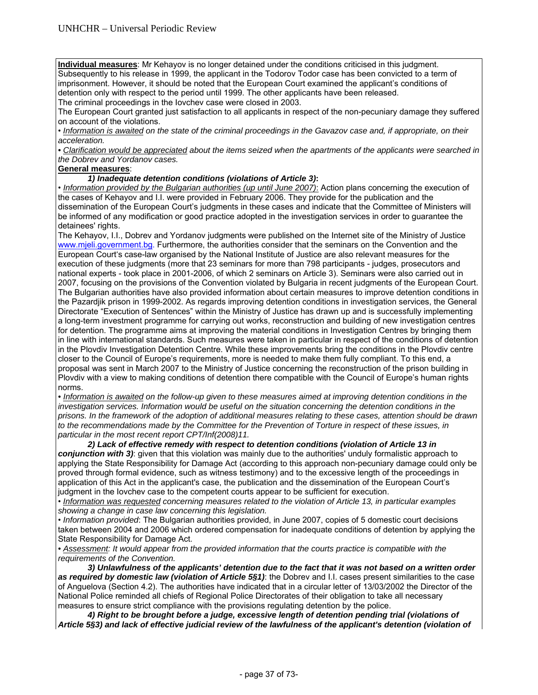**Individual measures**: Mr Kehayov is no longer detained under the conditions criticised in this judgment. Subsequently to his release in 1999, the applicant in the Todorov Todor case has been convicted to a term of imprisonment. However, it should be noted that the European Court examined the applicant's conditions of detention only with respect to the period until 1999. The other applicants have been released.

The criminal proceedings in the Iovchev case were closed in 2003.

The European Court granted just satisfaction to all applicants in respect of the non-pecuniary damage they suffered on account of the violations.

• *Information is awaited on the state of the criminal proceedings in the Gavazov case and, if appropriate, on their acceleration.*

*• Clarification would be appreciated about the items seized when the apartments of the applicants were searched in the Dobrev and Yordanov cases.* 

# **General measures**:

# *1) Inadequate detention conditions (violations of Article 3)***:**

• *Information provided by the Bulgarian authorities (up until June 2007)*: Action plans concerning the execution of the cases of Kehayov and I.I. were provided in February 2006. They provide for the publication and the dissemination of the European Court's judgments in these cases and indicate that the Committee of Ministers will be informed of any modification or good practice adopted in the investigation services in order to guarantee the detainees' rights.

The Kehayov, I.I., Dobrev and Yordanov judgments were published on the Internet site of the Ministry of Justice www.mjeli.government.bg. Furthermore, the authorities consider that the seminars on the Convention and the European Court's case-law organised by the National Institute of Justice are also relevant measures for the execution of these judgments (more that 23 seminars for more than 798 participants - judges, prosecutors and national experts - took place in 2001-2006, of which 2 seminars on Article 3). Seminars were also carried out in 2007, focusing on the provisions of the Convention violated by Bulgaria in recent judgments of the European Court. The Bulgarian authorities have also provided information about certain measures to improve detention conditions in the Pazardjik prison in 1999-2002. As regards improving detention conditions in investigation services, the General Directorate "Execution of Sentences" within the Ministry of Justice has drawn up and is successfully implementing a long-term investment programme for carrying out works, reconstruction and building of new investigation centres for detention. The programme aims at improving the material conditions in Investigation Centres by bringing them in line with international standards. Such measures were taken in particular in respect of the conditions of detention in the Plovdiv Investigation Detention Centre. While these improvements bring the conditions in the Plovdiv centre closer to the Council of Europe's requirements, more is needed to make them fully compliant. To this end, a proposal was sent in March 2007 to the Ministry of Justice concerning the reconstruction of the prison building in Plovdiv with a view to making conditions of detention there compatible with the Council of Europe's human rights norms.

*• Information is awaited on the follow-up given to these measures aimed at improving detention conditions in the investigation services. Information would be useful on the situation concerning the detention conditions in the prisons. In the framework of the adoption of additional measures relating to these cases, attention should be drawn to the recommendations made by the Committee for the Prevention of Torture in respect of these issues, in particular in the most recent report CPT/Inf(2008)11.* 

 *2) Lack of effective remedy with respect to detention conditions (violation of Article 13 in conjunction with 3)*: given that this violation was mainly due to the authorities' unduly formalistic approach to applying the State Responsibility for Damage Act (according to this approach non-pecuniary damage could only be proved through formal evidence, such as witness testimony) and to the excessive length of the proceedings in application of this Act in the applicant's case, the publication and the dissemination of the European Court's judgment in the Iovchev case to the competent courts appear to be sufficient for execution.

• *Information was requested concerning measures related to the violation of Article 13, in particular examples showing a change in case law concerning this legislation.* 

• *Information provided*: The Bulgarian authorities provided, in June 2007, copies of 5 domestic court decisions taken between 2004 and 2006 which ordered compensation for inadequate conditions of detention by applying the State Responsibility for Damage Act.

*• Assessment: It would appear from the provided information that the courts practice is compatible with the requirements of the Convention.* 

 *3) Unlawfulness of the applicants' detention due to the fact that it was not based on a written order as required by domestic law (violation of Article 5§1)*: the Dobrev and I.I. cases present similarities to the case of Anguelova (Section 4.2). The authorities have indicated that in a circular letter of 13/03/2002 the Director of the National Police reminded all chiefs of Regional Police Directorates of their obligation to take all necessary measures to ensure strict compliance with the provisions regulating detention by the police.

 *4) Right to be brought before a judge, excessive length of detention pending trial (violations of Article 5§3) and lack of effective judicial review of the lawfulness of the applicant's detention (violation of*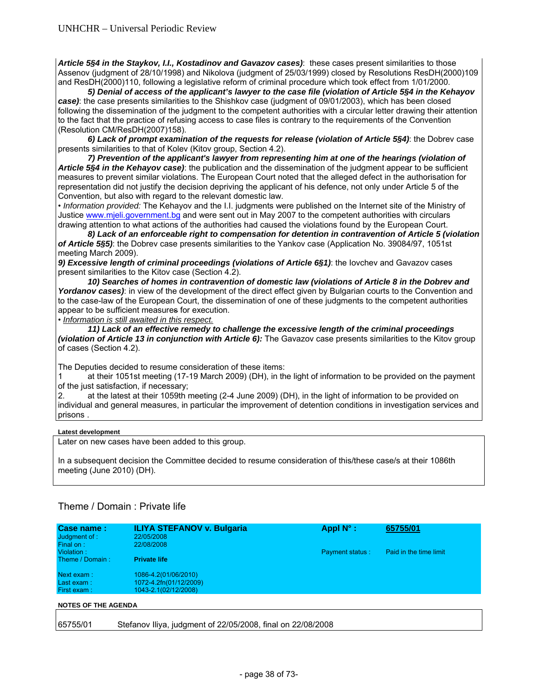*Article 5§4 in the Staykov, I.I., Kostadinov and Gavazov cases)*: these cases present similarities to those Assenov (judgment of 28/10/1998) and Nikolova (judgment of 25/03/1999) closed by Resolutions ResDH(2000)109 and ResDH(2000)110, following a legislative reform of criminal procedure which took effect from 1/01/2000.

 *5) Denial of access of the applicant's lawyer to the case file (violation of Article 5§4 in the Kehayov case)*: the case presents similarities to the Shishkov case (judgment of 09/01/2003), which has been closed following the dissemination of the judgment to the competent authorities with a circular letter drawing their attention to the fact that the practice of refusing access to case files is contrary to the requirements of the Convention (Resolution CM/ResDH(2007)158).

 *6) Lack of prompt examination of the requests for release (violation of Article 5§4)*: the Dobrev case presents similarities to that of Kolev (Kitov group, Section 4.2).

 *7) Prevention of the applicant's lawyer from representing him at one of the hearings (violation of Article 5§4 in the Kehayov case)*: the publication and the dissemination of the judgment appear to be sufficient measures to prevent similar violations. The European Court noted that the alleged defect in the authorisation for representation did not justify the decision depriving the applicant of his defence, not only under Article 5 of the Convention, but also with regard to the relevant domestic law.

• *Information provided:* The Kehayov and the I.I. judgments were published on the Internet site of the Ministry of Justice www.mjeli.government.bg and were sent out in May 2007 to the competent authorities with circulars drawing attention to what actions of the authorities had caused the violations found by the European Court.

 *8) Lack of an enforceable right to compensation for detention in contravention of Article 5 (violation of Article 5§5)*: the Dobrev case presents similarities to the Yankov case (Application No. 39084/97, 1051st meeting March 2009).

*9) Excessive length of criminal proceedings (violations of Article 6§1)*: the Iovchev and Gavazov cases present similarities to the Kitov case (Section 4.2).

 *10) Searches of homes in contravention of domestic law (violations of Article 8 in the Dobrev and*  Yordanov cases): in view of the development of the direct effect given by Bulgarian courts to the Convention and to the case-law of the European Court, the dissemination of one of these judgments to the competent authorities appear to be sufficient measures for execution.

• *Information is still awaited in this respect.*

*11) Lack of an effective remedy to challenge the excessive length of the criminal proceedings (violation of Article 13 in conjunction with Article 6):* The Gavazov case presents similarities to the Kitov group of cases (Section 4.2).

The Deputies decided to resume consideration of these items:

1 at their 1051st meeting (17-19 March 2009) (DH), in the light of information to be provided on the payment of the just satisfaction, if necessary;

2. at the latest at their 1059th meeting (2-4 June 2009) (DH), in the light of information to be provided on individual and general measures, in particular the improvement of detention conditions in investigation services and prisons .

# **Latest development**

Later on new cases have been added to this group.

In a subsequent decision the Committee decided to resume consideration of this/these case/s at their 1086th meeting (June 2010) (DH).

# Theme / Domain : Private life

| Case name:<br>Judgment of :<br>Final on: | <b>ILIYA STEFANOV v. Bulgaria</b><br>22/05/2008<br>22/08/2008 | Appl $N^{\circ}$ :     | 65755/01               |
|------------------------------------------|---------------------------------------------------------------|------------------------|------------------------|
| Violation:                               |                                                               | <b>Payment status:</b> | Paid in the time limit |
| Theme / Domain:                          | <b>Private life</b>                                           |                        |                        |
| Next exam:                               | 1086-4.2(01/06/2010)                                          |                        |                        |
| Last exam:                               | 1072-4.2fn(01/12/2009)                                        |                        |                        |
| First exam:                              | 1043-2.1(02/12/2008)                                          |                        |                        |
| <b>NOTES OF THE AGENDA</b>               |                                                               |                        |                        |
|                                          |                                                               |                        |                        |

65755/01 Stefanov Iliya, judgment of 22/05/2008, final on 22/08/2008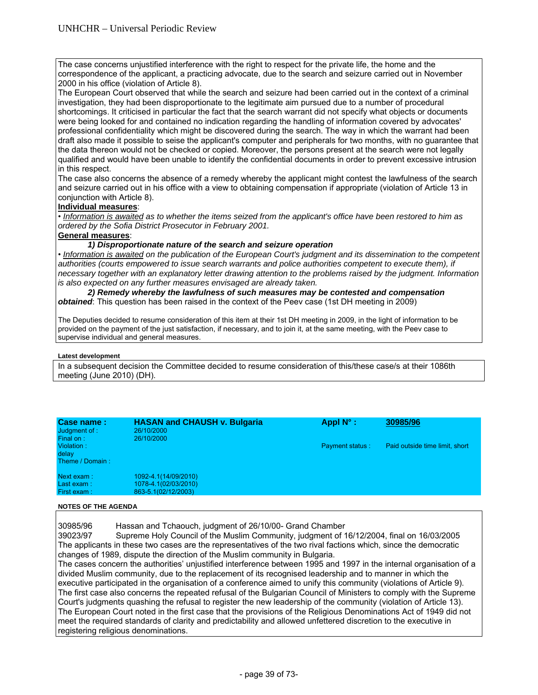The case concerns unjustified interference with the right to respect for the private life, the home and the correspondence of the applicant, a practicing advocate, due to the search and seizure carried out in November 2000 in his office (violation of Article 8).

The European Court observed that while the search and seizure had been carried out in the context of a criminal investigation, they had been disproportionate to the legitimate aim pursued due to a number of procedural shortcomings. It criticised in particular the fact that the search warrant did not specify what objects or documents were being looked for and contained no indication regarding the handling of information covered by advocates' professional confidentiality which might be discovered during the search. The way in which the warrant had been draft also made it possible to seise the applicant's computer and peripherals for two months, with no guarantee that the data thereon would not be checked or copied. Moreover, the persons present at the search were not legally qualified and would have been unable to identify the confidential documents in order to prevent excessive intrusion in this respect.

The case also concerns the absence of a remedy whereby the applicant might contest the lawfulness of the search and seizure carried out in his office with a view to obtaining compensation if appropriate (violation of Article 13 in conjunction with Article 8).

# **Individual measures**:

• *Information is awaited as to whether the items seized from the applicant's office have been restored to him as ordered by the Sofia District Prosecutor in February 2001.* 

# **General measures**:

# *1) Disproportionate nature of the search and seizure operation*

• *Information is awaited on the publication of the European Court's judgment and its dissemination to the competent authorities (courts empowered to issue search warrants and police authorities competent to execute them), if necessary together with an explanatory letter drawing attention to the problems raised by the judgment. Information is also expected on any further measures envisaged are already taken.* 

# *2) Remedy whereby the lawfulness of such measures may be contested and compensation obtained*: This question has been raised in the context of the Peev case (1st DH meeting in 2009)

The Deputies decided to resume consideration of this item at their 1st DH meeting in 2009, in the light of information to be provided on the payment of the just satisfaction, if necessary, and to join it, at the same meeting, with the Peev case to supervise individual and general measures.

#### **Latest development**

In a subsequent decision the Committee decided to resume consideration of this/these case/s at their 1086th meeting (June 2010) (DH).

| Case name:<br>Judgment of :<br>Final on: | <b>HASAN and CHAUSH v. Bulgaria</b><br>26/10/2000<br>26/10/2000     | Appl $N^{\circ}$ :     | 30985/96                       |
|------------------------------------------|---------------------------------------------------------------------|------------------------|--------------------------------|
| Violation:<br>delay<br>Theme / Domain:   |                                                                     | <b>Payment status:</b> | Paid outside time limit, short |
| Next exam:<br>Last exam:<br>First exam:  | 1092-4.1(14/09/2010)<br>1078-4.1(02/03/2010)<br>863-5.1(02/12/2003) |                        |                                |

#### **NOTES OF THE AGENDA**

30985/96 Hassan and Tchaouch, judgment of 26/10/00- Grand Chamber

39023/97 Supreme Holy Council of the Muslim Community, judgment of 16/12/2004, final on 16/03/2005 The applicants in these two cases are the representatives of the two rival factions which, since the democratic changes of 1989, dispute the direction of the Muslim community in Bulgaria.

The cases concern the authorities' unjustified interference between 1995 and 1997 in the internal organisation of a divided Muslim community, due to the replacement of its recognised leadership and to manner in which the executive participated in the organisation of a conference aimed to unify this community (violations of Article 9). The first case also concerns the repeated refusal of the Bulgarian Council of Ministers to comply with the Supreme Court's judgments quashing the refusal to register the new leadership of the community (violation of Article 13). The European Court noted in the first case that the provisions of the Religious Denominations Act of 1949 did not meet the required standards of clarity and predictability and allowed unfettered discretion to the executive in registering religious denominations.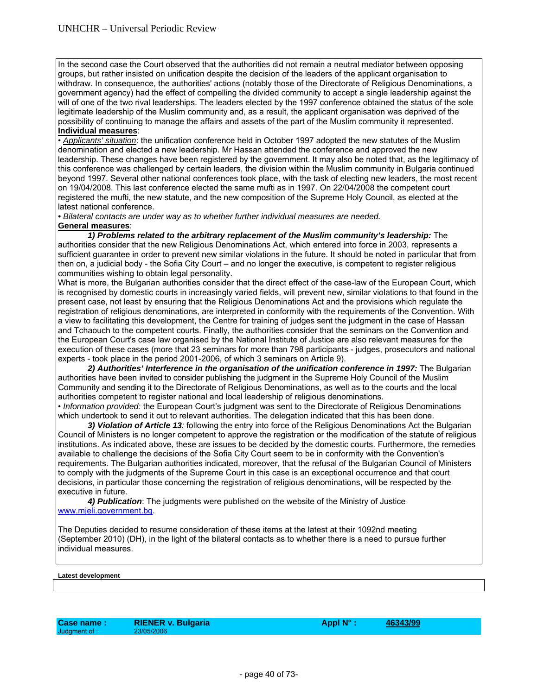In the second case the Court observed that the authorities did not remain a neutral mediator between opposing groups, but rather insisted on unification despite the decision of the leaders of the applicant organisation to withdraw. In consequence, the authorities' actions (notably those of the Directorate of Religious Denominations, a government agency) had the effect of compelling the divided community to accept a single leadership against the will of one of the two rival leaderships. The leaders elected by the 1997 conference obtained the status of the sole legitimate leadership of the Muslim community and, as a result, the applicant organisation was deprived of the possibility of continuing to manage the affairs and assets of the part of the Muslim community it represented. **Individual measures**:

• *Applicants' situation*: the unification conference held in October 1997 adopted the new statutes of the Muslim denomination and elected a new leadership. Mr Hassan attended the conference and approved the new leadership. These changes have been registered by the government. It may also be noted that, as the legitimacy of this conference was challenged by certain leaders, the division within the Muslim community in Bulgaria continued beyond 1997. Several other national conferences took place, with the task of electing new leaders, the most recent on 19/04/2008. This last conference elected the same mufti as in 1997. On 22/04/2008 the competent court registered the mufti, the new statute, and the new composition of the Supreme Holy Council, as elected at the latest national conference.

*• Bilateral contacts are under way as to whether further individual measures are needed.* 

# **General measures**:

1) Problems related to the arbitrary replacement of the Muslim community's leadership: The authorities consider that the new Religious Denominations Act, which entered into force in 2003, represents a sufficient guarantee in order to prevent new similar violations in the future. It should be noted in particular that from then on, a judicial body - the Sofia City Court – and no longer the executive, is competent to register religious communities wishing to obtain legal personality.

What is more, the Bulgarian authorities consider that the direct effect of the case-law of the European Court, which is recognised by domestic courts in increasingly varied fields, will prevent new, similar violations to that found in the present case, not least by ensuring that the Religious Denominations Act and the provisions which regulate the registration of religious denominations, are interpreted in conformity with the requirements of the Convention. With a view to facilitating this development, the Centre for training of judges sent the judgment in the case of Hassan and Tchaouch to the competent courts. Finally, the authorities consider that the seminars on the Convention and the European Court's case law organised by the National Institute of Justice are also relevant measures for the execution of these cases (more that 23 seminars for more than 798 participants - judges, prosecutors and national experts - took place in the period 2001-2006, of which 3 seminars on Article 9).

2) Authorities' Interference in the organisation of the unification conference in 1997: The Bulgarian authorities have been invited to consider publishing the judgment in the Supreme Holy Council of the Muslim Community and sending it to the Directorate of Religious Denominations, as well as to the courts and the local authorities competent to register national and local leadership of religious denominations.

• *Information provided:* the European Court's judgment was sent to the Directorate of Religious Denominations which undertook to send it out to relevant authorities. The delegation indicated that this has been done.

 *3) Violation of Article 13:* following the entry into force of the Religious Denominations Act the Bulgarian Council of Ministers is no longer competent to approve the registration or the modification of the statute of religious institutions. As indicated above, these are issues to be decided by the domestic courts. Furthermore, the remedies available to challenge the decisions of the Sofia City Court seem to be in conformity with the Convention's requirements. The Bulgarian authorities indicated, moreover, that the refusal of the Bulgarian Council of Ministers to comply with the judgments of the Supreme Court in this case is an exceptional occurrence and that court decisions, in particular those concerning the registration of religious denominations, will be respected by the executive in future.

 *4) Publication*: The judgments were published on the website of the Ministry of Justice www.mjeli.government.bg.

The Deputies decided to resume consideration of these items at the latest at their 1092nd meeting (September 2010) (DH), in the light of the bilateral contacts as to whether there is a need to pursue further individual measures.

### **Latest development**

Judgment of :

Case name : RIENER v. Bulgaria **Appl N° : 46343/99**<br>Judgment of : 23/05/2006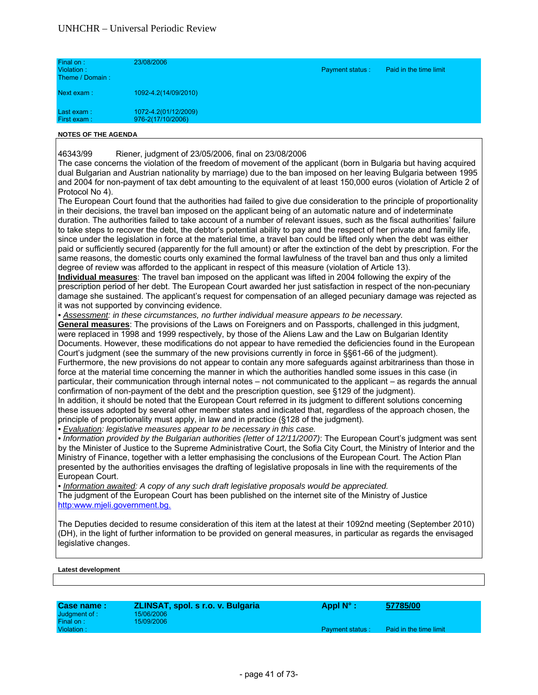| Final on:<br>Violation:<br>Theme / Domain: | 23/08/2006                                | <b>Payment status:</b> | Paid in the time limit |
|--------------------------------------------|-------------------------------------------|------------------------|------------------------|
| Next exam:                                 | 1092-4.2(14/09/2010)                      |                        |                        |
| Last exam:<br>First exam:                  | 1072-4.2(01/12/2009)<br>976-2(17/10/2006) |                        |                        |

46343/99 Riener, judgment of 23/05/2006, final on 23/08/2006

The case concerns the violation of the freedom of movement of the applicant (born in Bulgaria but having acquired dual Bulgarian and Austrian nationality by marriage) due to the ban imposed on her leaving Bulgaria between 1995 and 2004 for non-payment of tax debt amounting to the equivalent of at least 150,000 euros (violation of Article 2 of Protocol No 4).

The European Court found that the authorities had failed to give due consideration to the principle of proportionality in their decisions, the travel ban imposed on the applicant being of an automatic nature and of indeterminate duration. The authorities failed to take account of a number of relevant issues, such as the fiscal authorities' failure to take steps to recover the debt, the debtor's potential ability to pay and the respect of her private and family life, since under the legislation in force at the material time, a travel ban could be lifted only when the debt was either paid or sufficiently secured (apparently for the full amount) or after the extinction of the debt by prescription. For the same reasons, the domestic courts only examined the formal lawfulness of the travel ban and thus only a limited degree of review was afforded to the applicant in respect of this measure (violation of Article 13).

**Individual measures**: The travel ban imposed on the applicant was lifted in 2004 following the expiry of the prescription period of her debt. The European Court awarded her just satisfaction in respect of the non-pecuniary damage she sustained. The applicant's request for compensation of an alleged pecuniary damage was rejected as it was not supported by convincing evidence.

*• Assessment: in these circumstances, no further individual measure appears to be necessary.* 

**General measures**: The provisions of the Laws on Foreigners and on Passports, challenged in this judgment, were replaced in 1998 and 1999 respectively, by those of the Aliens Law and the Law on Bulgarian Identity Documents. However, these modifications do not appear to have remedied the deficiencies found in the European Court's judgment (see the summary of the new provisions currently in force in §§61-66 of the judgment). Furthermore, the new provisions do not appear to contain any more safeguards against arbitrariness than those in force at the material time concerning the manner in which the authorities handled some issues in this case (in particular, their communication through internal notes – not communicated to the applicant – as regards the annual confirmation of non-payment of the debt and the prescription question, see §129 of the judgment). In addition, it should be noted that the European Court referred in its judgment to different solutions concerning

these issues adopted by several other member states and indicated that, regardless of the approach chosen, the principle of proportionality must apply, in law and in practice (§128 of the judgment).

*• Evaluation: legislative measures appear to be necessary in this case.* 

*• Information provided by the Bulgarian authorities (letter of 12/11/2007)*: The European Court's judgment was sent by the Minister of Justice to the Supreme Administrative Court, the Sofia City Court, the Ministry of Interior and the Ministry of Finance, together with a letter emphasising the conclusions of the European Court. The Action Plan presented by the authorities envisages the drafting of legislative proposals in line with the requirements of the European Court.

*• Information awaited: A copy of any such draft legislative proposals would be appreciated.* The judgment of the European Court has been published on the internet site of the Ministry of Justice http:www.mjeli.government.bg.

The Deputies decided to resume consideration of this item at the latest at their 1092nd meeting (September 2010) (DH), in the light of further information to be provided on general measures, in particular as regards the envisaged legislative changes.

| Case name:    | ZLINSAT, spol. s r.o. v. Bulgaria | Appl $N^{\circ}$ :     | 57785/00               |
|---------------|-----------------------------------|------------------------|------------------------|
| Judgment of : | 15/06/2006                        |                        |                        |
| Final on:     | 15/09/2006                        |                        |                        |
| Violation:    |                                   | <b>Payment status:</b> | Paid in the time limit |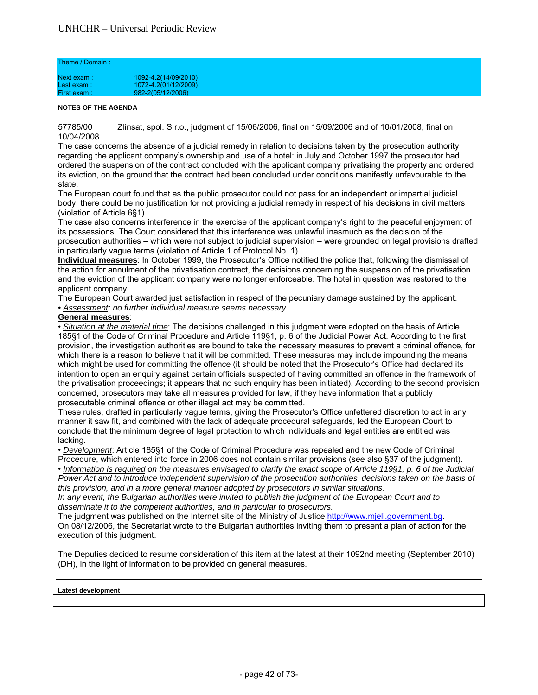#### Theme / Domain :

| Next exam:   | 1092-4.2(14/09/2010) |
|--------------|----------------------|
| Last exam:   | 1072-4.2(01/12/2009) |
| First exam : | 982-2(05/12/2006)    |

### **NOTES OF THE AGENDA**

57785/00 Zlínsat, spol. S r.o., judgment of 15/06/2006, final on 15/09/2006 and of 10/01/2008, final on 10/04/2008

The case concerns the absence of a judicial remedy in relation to decisions taken by the prosecution authority regarding the applicant company's ownership and use of a hotel: in July and October 1997 the prosecutor had ordered the suspension of the contract concluded with the applicant company privatising the property and ordered its eviction, on the ground that the contract had been concluded under conditions manifestly unfavourable to the state.

The European court found that as the public prosecutor could not pass for an independent or impartial judicial body, there could be no justification for not providing a judicial remedy in respect of his decisions in civil matters (violation of Article 6§1).

The case also concerns interference in the exercise of the applicant company's right to the peaceful enjoyment of its possessions. The Court considered that this interference was unlawful inasmuch as the decision of the prosecution authorities – which were not subject to judicial supervision – were grounded on legal provisions drafted in particularly vague terms (violation of Article 1 of Protocol No. 1).

**Individual measures**: In October 1999, the Prosecutor's Office notified the police that, following the dismissal of the action for annulment of the privatisation contract, the decisions concerning the suspension of the privatisation and the eviction of the applicant company were no longer enforceable. The hotel in question was restored to the applicant company.

The European Court awarded just satisfaction in respect of the pecuniary damage sustained by the applicant. *• Assessment: no further individual measure seems necessary.* 

# **General measures**:

• *Situation at the material time*: The decisions challenged in this judgment were adopted on the basis of Article 185§1 of the Code of Criminal Procedure and Article 119§1, p. 6 of the Judicial Power Act. According to the first provision, the investigation authorities are bound to take the necessary measures to prevent a criminal offence, for which there is a reason to believe that it will be committed. These measures may include impounding the means which might be used for committing the offence (it should be noted that the Prosecutor's Office had declared its intention to open an enquiry against certain officials suspected of having committed an offence in the framework of the privatisation proceedings; it appears that no such enquiry has been initiated). According to the second provision concerned, prosecutors may take all measures provided for law, if they have information that a publicly prosecutable criminal offence or other illegal act may be committed.

These rules, drafted in particularly vague terms, giving the Prosecutor's Office unfettered discretion to act in any manner it saw fit, and combined with the lack of adequate procedural safeguards, led the European Court to conclude that the minimum degree of legal protection to which individuals and legal entities are entitled was lacking.

• *Development*: Article 185§1 of the Code of Criminal Procedure was repealed and the new Code of Criminal Procedure, which entered into force in 2006 does not contain similar provisions (see also §37 of the judgment). • *Information is required on the measures envisaged to clarify the exact scope of Article 119§1, p. 6 of the Judicial* 

Power Act and to introduce independent supervision of the prosecution authorities' decisions taken on the basis of *this provision, and in a more general manner adopted by prosecutors in similar situations.* 

*In any event, the Bulgarian authorities were invited to publish the judgment of the European Court and to disseminate it to the competent authorities, and in particular to prosecutors.*

The judgment was published on the Internet site of the Ministry of Justice http://www.mjeli.government.bg. On 08/12/2006, the Secretariat wrote to the Bulgarian authorities inviting them to present a plan of action for the execution of this judgment.

The Deputies decided to resume consideration of this item at the latest at their 1092nd meeting (September 2010) (DH), in the light of information to be provided on general measures.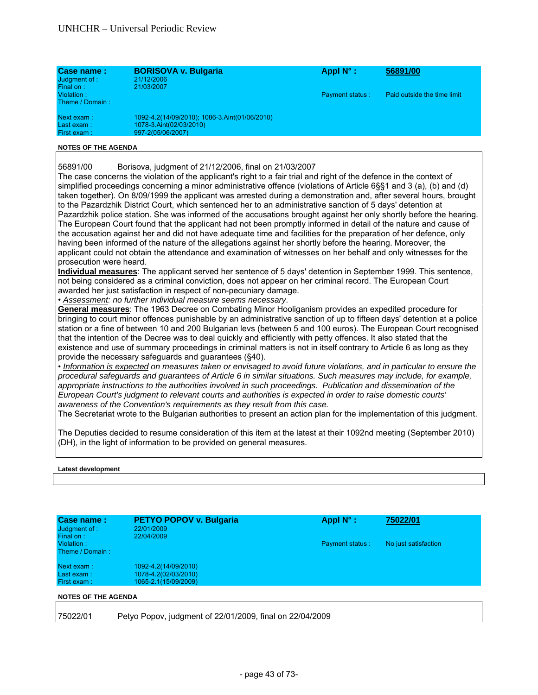| Case name:<br>Judgment of:<br>Final on: | <b>BORISOVA v. Bulgaria</b><br>21/12/2006<br>21/03/2007                                       | Appl $N^{\circ}$ :     | 56891/00                    |
|-----------------------------------------|-----------------------------------------------------------------------------------------------|------------------------|-----------------------------|
| Violation:<br>Theme / Domain:           |                                                                                               | <b>Payment status:</b> | Paid outside the time limit |
| Next exam:<br>Last exam:<br>First exam: | 1092-4.2(14/09/2010); 1086-3.Aint(01/06/2010)<br>1078-3.Aint(02/03/2010)<br>997-2(05/06/2007) |                        |                             |

56891/00 Borisova, judgment of 21/12/2006, final on 21/03/2007

The case concerns the violation of the applicant's right to a fair trial and right of the defence in the context of simplified proceedings concerning a minor administrative offence (violations of Article 6§§1 and 3 (a), (b) and (d) taken together). On 8/09/1999 the applicant was arrested during a demonstration and, after several hours, brought to the Pazardzhik District Court, which sentenced her to an administrative sanction of 5 days' detention at Pazardzhik police station. She was informed of the accusations brought against her only shortly before the hearing. The European Court found that the applicant had not been promptly informed in detail of the nature and cause of the accusation against her and did not have adequate time and facilities for the preparation of her defence, only having been informed of the nature of the allegations against her shortly before the hearing. Moreover, the applicant could not obtain the attendance and examination of witnesses on her behalf and only witnesses for the prosecution were heard.

**Individual measures**: The applicant served her sentence of 5 days' detention in September 1999. This sentence, not being considered as a criminal conviction, does not appear on her criminal record. The European Court awarded her just satisfaction in respect of non-pecuniary damage.

• *Assessment: no further individual measure seems necessary*.

**General measures**: The 1963 Decree on Combating Minor Hooliganism provides an expedited procedure for bringing to court minor offences punishable by an administrative sanction of up to fifteen days' detention at a police station or a fine of between 10 and 200 Bulgarian levs (between 5 and 100 euros). The European Court recognised that the intention of the Decree was to deal quickly and efficiently with petty offences. It also stated that the existence and use of summary proceedings in criminal matters is not in itself contrary to Article 6 as long as they provide the necessary safeguards and guarantees (§40).

• *Information is expected on measures taken or envisaged to avoid future violations, and in particular to ensure the procedural safeguards and guarantees of Article 6 in similar situations. Such measures may include, for example, appropriate instructions to the authorities involved in such proceedings. Publication and dissemination of the European Court's judgment to relevant courts and authorities is expected in order to raise domestic courts' awareness of the Convention's requirements as they result from this case.* 

The Secretariat wrote to the Bulgarian authorities to present an action plan for the implementation of this judgment.

The Deputies decided to resume consideration of this item at the latest at their 1092nd meeting (September 2010) (DH), in the light of information to be provided on general measures.

#### **Latest development**

| Case name:<br>Judgment of:                 | PETYO POPOV v. Bulgaria<br>22/01/2009                                | Appl $N^{\circ}$ :     | 75022/01             |
|--------------------------------------------|----------------------------------------------------------------------|------------------------|----------------------|
| Final on:<br>Violation:<br>Theme / Domain: | 22/04/2009                                                           | <b>Payment status:</b> | No just satisfaction |
| Next exam:<br>Last exam:<br>First exam:    | 1092-4.2(14/09/2010)<br>1078-4.2(02/03/2010)<br>1065-2.1(15/09/2009) |                        |                      |
| <b>NOTES OF THE AGENDA</b>                 |                                                                      |                        |                      |

75022/01 Petyo Popov, judgment of 22/01/2009, final on 22/04/2009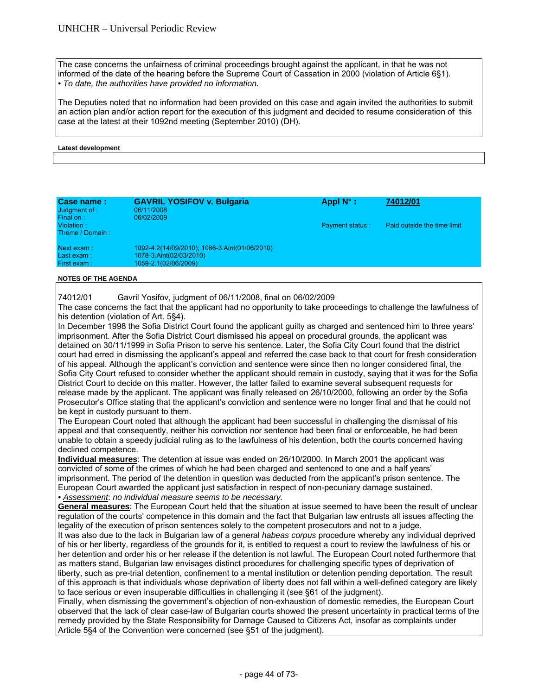The case concerns the unfairness of criminal proceedings brought against the applicant, in that he was not informed of the date of the hearing before the Supreme Court of Cassation in 2000 (violation of Article 6§1). *• To date, the authorities have provided no information.* 

The Deputies noted that no information had been provided on this case and again invited the authorities to submit an action plan and/or action report for the execution of this judgment and decided to resume consideration of this case at the latest at their 1092nd meeting (September 2010) (DH).

#### **Latest development**

| Case name:<br>Judgment of :<br>Final on: | <b>GAVRIL YOSIFOV v. Bulgaria</b><br>06/11/2008<br>06/02/2009                                    | Appl $N^{\circ}$ : | 74012/01                    |
|------------------------------------------|--------------------------------------------------------------------------------------------------|--------------------|-----------------------------|
| Violation:<br>Theme / Domain:            |                                                                                                  | Payment status:    | Paid outside the time limit |
| Next exam:<br>Last exam:<br>First exam:  | 1092-4.2(14/09/2010); 1086-3.Aint(01/06/2010)<br>1078-3.Aint(02/03/2010)<br>1059-2.1(02/06/2009) |                    |                             |

#### **NOTES OF THE AGENDA**

74012/01 Gavril Yosifov, judgment of 06/11/2008, final on 06/02/2009

The case concerns the fact that the applicant had no opportunity to take proceedings to challenge the lawfulness of his detention (violation of Art. 5§4).

In December 1998 the Sofia District Court found the applicant guilty as charged and sentenced him to three years' imprisonment. After the Sofia District Court dismissed his appeal on procedural grounds, the applicant was detained on 30/11/1999 in Sofia Prison to serve his sentence. Later, the Sofia City Court found that the district court had erred in dismissing the applicant's appeal and referred the case back to that court for fresh consideration of his appeal. Although the applicant's conviction and sentence were since then no longer considered final, the Sofia City Court refused to consider whether the applicant should remain in custody, saying that it was for the Sofia District Court to decide on this matter. However, the latter failed to examine several subsequent requests for release made by the applicant. The applicant was finally released on 26/10/2000, following an order by the Sofia Prosecutor's Office stating that the applicant's conviction and sentence were no longer final and that he could not be kept in custody pursuant to them.

The European Court noted that although the applicant had been successful in challenging the dismissal of his appeal and that consequently, neither his conviction nor sentence had been final or enforceable, he had been unable to obtain a speedy judicial ruling as to the lawfulness of his detention, both the courts concerned having declined competence.

**Individual measures**: The detention at issue was ended on 26/10/2000. In March 2001 the applicant was convicted of some of the crimes of which he had been charged and sentenced to one and a half years' imprisonment. The period of the detention in question was deducted from the applicant's prison sentence. The European Court awarded the applicant just satisfaction in respect of non-pecuniary damage sustained. *• Assessment*: *no individual measure seems to be necessary.* 

**General measures**: The European Court held that the situation at issue seemed to have been the result of unclear regulation of the courts' competence in this domain and the fact that Bulgarian law entrusts all issues affecting the legality of the execution of prison sentences solely to the competent prosecutors and not to a judge.

It was also due to the lack in Bulgarian law of a general *habeas corpus* procedure whereby any individual deprived of his or her liberty, regardless of the grounds for it, is entitled to request a court to review the lawfulness of his or her detention and order his or her release if the detention is not lawful. The European Court noted furthermore that as matters stand, Bulgarian law envisages distinct procedures for challenging specific types of deprivation of liberty, such as pre-trial detention, confinement to a mental institution or detention pending deportation. The result of this approach is that individuals whose deprivation of liberty does not fall within a well-defined category are likely to face serious or even insuperable difficulties in challenging it (see §61 of the judgment).

Finally, when dismissing the government's objection of non-exhaustion of domestic remedies, the European Court observed that the lack of clear case-law of Bulgarian courts showed the present uncertainty in practical terms of the remedy provided by the State Responsibility for Damage Caused to Citizens Act, insofar as complaints under Article 5§4 of the Convention were concerned (see §51 of the judgment).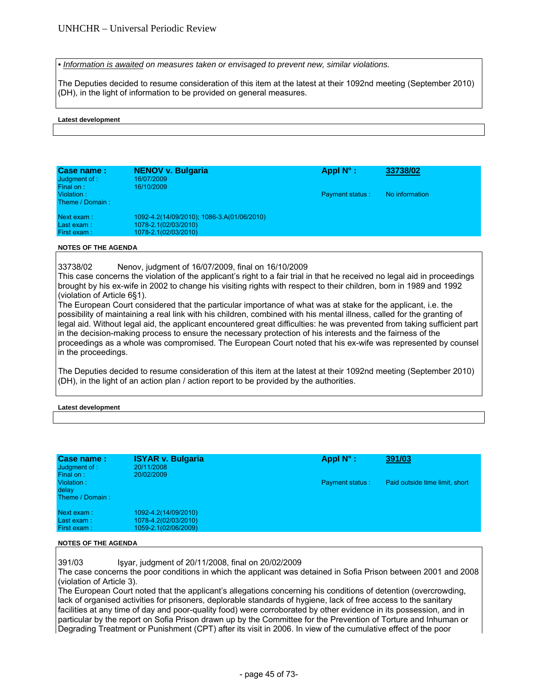*• Information is awaited on measures taken or envisaged to prevent new, similar violations.* 

The Deputies decided to resume consideration of this item at the latest at their 1092nd meeting (September 2010) (DH), in the light of information to be provided on general measures.

#### **Latest development**

| Case name:<br>Judgment of :<br>Final on: | <b>NENOV v. Bulgaria</b><br>16/07/2009<br>16/10/2009                                       | Appl $N^{\circ}$ :     | 33738/02       |
|------------------------------------------|--------------------------------------------------------------------------------------------|------------------------|----------------|
| Violation:<br>Theme / Domain:            |                                                                                            | <b>Payment status:</b> | No information |
| Next exam:<br>Last exam:<br>First exam:  | 1092-4.2(14/09/2010); 1086-3.A(01/06/2010)<br>1078-2.1(02/03/2010)<br>1078-2.1(02/03/2010) |                        |                |

#### **NOTES OF THE AGENDA**

33738/02 Nenov, judgment of 16/07/2009, final on 16/10/2009

This case concerns the violation of the applicant's right to a fair trial in that he received no legal aid in proceedings brought by his ex-wife in 2002 to change his visiting rights with respect to their children, born in 1989 and 1992 (violation of Article 6§1).

The European Court considered that the particular importance of what was at stake for the applicant, i.e. the possibility of maintaining a real link with his children, combined with his mental illness, called for the granting of legal aid. Without legal aid, the applicant encountered great difficulties: he was prevented from taking sufficient part in the decision-making process to ensure the necessary protection of his interests and the fairness of the proceedings as a whole was compromised. The European Court noted that his ex-wife was represented by counsel in the proceedings.

The Deputies decided to resume consideration of this item at the latest at their 1092nd meeting (September 2010) (DH), in the light of an action plan / action report to be provided by the authorities.

## **Latest development**

| Case name:<br>Judgment of :<br>Final on: | <b>ISYAR v. Bulgaria</b><br>20/11/2008<br>20/02/2009                 | Appl $N^{\circ}$ :     | 391/03                         |
|------------------------------------------|----------------------------------------------------------------------|------------------------|--------------------------------|
| Violation:<br>delay<br>Theme / Domain:   |                                                                      | <b>Payment status:</b> | Paid outside time limit, short |
| Next exam:<br>Last exam:<br>First exam:  | 1092-4.2(14/09/2010)<br>1078-4.2(02/03/2010)<br>1059-2.1(02/06/2009) |                        |                                |

#### **NOTES OF THE AGENDA**

391/03 Işyar, judgment of 20/11/2008, final on 20/02/2009

The case concerns the poor conditions in which the applicant was detained in Sofia Prison between 2001 and 2008 (violation of Article 3).

The European Court noted that the applicant's allegations concerning his conditions of detention (overcrowding, lack of organised activities for prisoners, deplorable standards of hygiene, lack of free access to the sanitary facilities at any time of day and poor-quality food) were corroborated by other evidence in its possession, and in particular by the report on Sofia Prison drawn up by the Committee for the Prevention of Torture and Inhuman or Degrading Treatment or Punishment (CPT) after its visit in 2006. In view of the cumulative effect of the poor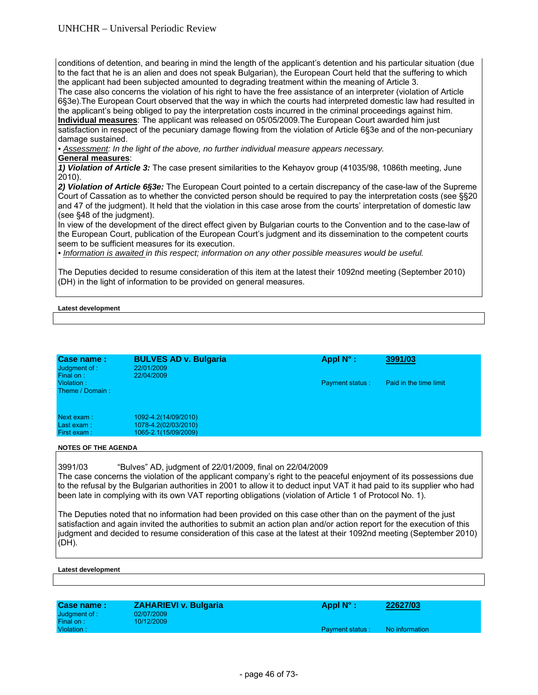# UNHCHR – Universal Periodic Review

conditions of detention, and bearing in mind the length of the applicant's detention and his particular situation (due to the fact that he is an alien and does not speak Bulgarian), the European Court held that the suffering to which the applicant had been subjected amounted to degrading treatment within the meaning of Article 3.

The case also concerns the violation of his right to have the free assistance of an interpreter (violation of Article 6§3e).The European Court observed that the way in which the courts had interpreted domestic law had resulted in the applicant's being obliged to pay the interpretation costs incurred in the criminal proceedings against him. **Individual measures**: The applicant was released on 05/05/2009.The European Court awarded him just

satisfaction in respect of the pecuniary damage flowing from the violation of Article 6§3e and of the non-pecuniary damage sustained.

*• Assessment: In the light of the above, no further individual measure appears necessary.* 

# **General measures**:

*1) Violation of Article 3:* The case present similarities to the Kehayov group (41035/98, 1086th meeting, June 2010).

*2) Violation of Article 6§3e:* The European Court pointed to a certain discrepancy of the case-law of the Supreme Court of Cassation as to whether the convicted person should be required to pay the interpretation costs (see §§20 and 47 of the judgment). It held that the violation in this case arose from the courts' interpretation of domestic law (see §48 of the judgment).

In view of the development of the direct effect given by Bulgarian courts to the Convention and to the case-law of the European Court, publication of the European Court's judgment and its dissemination to the competent courts seem to be sufficient measures for its execution.

*• Information is awaited in this respect; information on any other possible measures would be useful.* 

The Deputies decided to resume consideration of this item at the latest their 1092nd meeting (September 2010) (DH) in the light of information to be provided on general measures.

## **Latest development**

| Case name:<br>Judgment of :<br>Final on: | <b>BULVES AD v. Bulgaria</b><br>22/01/2009<br>22/04/2009             | Appl $N^{\circ}$ :     | 3991/03                |  |
|------------------------------------------|----------------------------------------------------------------------|------------------------|------------------------|--|
| Violation:<br>Theme / Domain:            |                                                                      | <b>Payment status:</b> | Paid in the time limit |  |
| Next exam:<br>Last exam:<br>First exam:  | 1092-4.2(14/09/2010)<br>1078-4.2(02/03/2010)<br>1065-2.1(15/09/2009) |                        |                        |  |
| <b>NOTES OF THE AGENDA</b>               |                                                                      |                        |                        |  |

3991/03 "Bulves" AD, judgment of 22/01/2009, final on 22/04/2009 The case concerns the violation of the applicant company's right to the peaceful enjoyment of its possessions due to the refusal by the Bulgarian authorities in 2001 to allow it to deduct input VAT it had paid to its supplier who had been late in complying with its own VAT reporting obligations (violation of Article 1 of Protocol No. 1).

The Deputies noted that no information had been provided on this case other than on the payment of the just satisfaction and again invited the authorities to submit an action plan and/or action report for the execution of this judgment and decided to resume consideration of this case at the latest at their 1092nd meeting (September 2010) (DH).

| Case name:    | <b>ZAHARIEVI v. Bulgaria</b> | Appl $N^{\circ}$ :     | 22627/03       |
|---------------|------------------------------|------------------------|----------------|
| Judgment of : | 02/07/2009                   |                        |                |
| Final on:     | 10/12/2009                   |                        |                |
| Violation:    |                              | <b>Payment status:</b> | No information |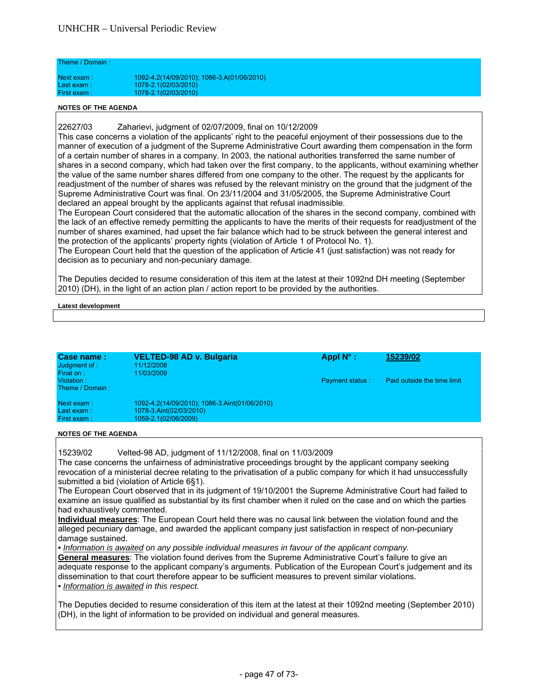| Theme / Domain: |                                            |
|-----------------|--------------------------------------------|
| Next exam:      | 1092-4.2(14/09/2010); 1086-3.A(01/06/2010) |
| Last $exam:$    | 1078-2.1(02/03/2010)                       |
| First exam:     | 1078-2.1(02/03/2010)                       |

22627/03 Zaharievi, judgment of 02/07/2009, final on 10/12/2009

This case concerns a violation of the applicants' right to the peaceful enjoyment of their possessions due to the manner of execution of a judgment of the Supreme Administrative Court awarding them compensation in the form of a certain number of shares in a company. In 2003, the national authorities transferred the same number of shares in a second company, which had taken over the first company, to the applicants, without examining whether the value of the same number shares differed from one company to the other. The request by the applicants for readjustment of the number of shares was refused by the relevant ministry on the ground that the judgment of the Supreme Administrative Court was final. On 23/11/2004 and 31/05/2005, the Supreme Administrative Court declared an appeal brought by the applicants against that refusal inadmissible.

The European Court considered that the automatic allocation of the shares in the second company, combined with the lack of an effective remedy permitting the applicants to have the merits of their requests for readjustment of the number of shares examined, had upset the fair balance which had to be struck between the general interest and the protection of the applicants' property rights (violation of Article 1 of Protocol No. 1).

The European Court held that the question of the application of Article 41 (just satisfaction) was not ready for decision as to pecuniary and non-pecuniary damage.

The Deputies decided to resume consideration of this item at the latest at their 1092nd DH meeting (September 2010) (DH), in the light of an action plan / action report to be provided by the authorities.

#### **Latest development**

| Case name:<br>Judgment of :<br>Final on: | <b>VELTED-98 AD v. Bulgaria</b><br>11/12/2008<br>11/03/2009                                      | Appl $N^{\circ}$ :     | 15239/02                    |
|------------------------------------------|--------------------------------------------------------------------------------------------------|------------------------|-----------------------------|
| Violation:<br>Theme / Domain:            |                                                                                                  | <b>Payment status:</b> | Paid outside the time limit |
| Next exam:<br>Last exam:<br>First exam:  | 1092-4.2(14/09/2010); 1086-3.Aint(01/06/2010)<br>1078-3.Aint(02/03/2010)<br>1059-2.1(02/06/2009) |                        |                             |

**NOTES OF THE AGENDA** 

15239/02 Velted-98 AD, judgment of 11/12/2008, final on 11/03/2009

The case concerns the unfairness of administrative proceedings brought by the applicant company seeking revocation of a ministerial decree relating to the privatisation of a public company for which it had unsuccessfully submitted a bid (violation of Article 6§1).

The European Court observed that in its judgment of 19/10/2001 the Supreme Administrative Court had failed to examine an issue qualified as substantial by its first chamber when it ruled on the case and on which the parties had exhaustively commented.

**Individual measures**: The European Court held there was no causal link between the violation found and the alleged pecuniary damage, and awarded the applicant company just satisfaction in respect of non-pecuniary damage sustained.

*• Information is awaited on any possible individual measures in favour of the applicant company.*  **General measures**: The violation found derives from the Supreme Administrative Court's failure to give an adequate response to the applicant company's arguments. Publication of the European Court's judgement and its dissemination to that court therefore appear to be sufficient measures to prevent similar violations.

*• Information is awaited in this respect.* 

The Deputies decided to resume consideration of this item at the latest at their 1092nd meeting (September 2010) (DH), in the light of information to be provided on individual and general measures.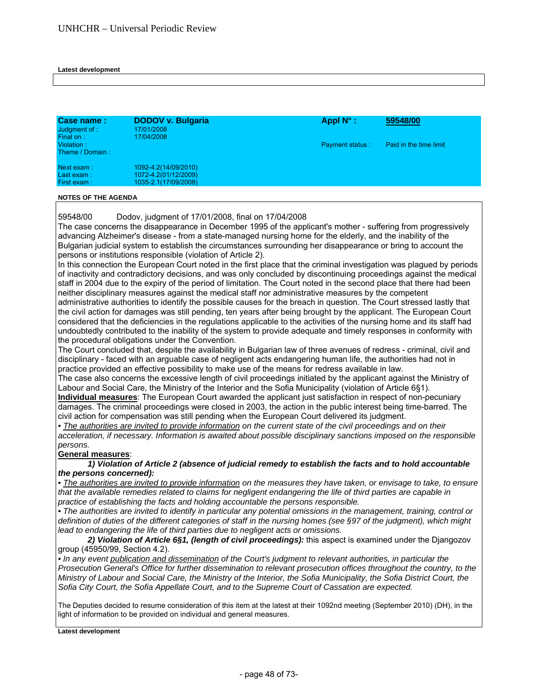#### **Latest development**

| Case name:<br>Judgment of :<br>Final on: | <b>DODOV v. Bulgaria</b><br>17/01/2008<br>17/04/2008                 | Appl $N^{\circ}$ :     | 59548/00               |  |
|------------------------------------------|----------------------------------------------------------------------|------------------------|------------------------|--|
| Violation:<br>Theme / Domain:            |                                                                      | <b>Payment status:</b> | Paid in the time limit |  |
| Next exam:<br>Last exam:<br>First exam:  | 1092-4.2(14/09/2010)<br>1072-4.2(01/12/2009)<br>1035-2.1(17/09/2008) |                        |                        |  |

#### **NOTES OF THE AGENDA**

59548/00 Dodov, judgment of 17/01/2008, final on 17/04/2008

The case concerns the disappearance in December 1995 of the applicant's mother - suffering from progressively advancing Alzheimer's disease - from a state-managed nursing home for the elderly, and the inability of the Bulgarian judicial system to establish the circumstances surrounding her disappearance or bring to account the persons or institutions responsible (violation of Article 2).

In this connection the European Court noted in the first place that the criminal investigation was plagued by periods of inactivity and contradictory decisions, and was only concluded by discontinuing proceedings against the medical staff in 2004 due to the expiry of the period of limitation. The Court noted in the second place that there had been neither disciplinary measures against the medical staff nor administrative measures by the competent administrative authorities to identify the possible causes for the breach in question. The Court stressed lastly that the civil action for damages was still pending, ten years after being brought by the applicant. The European Court considered that the deficiencies in the regulations applicable to the activities of the nursing home and its staff had undoubtedly contributed to the inability of the system to provide adequate and timely responses in conformity with the procedural obligations under the Convention.

The Court concluded that, despite the availability in Bulgarian law of three avenues of redress - criminal, civil and disciplinary - faced with an arguable case of negligent acts endangering human life, the authorities had not in practice provided an effective possibility to make use of the means for redress available in law.

The case also concerns the excessive length of civil proceedings initiated by the applicant against the Ministry of Labour and Social Care, the Ministry of the Interior and the Sofia Municipality (violation of Article 6§1).

**Individual measures**: The European Court awarded the applicant just satisfaction in respect of non-pecuniary damages. The criminal proceedings were closed in 2003, the action in the public interest being time-barred. The civil action for compensation was still pending when the European Court delivered its judgment.

• The authorities are invited to provide information on the current state of the civil proceedings and on their *acceleration, if necessary. Information is awaited about possible disciplinary sanctions imposed on the responsible persons.* 

# **General measures**:

 *1) Violation of Article 2 (absence of judicial remedy to establish the facts and to hold accountable the persons concerned):*

• The authorities are invited to provide information on the measures they have taken, or envisage to take, to ensure *that the available remedies related to claims for negligent endangering the life of third parties are capable in practice of establishing the facts and holding accountable the persons responsible.* 

*• The authorities are invited to identify in particular any potential omissions in the management, training, control or definition of duties of the different categories of staff in the nursing homes (see §97 of the judgment), which might lead to endangering the life of third parties due to negligent acts or omissions.*

 *2) Violation of Article 6§1, (length of civil proceedings):* this aspect is examined under the Djangozov group (45950/99, Section 4.2).

• In any event publication and dissemination of the Court's judgment to relevant authorities, in particular the *Prosecution General's Office for further dissemination to relevant prosecution offices throughout the country, to the Ministry of Labour and Social Care, the Ministry of the Interior, the Sofia Municipality, the Sofia District Court, the Sofia City Court, the Sofia Appellate Court, and to the Supreme Court of Cassation are expected.*

The Deputies decided to resume consideration of this item at the latest at their 1092nd meeting (September 2010) (DH), in the light of information to be provided on individual and general measures.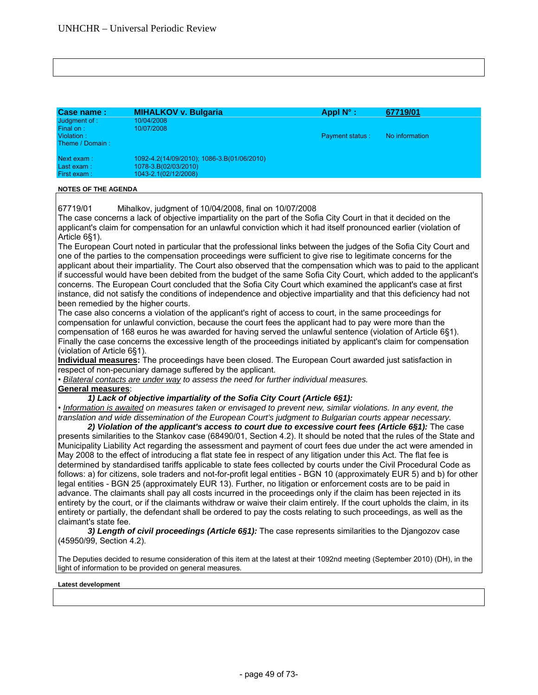Case name : **MIHALKOV v. Bulgaria** Appl N° : 67719/01<br>Judgment of Appl N° : 10/04/2008 Judgment of :<br>Final on : Final on : 10/07/2008 Violation : Payment status : No information Theme / Domain : Next exam : 1092-4.2(14/09/2010); 1086-3.B(01/06/2010) Last exam : 1078-3.B(02/03/2010)<br>First exam : 1043-2 102/12/2008) First exam : 1043-2.1(02/12/2008)

## **NOTES OF THE AGENDA**

67719/01 Mihalkov, judgment of 10/04/2008, final on 10/07/2008

The case concerns a lack of objective impartiality on the part of the Sofia City Court in that it decided on the applicant's claim for compensation for an unlawful conviction which it had itself pronounced earlier (violation of Article 6§1).

The European Court noted in particular that the professional links between the judges of the Sofia City Court and one of the parties to the compensation proceedings were sufficient to give rise to legitimate concerns for the applicant about their impartiality. The Court also observed that the compensation which was to paid to the applicant if successful would have been debited from the budget of the same Sofia City Court, which added to the applicant's concerns. The European Court concluded that the Sofia City Court which examined the applicant's case at first instance, did not satisfy the conditions of independence and objective impartiality and that this deficiency had not been remedied by the higher courts.

The case also concerns a violation of the applicant's right of access to court, in the same proceedings for compensation for unlawful conviction, because the court fees the applicant had to pay were more than the compensation of 168 euros he was awarded for having served the unlawful sentence (violation of Article 6§1). Finally the case concerns the excessive length of the proceedings initiated by applicant's claim for compensation (violation of Article 6§1).

**Individual measures:** The proceedings have been closed. The European Court awarded just satisfaction in respect of non-pecuniary damage suffered by the applicant.

• *Bilateral contacts are under way to assess the need for further individual measures.* 

#### **General measures**:

## *1) Lack of objective impartiality of the Sofia City Court (Article 6§1):*

• *Information is awaited on measures taken or envisaged to prevent new, similar violations. In any event, the translation and wide dissemination of the European Court's judgment to Bulgarian courts appear necessary.* 

*2) Violation of the applicant's access to court due to excessive court fees (Article 6§1):* The case presents similarities to the Stankov case (68490/01, Section 4.2). It should be noted that the rules of the State and Municipality Liability Act regarding the assessment and payment of court fees due under the act were amended in May 2008 to the effect of introducing a flat state fee in respect of any litigation under this Act. The flat fee is determined by standardised tariffs applicable to state fees collected by courts under the Civil Procedural Code as follows: a) for citizens, sole traders and not-for-profit legal entities - BGN 10 (approximately EUR 5) and b) for other legal entities - BGN 25 (approximately EUR 13). Further, no litigation or enforcement costs are to be paid in advance. The claimants shall pay all costs incurred in the proceedings only if the claim has been rejected in its entirety by the court, or if the claimants withdraw or waive their claim entirely. If the court upholds the claim, in its entirety or partially, the defendant shall be ordered to pay the costs relating to such proceedings, as well as the claimant's state fee.

*3) Length of civil proceedings (Article 6§1):* The case represents similarities to the Djangozov case (45950/99, Section 4.2).

The Deputies decided to resume consideration of this item at the latest at their 1092nd meeting (September 2010) (DH), in the light of information to be provided on general measures*.*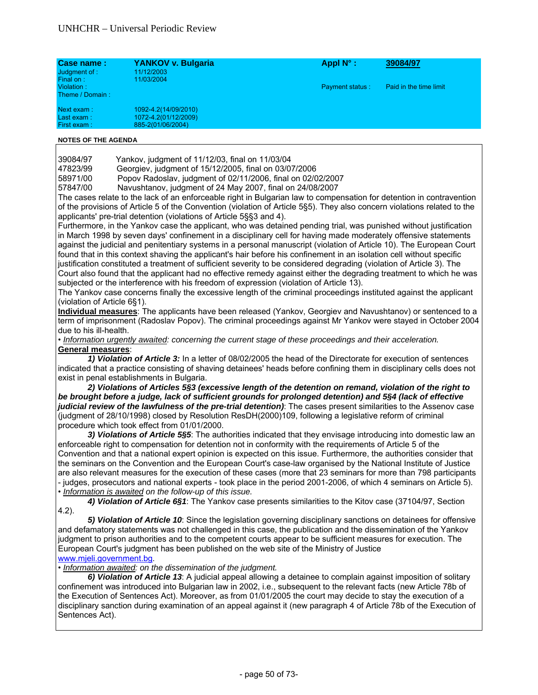| Case name:<br>Judgment of :<br>Final on:   | YANKOV v. Bulgaria<br>11/12/2003<br>11/03/2004                    | Appl $N^{\circ}$ :     | 39084/97               |  |
|--------------------------------------------|-------------------------------------------------------------------|------------------------|------------------------|--|
| Violation:<br>Theme / Domain:              |                                                                   | <b>Payment status:</b> | Paid in the time limit |  |
| Next exam:<br>Last exam : l<br>First exam: | 1092-4.2(14/09/2010)<br>1072-4.2(01/12/2009)<br>885-2(01/06/2004) |                        |                        |  |

| 39084/97 |  | Yankov, judgment of 11/12/03, final on 11/03/04 |  |
|----------|--|-------------------------------------------------|--|
|          |  |                                                 |  |

47823/99 Georgiev, judgment of 15/12/2005, final on 03/07/2006

58971/00 Popov Radoslav, judgment of 02/11/2006, final on 02/02/2007

57847/00 Navushtanov, judgment of 24 May 2007, final on 24/08/2007

The cases relate to the lack of an enforceable right in Bulgarian law to compensation for detention in contravention of the provisions of Article 5 of the Convention (violation of Article 5§5). They also concern violations related to the applicants' pre-trial detention (violations of Article 5§§3 and 4).

Furthermore, in the Yankov case the applicant, who was detained pending trial, was punished without justification in March 1998 by seven days' confinement in a disciplinary cell for having made moderately offensive statements against the judicial and penitentiary systems in a personal manuscript (violation of Article 10). The European Court found that in this context shaving the applicant's hair before his confinement in an isolation cell without specific justification constituted a treatment of sufficient severity to be considered degrading (violation of Article 3). The Court also found that the applicant had no effective remedy against either the degrading treatment to which he was subjected or the interference with his freedom of expression (violation of Article 13).

The Yankov case concerns finally the excessive length of the criminal proceedings instituted against the applicant (violation of Article 6§1).

**Individual measures**: The applicants have been released (Yankov, Georgiev and Navushtanov) or sentenced to a term of imprisonment (Radoslav Popov). The criminal proceedings against Mr Yankov were stayed in October 2004 due to his ill-health.

• *Information urgently awaited: concerning the current stage of these proceedings and their acceleration.*  **General measures**:

*1) Violation of Article 3:* In a letter of 08/02/2005 the head of the Directorate for execution of sentences indicated that a practice consisting of shaving detainees' heads before confining them in disciplinary cells does not exist in penal establishments in Bulgaria.

*2) Violations of Articles 5§3 (excessive length of the detention on remand, violation of the right to be brought before a judge, lack of sufficient grounds for prolonged detention) and 5§4 (lack of effective judicial review of the lawfulness of the pre-trial detention)*: The cases present similarities to the Assenov case (judgment of 28/10/1998) closed by Resolution ResDH(2000)109, following a legislative reform of criminal procedure which took effect from 01/01/2000.

*3) Violations of Article 5§5*: The authorities indicated that they envisage introducing into domestic law an enforceable right to compensation for detention not in conformity with the requirements of Article 5 of the Convention and that a national expert opinion is expected on this issue. Furthermore, the authorities consider that the seminars on the Convention and the European Court's case-law organised by the National Institute of Justice are also relevant measures for the execution of these cases (more that 23 seminars for more than 798 participants - judges, prosecutors and national experts - took place in the period 2001-2006, of which 4 seminars on Article 5). • *Information is awaited on the follow-up of this issue.* 

*4) Violation of Article 6§1*: The Yankov case presents similarities to the Kitov case (37104/97, Section 4.2).

*5) Violation of Article 10*: Since the legislation governing disciplinary sanctions on detainees for offensive and defamatory statements was not challenged in this case, the publication and the dissemination of the Yankov judgment to prison authorities and to the competent courts appear to be sufficient measures for execution. The European Court's judgment has been published on the web site of the Ministry of Justice www.mjeli.government.bg.

# • *Information awaited: on the dissemination of the judgment.*

*6) Violation of Article 13*: A judicial appeal allowing a detainee to complain against imposition of solitary confinement was introduced into Bulgarian law in 2002, i.e., subsequent to the relevant facts (new Article 78b of the Execution of Sentences Act). Moreover, as from 01/01/2005 the court may decide to stay the execution of a disciplinary sanction during examination of an appeal against it (new paragraph 4 of Article 78b of the Execution of Sentences Act).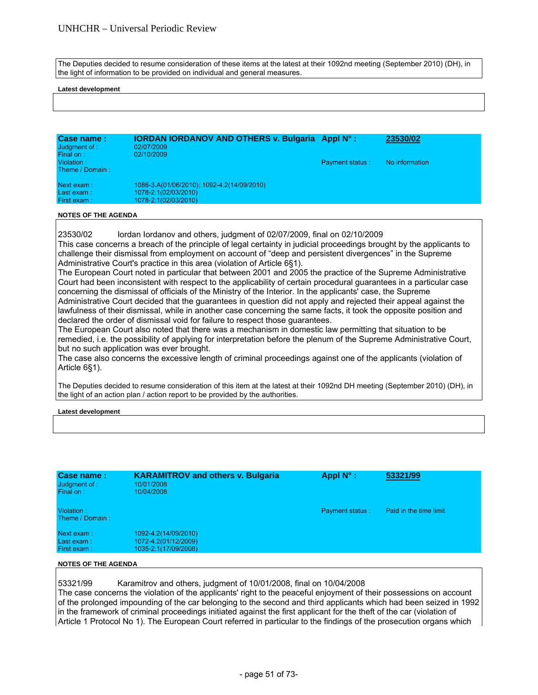The Deputies decided to resume consideration of these items at the latest at their 1092nd meeting (September 2010) (DH), in the light of information to be provided on individual and general measures.

#### **Latest development**

| Case name:<br>Judgment of :<br>Final on: | <b>IORDAN IORDANOV AND OTHERS v. Bulgaria Appl N°:</b><br>02/07/2009<br>02/10/2009 |                        | 23530/02       |
|------------------------------------------|------------------------------------------------------------------------------------|------------------------|----------------|
| Violation:<br>Theme / Domain:            |                                                                                    | <b>Payment status:</b> | No information |
| Next exam:                               | 1086-3.A(01/06/2010); 1092-4.2(14/09/2010)                                         |                        |                |
| Last exam:                               | 1078-2.1(02/03/2010)                                                               |                        |                |
| First exam:                              | 1078-2.1(02/03/2010)                                                               |                        |                |

### **NOTES OF THE AGENDA**

23530/02 Iordan Iordanov and others, judgment of 02/07/2009, final on 02/10/2009 This case concerns a breach of the principle of legal certainty in judicial proceedings brought by the applicants to challenge their dismissal from employment on account of "deep and persistent divergences" in the Supreme Administrative Court's practice in this area (violation of Article 6§1).

The European Court noted in particular that between 2001 and 2005 the practice of the Supreme Administrative Court had been inconsistent with respect to the applicability of certain procedural guarantees in a particular case concerning the dismissal of officials of the Ministry of the Interior. In the applicants' case, the Supreme Administrative Court decided that the guarantees in question did not apply and rejected their appeal against the lawfulness of their dismissal, while in another case concerning the same facts, it took the opposite position and declared the order of dismissal void for failure to respect those guarantees.

The European Court also noted that there was a mechanism in domestic law permitting that situation to be remedied, i.e. the possibility of applying for interpretation before the plenum of the Supreme Administrative Court, but no such application was ever brought.

The case also concerns the excessive length of criminal proceedings against one of the applicants (violation of Article 6§1).

The Deputies decided to resume consideration of this item at the latest at their 1092nd DH meeting (September 2010) (DH), in the light of an action plan / action report to be provided by the authorities.

#### **Latest development**

| Case name:<br>Judgment of :<br>Final on: | <b>KARAMITROV and others v. Bulgaria</b><br>10/01/2008<br>10/04/2008 | Appl $N^{\circ}$ :     | 53321/99               |
|------------------------------------------|----------------------------------------------------------------------|------------------------|------------------------|
| Violation:<br>Theme / Domain:            |                                                                      | <b>Payment status:</b> | Paid in the time limit |
| Next exam:<br>Last exam:<br>First exam:  | 1092-4.2(14/09/2010)<br>1072-4.2(01/12/2009)<br>1035-2.1(17/09/2008) |                        |                        |

#### **NOTES OF THE AGENDA**

53321/99 Karamitrov and others, judgment of 10/01/2008, final on 10/04/2008

The case concerns the violation of the applicants' right to the peaceful enjoyment of their possessions on account of the prolonged impounding of the car belonging to the second and third applicants which had been seized in 1992 in the framework of criminal proceedings initiated against the first applicant for the theft of the car (violation of Article 1 Protocol No 1). The European Court referred in particular to the findings of the prosecution organs which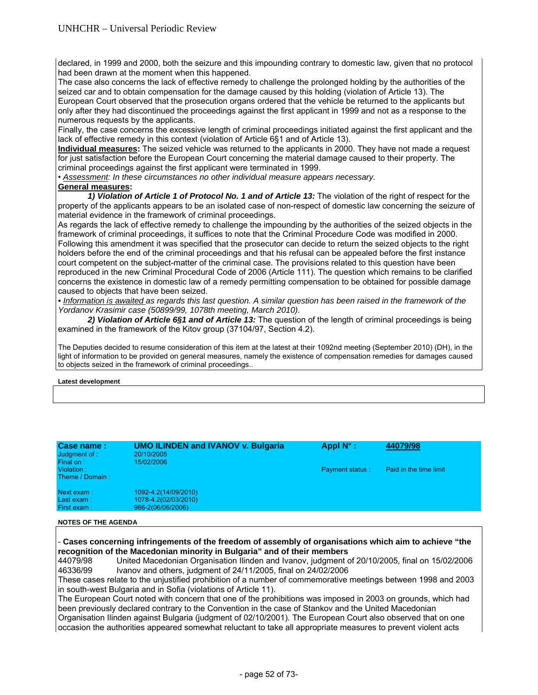declared, in 1999 and 2000, both the seizure and this impounding contrary to domestic law, given that no protocol had been drawn at the moment when this happened.

The case also concerns the lack of effective remedy to challenge the prolonged holding by the authorities of the seized car and to obtain compensation for the damage caused by this holding (violation of Article 13). The European Court observed that the prosecution organs ordered that the vehicle be returned to the applicants but only after they had discontinued the proceedings against the first applicant in 1999 and not as a response to the numerous requests by the applicants.

Finally, the case concerns the excessive length of criminal proceedings initiated against the first applicant and the lack of effective remedy in this context (violation of Article 6§1 and of Article 13).

**Individual measures:** The seized vehicle was returned to the applicants in 2000. They have not made a request for just satisfaction before the European Court concerning the material damage caused to their property. The criminal proceedings against the first applicant were terminated in 1999.

• *Assessment: In these circumstances no other individual measure appears necessary.* 

# **General measures:**

*1) Violation of Article 1 of Protocol No. 1 and of Article 13:* The violation of the right of respect for the property of the applicants appears to be an isolated case of non-respect of domestic law concerning the seizure of material evidence in the framework of criminal proceedings.

As regards the lack of effective remedy to challenge the impounding by the authorities of the seized objects in the framework of criminal proceedings, it suffices to note that the Criminal Procedure Code was modified in 2000. Following this amendment it was specified that the prosecutor can decide to return the seized objects to the right holders before the end of the criminal proceedings and that his refusal can be appealed before the first instance court competent on the subject-matter of the criminal case. The provisions related to this question have been reproduced in the new Criminal Procedural Code of 2006 (Article 111). The question which remains to be clarified concerns the existence in domestic law of a remedy permitting compensation to be obtained for possible damage caused to objects that have been seized.

*• Information is awaited as regards this last question. A similar question has been raised in the framework of the Yordanov Krasimir case (50899/99, 1078th meeting, March 2010).* 

*2) Violation of Article 6§1 and of Article 13:* The question of the length of criminal proceedings is being examined in the framework of the Kitov group (37104/97, Section 4.2).

The Deputies decided to resume consideration of this item at the latest at their 1092nd meeting (September 2010) (DH), in the light of information to be provided on general measures, namely the existence of compensation remedies for damages caused to objects seized in the framework of criminal proceedings..

# **Latest development**

| Case name:<br>Judgment of :<br>Final on: | <b>UMO ILINDEN and IVANOV v. Bulgaria</b><br>20/10/2005<br>15/02/2006 | Appl $N^{\circ}$ :     | 44079/98               |
|------------------------------------------|-----------------------------------------------------------------------|------------------------|------------------------|
| Violation:<br>Theme / Domain:            |                                                                       | <b>Payment status:</b> | Paid in the time limit |
| Next exam:<br>Last exam:<br>First exam:  | 1092-4.2(14/09/2010)<br>1078-4.2(02/03/2010)<br>966-2(06/06/2006)     |                        |                        |

# **NOTES OF THE AGENDA**

- **Cases concerning infringements of the freedom of assembly of organisations which aim to achieve "the recognition of the Macedonian minority in Bulgaria" and of their members** 

44079/98 United Macedonian Organisation Ilinden and Ivanov, judgment of 20/10/2005, final on 15/02/2006 46336/99 Ivanov and others, judgment of 24/11/2005, final on 24/02/2006

These cases relate to the unjustified prohibition of a number of commemorative meetings between 1998 and 2003 in south-west Bulgaria and in Sofia (violations of Article 11).

The European Court noted with concern that one of the prohibitions was imposed in 2003 on grounds, which had been previously declared contrary to the Convention in the case of Stankov and the United Macedonian Organisation Ilinden against Bulgaria (judgment of 02/10/2001). The European Court also observed that on one occasion the authorities appeared somewhat reluctant to take all appropriate measures to prevent violent acts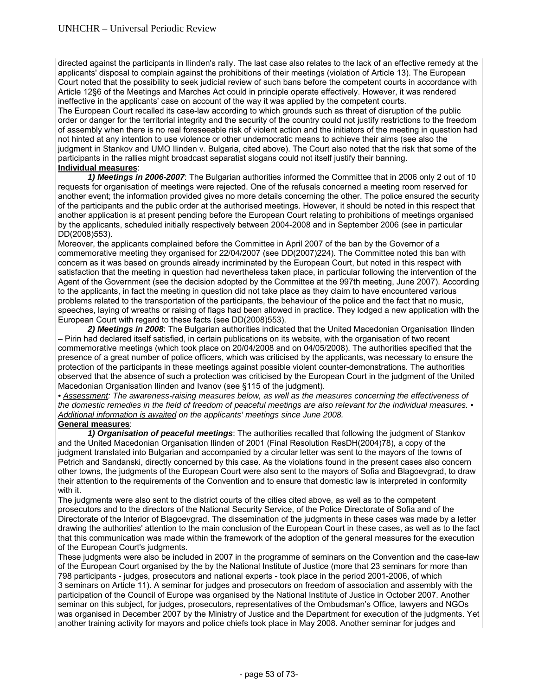directed against the participants in Ilinden's rally. The last case also relates to the lack of an effective remedy at the applicants' disposal to complain against the prohibitions of their meetings (violation of Article 13). The European Court noted that the possibility to seek judicial review of such bans before the competent courts in accordance with Article 12§6 of the Meetings and Marches Act could in principle operate effectively. However, it was rendered ineffective in the applicants' case on account of the way it was applied by the competent courts.

The European Court recalled its case-law according to which grounds such as threat of disruption of the public order or danger for the territorial integrity and the security of the country could not justify restrictions to the freedom of assembly when there is no real foreseeable risk of violent action and the initiators of the meeting in question had not hinted at any intention to use violence or other undemocratic means to achieve their aims (see also the judgment in Stankov and UMO Ilinden v. Bulgaria, cited above). The Court also noted that the risk that some of the participants in the rallies might broadcast separatist slogans could not itself justify their banning.

# **Individual measures**:

 *1) Meetings in 2006-2007*: The Bulgarian authorities informed the Committee that in 2006 only 2 out of 10 requests for organisation of meetings were rejected. One of the refusals concerned a meeting room reserved for another event; the information provided gives no more details concerning the other. The police ensured the security of the participants and the public order at the authorised meetings. However, it should be noted in this respect that another application is at present pending before the European Court relating to prohibitions of meetings organised by the applicants, scheduled initially respectively between 2004-2008 and in September 2006 (see in particular DD(2008)553).

Moreover, the applicants complained before the Committee in April 2007 of the ban by the Governor of a commemorative meeting they organised for 22/04/2007 (see DD(2007)224). The Committee noted this ban with concern as it was based on grounds already incriminated by the European Court, but noted in this respect with satisfaction that the meeting in question had nevertheless taken place, in particular following the intervention of the Agent of the Government (see the decision adopted by the Committee at the 997th meeting, June 2007). According to the applicants, in fact the meeting in question did not take place as they claim to have encountered various problems related to the transportation of the participants, the behaviour of the police and the fact that no music, speeches, laying of wreaths or raising of flags had been allowed in practice. They lodged a new application with the European Court with regard to these facts (see DD(2008)553).

 *2) Meetings in 2008*: The Bulgarian authorities indicated that the United Macedonian Organisation Ilinden – Pirin had declared itself satisfied, in certain publications on its website, with the organisation of two recent commemorative meetings (which took place on 20/04/2008 and on 04/05/2008). The authorities specified that the presence of a great number of police officers, which was criticised by the applicants, was necessary to ensure the protection of the participants in these meetings against possible violent counter-demonstrations. The authorities observed that the absence of such a protection was criticised by the European Court in the judgment of the United Macedonian Organisation Ilinden and Ivanov (see §115 of the judgment).

*• Assessment: The awareness-raising measures below, as well as the measures concerning the effectiveness of the domestic remedies in the field of freedom of peaceful meetings are also relevant for the individual measures. • Additional information is awaited on the applicants' meetings since June 2008.* 

# **General measures**:

 *1) Organisation of peaceful meetings*: The authorities recalled that following the judgment of Stankov and the United Macedonian Organisation Ilinden of 2001 (Final Resolution ResDH(2004)78), a copy of the judgment translated into Bulgarian and accompanied by a circular letter was sent to the mayors of the towns of Petrich and Sandanski, directly concerned by this case. As the violations found in the present cases also concern other towns, the judgments of the European Court were also sent to the mayors of Sofia and Blagoevgrad, to draw their attention to the requirements of the Convention and to ensure that domestic law is interpreted in conformity with it.

The judgments were also sent to the district courts of the cities cited above, as well as to the competent prosecutors and to the directors of the National Security Service, of the Police Directorate of Sofia and of the Directorate of the Interior of Blagoevgrad. The dissemination of the judgments in these cases was made by a letter drawing the authorities' attention to the main conclusion of the European Court in these cases, as well as to the fact that this communication was made within the framework of the adoption of the general measures for the execution of the European Court's judgments.

These judgments were also be included in 2007 in the programme of seminars on the Convention and the case-law of the European Court organised by the by the National Institute of Justice (more that 23 seminars for more than 798 participants - judges, prosecutors and national experts - took place in the period 2001-2006, of which 3 seminars on Article 11). A seminar for judges and prosecutors on freedom of association and assembly with the participation of the Council of Europe was organised by the National Institute of Justice in October 2007. Another seminar on this subject, for judges, prosecutors, representatives of the Ombudsman's Office, lawyers and NGOs was organised in December 2007 by the Ministry of Justice and the Department for execution of the judgments. Yet another training activity for mayors and police chiefs took place in May 2008. Another seminar for judges and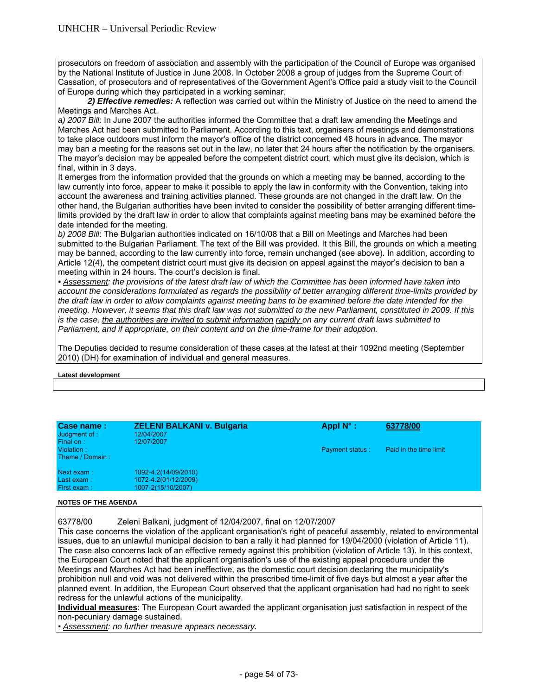prosecutors on freedom of association and assembly with the participation of the Council of Europe was organised by the National Institute of Justice in June 2008. In October 2008 a group of judges from the Supreme Court of Cassation, of prosecutors and of representatives of the Government Agent's Office paid a study visit to the Council of Europe during which they participated in a working seminar.

 *2) Effective remedies:* A reflection was carried out within the Ministry of Justice on the need to amend the Meetings and Marches Act.

*a) 2007 Bill*: In June 2007 the authorities informed the Committee that a draft law amending the Meetings and Marches Act had been submitted to Parliament. According to this text, organisers of meetings and demonstrations to take place outdoors must inform the mayor's office of the district concerned 48 hours in advance. The mayor may ban a meeting for the reasons set out in the law, no later that 24 hours after the notification by the organisers. The mayor's decision may be appealed before the competent district court, which must give its decision, which is final, within in 3 days.

It emerges from the information provided that the grounds on which a meeting may be banned, according to the law currently into force, appear to make it possible to apply the law in conformity with the Convention, taking into account the awareness and training activities planned. These grounds are not changed in the draft law. On the other hand, the Bulgarian authorities have been invited to consider the possibility of better arranging different timelimits provided by the draft law in order to allow that complaints against meeting bans may be examined before the date intended for the meeting.

*b) 2008 Bill*: The Bulgarian authorities indicated on 16/10/08 that a Bill on Meetings and Marches had been submitted to the Bulgarian Parliament. The text of the Bill was provided. It this Bill, the grounds on which a meeting may be banned, according to the law currently into force, remain unchanged (see above). In addition, according to Article 12(4), the competent district court must give its decision on appeal against the mayor's decision to ban a meeting within in 24 hours. The court's decision is final.

*• Assessment: the provisions of the latest draft law of which the Committee has been informed have taken into account the considerations formulated as regards the possibility of better arranging different time-limits provided by the draft law in order to allow complaints against meeting bans to be examined before the date intended for the meeting. However, it seems that this draft law was not submitted to the new Parliament, constituted in 2009. If this is the case, the authorities are invited to submit information rapidly on any current draft laws submitted to Parliament, and if appropriate, on their content and on the time-frame for their adoption.* 

The Deputies decided to resume consideration of these cases at the latest at their 1092nd meeting (September 2010) (DH) for examination of individual and general measures.

# **Latest development**

| Case name:<br>Judgment of :<br>Final on: | <b>ZELENI BALKANI v. Bulgaria</b><br>12/04/2007<br>12/07/2007      | Appl $N^{\circ}$ :     | 63778/00               |
|------------------------------------------|--------------------------------------------------------------------|------------------------|------------------------|
| Violation:<br>Theme / Domain:            |                                                                    | <b>Payment status:</b> | Paid in the time limit |
| Next exam:<br>Last exam:<br>First exam:  | 1092-4.2(14/09/2010)<br>1072-4.2(01/12/2009)<br>1007-2(15/10/2007) |                        |                        |

#### **NOTES OF THE AGENDA**

63778/00 Zeleni Balkani, judgment of 12/04/2007, final on 12/07/2007

This case concerns the violation of the applicant organisation's right of peaceful assembly, related to environmental issues, due to an unlawful municipal decision to ban a rally it had planned for 19/04/2000 (violation of Article 11). The case also concerns lack of an effective remedy against this prohibition (violation of Article 13). In this context, the European Court noted that the applicant organisation's use of the existing appeal procedure under the Meetings and Marches Act had been ineffective, as the domestic court decision declaring the municipality's prohibition null and void was not delivered within the prescribed time-limit of five days but almost a year after the planned event. In addition, the European Court observed that the applicant organisation had had no right to seek redress for the unlawful actions of the municipality.

**Individual measures**: The European Court awarded the applicant organisation just satisfaction in respect of the non-pecuniary damage sustained.

• *Assessment: no further measure appears necessary.*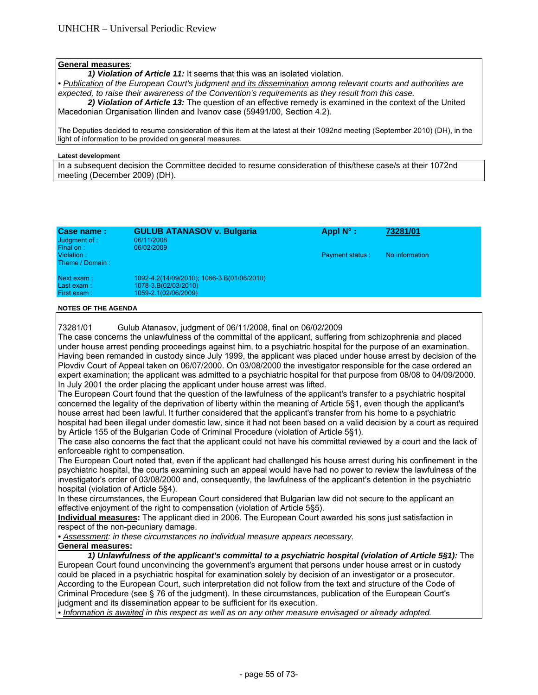# **General measures**:

*1) Violation of Article 11:* It seems that this was an isolated violation.

**• Publication of the European Court's judgment and its dissemination among relevant courts and authorities are** *expected, to raise their awareness of the Convention's requirements as they result from this case.* 

*2) Violation of Article 13:* The question of an effective remedy is examined in the context of the United Macedonian Organisation Ilinden and Ivanov case (59491/00, Section 4.2).

The Deputies decided to resume consideration of this item at the latest at their 1092nd meeting (September 2010) (DH), in the light of information to be provided on general measures.

#### **Latest development**

In a subsequent decision the Committee decided to resume consideration of this/these case/s at their 1072nd meeting (December 2009) (DH).

| Case name:<br>Judgment of :<br>Final on:  | <b>GULUB ATANASOV v. Bulgaria</b><br>06/11/2008<br>06/02/2009                              | Appl $N^{\circ}$ :     | 73281/01       |
|-------------------------------------------|--------------------------------------------------------------------------------------------|------------------------|----------------|
| Violation:<br>Theme / Domain:             |                                                                                            | <b>Payment status:</b> | No information |
| Next exam:<br>Last $exam:$<br>First exam: | 1092-4.2(14/09/2010); 1086-3.B(01/06/2010)<br>1078-3.B(02/03/2010)<br>1059-2.1(02/06/2009) |                        |                |
| <b>NOTES OF THE AGENDA</b>                |                                                                                            |                        |                |

73281/01 Gulub Atanasov, judgment of 06/11/2008, final on 06/02/2009

The case concerns the unlawfulness of the committal of the applicant, suffering from schizophrenia and placed under house arrest pending proceedings against him, to a psychiatric hospital for the purpose of an examination. Having been remanded in custody since July 1999, the applicant was placed under house arrest by decision of the Plovdiv Court of Appeal taken on 06/07/2000. On 03/08/2000 the investigator responsible for the case ordered an expert examination; the applicant was admitted to a psychiatric hospital for that purpose from 08/08 to 04/09/2000. In July 2001 the order placing the applicant under house arrest was lifted.

The European Court found that the question of the lawfulness of the applicant's transfer to a psychiatric hospital concerned the legality of the deprivation of liberty within the meaning of Article 5§1, even though the applicant's house arrest had been lawful. It further considered that the applicant's transfer from his home to a psychiatric hospital had been illegal under domestic law, since it had not been based on a valid decision by a court as required by Article 155 of the Bulgarian Code of Criminal Procedure (violation of Article 5§1).

The case also concerns the fact that the applicant could not have his committal reviewed by a court and the lack of enforceable right to compensation.

The European Court noted that, even if the applicant had challenged his house arrest during his confinement in the psychiatric hospital, the courts examining such an appeal would have had no power to review the lawfulness of the investigator's order of 03/08/2000 and, consequently, the lawfulness of the applicant's detention in the psychiatric hospital (violation of Article 5§4).

In these circumstances, the European Court considered that Bulgarian law did not secure to the applicant an effective enjoyment of the right to compensation (violation of Article 5§5).

**Individual measures:** The applicant died in 2006. The European Court awarded his sons just satisfaction in respect of the non-pecuniary damage.

*• Assessment: in these circumstances no individual measure appears necessary.* 

# **General measures:**

*1) Unlawfulness of the applicant's committal to a psychiatric hospital (violation of Article 5§1):* The European Court found unconvincing the government's argument that persons under house arrest or in custody could be placed in a psychiatric hospital for examination solely by decision of an investigator or a prosecutor. According to the European Court, such interpretation did not follow from the text and structure of the Code of Criminal Procedure (see § 76 of the judgment). In these circumstances, publication of the European Court's judgment and its dissemination appear to be sufficient for its execution.

*• Information is awaited in this respect as well as on any other measure envisaged or already adopted.*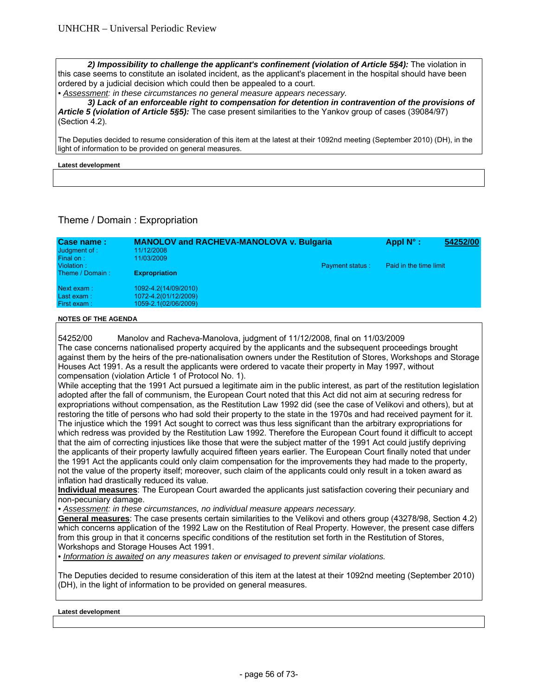2) Impossibility to challenge the applicant's confinement (violation of Article 5§4): The violation in this case seems to constitute an isolated incident, as the applicant's placement in the hospital should have been ordered by a judicial decision which could then be appealed to a court.

*• Assessment: in these circumstances no general measure appears necessary.* 

*3) Lack of an enforceable right to compensation for detention in contravention of the provisions of Article 5 (violation of Article 5§5):* The case present similarities to the Yankov group of cases (39084/97) (Section 4.2).

The Deputies decided to resume consideration of this item at the latest at their 1092nd meeting (September 2010) (DH), in the light of information to be provided on general measures.

## **Latest development**

# Theme / Domain : Expropriation

| Case name:<br>Judgment of : | <b>MANOLOV and RACHEVA-MANOLOVA v. Bulgaria</b><br>11/12/2008 |                        | Appl $N^{\circ}$ :     | 54252/00 |
|-----------------------------|---------------------------------------------------------------|------------------------|------------------------|----------|
| Final on:                   | 11/03/2009                                                    |                        |                        |          |
| Violation:                  |                                                               | <b>Payment status:</b> | Paid in the time limit |          |
| Theme / Domain:             | <b>Expropriation</b>                                          |                        |                        |          |
| Next exam:                  | 1092-4.2(14/09/2010)                                          |                        |                        |          |
| Last exam:                  | 1072-4.2(01/12/2009)                                          |                        |                        |          |
| First exam:                 | 1059-2.1(02/06/2009)                                          |                        |                        |          |

## **NOTES OF THE AGENDA**

54252/00 Manolov and Racheva-Manolova, judgment of 11/12/2008, final on 11/03/2009 The case concerns nationalised property acquired by the applicants and the subsequent proceedings brought against them by the heirs of the pre-nationalisation owners under the Restitution of Stores, Workshops and Storage Houses Act 1991. As a result the applicants were ordered to vacate their property in May 1997, without compensation (violation Article 1 of Protocol No. 1).

While accepting that the 1991 Act pursued a legitimate aim in the public interest, as part of the restitution legislation adopted after the fall of communism, the European Court noted that this Act did not aim at securing redress for expropriations without compensation, as the Restitution Law 1992 did (see the case of Velikovi and others), but at restoring the title of persons who had sold their property to the state in the 1970s and had received payment for it. The injustice which the 1991 Act sought to correct was thus less significant than the arbitrary expropriations for which redress was provided by the Restitution Law 1992. Therefore the European Court found it difficult to accept that the aim of correcting injustices like those that were the subject matter of the 1991 Act could justify depriving the applicants of their property lawfully acquired fifteen years earlier. The European Court finally noted that under the 1991 Act the applicants could only claim compensation for the improvements they had made to the property, not the value of the property itself; moreover, such claim of the applicants could only result in a token award as inflation had drastically reduced its value.

**Individual measures**: The European Court awarded the applicants just satisfaction covering their pecuniary and non-pecuniary damage.

*• Assessment: in these circumstances, no individual measure appears necessary.* 

**General measures**: The case presents certain similarities to the Velikovi and others group (43278/98, Section 4.2) which concerns application of the 1992 Law on the Restitution of Real Property. However, the present case differs from this group in that it concerns specific conditions of the restitution set forth in the Restitution of Stores, Workshops and Storage Houses Act 1991.

*• Information is awaited on any measures taken or envisaged to prevent similar violations.* 

The Deputies decided to resume consideration of this item at the latest at their 1092nd meeting (September 2010) (DH), in the light of information to be provided on general measures.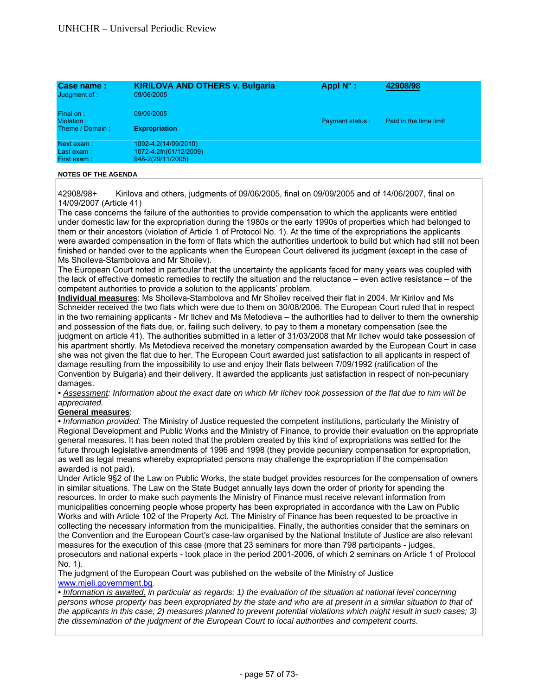| Case name:<br>Judgment of :                | <b>KIRILOVA AND OTHERS v. Bulgaria</b><br>09/06/2005                | Appl $N^{\circ}$ :     | 42908/98               |
|--------------------------------------------|---------------------------------------------------------------------|------------------------|------------------------|
| Final on:<br>Violation:<br>Theme / Domain: | 09/09/2005<br><b>Expropriation</b>                                  | <b>Payment status:</b> | Paid in the time limit |
| Next exam:<br>Last exam:<br>First exam:    | 1092-4.2(14/09/2010)<br>1072-4.2fn(01/12/2009)<br>948-2(29/11/2005) |                        |                        |

42908/98+ Kirilova and others, judgments of 09/06/2005, final on 09/09/2005 and of 14/06/2007, final on 14/09/2007 (Article 41)

The case concerns the failure of the authorities to provide compensation to which the applicants were entitled under domestic law for the expropriation during the 1980s or the early 1990s of properties which had belonged to them or their ancestors (violation of Article 1 of Protocol No. 1). At the time of the expropriations the applicants were awarded compensation in the form of flats which the authorities undertook to build but which had still not been finished or handed over to the applicants when the European Court delivered its judgment (except in the case of Ms Shoileva-Stambolova and Mr Shoilev).

The European Court noted in particular that the uncertainty the applicants faced for many years was coupled with the lack of effective domestic remedies to rectify the situation and the reluctance – even active resistance – of the competent authorities to provide a solution to the applicants' problem.

**Individual measures**: Ms Shoileva-Stambolova and Mr Shoilev received their flat in 2004. Mr Kirilov and Ms Schneider received the two flats which were due to them on 30/08/2006. The European Court ruled that in respect in the two remaining applicants - Mr Ilchev and Ms Metodieva – the authorities had to deliver to them the ownership and possession of the flats due, or, failing such delivery, to pay to them a monetary compensation (see the judgment on article 41). The authorities submitted in a letter of 31/03/2008 that Mr Ilchev would take possession of his apartment shortly. Ms Metodieva received the monetary compensation awarded by the European Court in case she was not given the flat due to her. The European Court awarded just satisfaction to all applicants in respect of damage resulting from the impossibility to use and enjoy their flats between 7/09/1992 (ratification of the Convention by Bulgaria) and their delivery. It awarded the applicants just satisfaction in respect of non-pecuniary damages.

*• Assessment: Information about the exact date on which Mr Ilchev took possession of the flat due to him will be appreciated.* 

# **General measures**:

*• Information provided:* The Ministry of Justice requested the competent institutions, particularly the Ministry of Regional Development and Public Works and the Ministry of Finance, to provide their evaluation on the appropriate general measures. It has been noted that the problem created by this kind of expropriations was settled for the future through legislative amendments of 1996 and 1998 (they provide pecuniary compensation for expropriation, as well as legal means whereby expropriated persons may challenge the expropriation if the compensation awarded is not paid).

Under Article 9§2 of the Law on Public Works, the state budget provides resources for the compensation of owners in similar situations. The Law on the State Budget annually lays down the order of priority for spending the resources. In order to make such payments the Ministry of Finance must receive relevant information from municipalities concerning people whose property has been expropriated in accordance with the Law on Public Works and with Article 102 of the Property Act. The Ministry of Finance has been requested to be proactive in collecting the necessary information from the municipalities. Finally, the authorities consider that the seminars on the Convention and the European Court's case-law organised by the National Institute of Justice are also relevant measures for the execution of this case (more that 23 seminars for more than 798 participants - judges, prosecutors and national experts - took place in the period 2001-2006, of which 2 seminars on Article 1 of Protocol No. 1).

The judgment of the European Court was published on the website of the Ministry of Justice www.mjeli.government.bg.

*• Information is awaited, in particular as regards: 1) the evaluation of the situation at national level concerning*  persons whose property has been expropriated by the state and who are at present in a similar situation to that of *the applicants in this case; 2) measures planned to prevent potential violations which might result in such cases; 3) the dissemination of the judgment of the European Court to local authorities and competent courts.*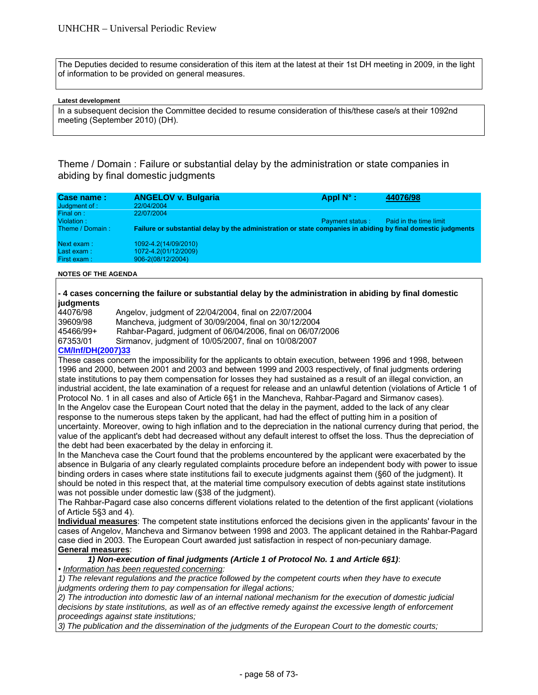The Deputies decided to resume consideration of this item at the latest at their 1st DH meeting in 2009, in the light of information to be provided on general measures.

## **Latest development**

In a subsequent decision the Committee decided to resume consideration of this/these case/s at their 1092nd meeting (September 2010) (DH).

Theme / Domain : Failure or substantial delay by the administration or state companies in abiding by final domestic judgments

| Case name:<br>Judgment of :<br>Final on: | <b>ANGELOV v. Bulgaria</b><br>22/04/2004<br>22/07/2004                                                       | Appl $N^{\circ}$ :     | 44076/98               |
|------------------------------------------|--------------------------------------------------------------------------------------------------------------|------------------------|------------------------|
| Violation:<br>Theme / Domain:            | Failure or substantial delay by the administration or state companies in abiding by final domestic judgments | <b>Payment status:</b> | Paid in the time limit |
| Next exam:<br>Last exam:<br>First exam:  | 1092-4.2(14/09/2010)<br>1072-4.2(01/12/2009)<br>906-2(08/12/2004)                                            |                        |                        |

**NOTES OF THE AGENDA** 

# **- 4 cases concerning the failure or substantial delay by the administration in abiding by final domestic judgments**

| 44076/98  | Angelov, judgment of 22/04/2004, final on 22/07/2004       |
|-----------|------------------------------------------------------------|
| 39609/98  | Mancheva, judgment of 30/09/2004, final on 30/12/2004      |
| 45466/99+ | Rahbar-Pagard, judgment of 06/04/2006, final on 06/07/2006 |
| 67353/01  | Sirmanov, judgment of 10/05/2007, final on 10/08/2007      |

# **CM/Inf/DH(2007)33**

These cases concern the impossibility for the applicants to obtain execution, between 1996 and 1998, between 1996 and 2000, between 2001 and 2003 and between 1999 and 2003 respectively, of final judgments ordering state institutions to pay them compensation for losses they had sustained as a result of an illegal conviction, an industrial accident, the late examination of a request for release and an unlawful detention (violations of Article 1 of Protocol No. 1 in all cases and also of Article 6§1 in the Mancheva, Rahbar-Pagard and Sirmanov cases). In the Angelov case the European Court noted that the delay in the payment, added to the lack of any clear response to the numerous steps taken by the applicant, had had the effect of putting him in a position of uncertainty. Moreover, owing to high inflation and to the depreciation in the national currency during that period, the value of the applicant's debt had decreased without any default interest to offset the loss. Thus the depreciation of the debt had been exacerbated by the delay in enforcing it.

In the Mancheva case the Court found that the problems encountered by the applicant were exacerbated by the absence in Bulgaria of any clearly regulated complaints procedure before an independent body with power to issue binding orders in cases where state institutions fail to execute judgments against them (§60 of the judgment). It should be noted in this respect that, at the material time compulsory execution of debts against state institutions was not possible under domestic law (§38 of the judgment).

The Rahbar-Pagard case also concerns different violations related to the detention of the first applicant (violations of Article 5§3 and 4).

**Individual measures**: The competent state institutions enforced the decisions given in the applicants' favour in the cases of Angelov, Mancheva and Sirmanov between 1998 and 2003. The applicant detained in the Rahbar-Pagard case died in 2003. The European Court awarded just satisfaction in respect of non-pecuniary damage. **General measures**:

 *1) Non-execution of final judgments (Article 1 of Protocol No. 1 and Article 6§1)*:

*• Information has been requested concerning:* 

*1) The relevant regulations and the practice followed by the competent courts when they have to execute judgments ordering them to pay compensation for illegal actions;* 

*2) The introduction into domestic law of an internal national mechanism for the execution of domestic judicial decisions by state institutions, as well as of an effective remedy against the excessive length of enforcement proceedings against state institutions;* 

*3) The publication and the dissemination of the judgments of the European Court to the domestic courts;*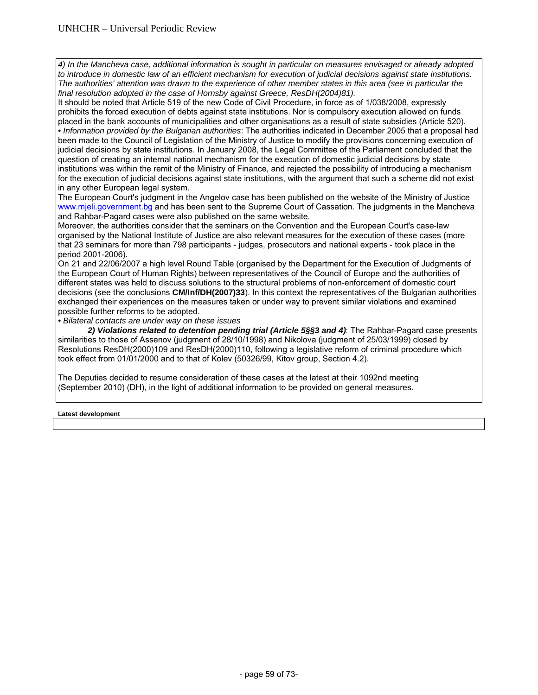*4) In the Mancheva case, additional information is sought in particular on measures envisaged or already adopted to introduce in domestic law of an efficient mechanism for execution of judicial decisions against state institutions. The authorities' attention was drawn to the experience of other member states in this area (see in particular the final resolution adopted in the case of Hornsby against Greece, ResDH(2004)81).* 

It should be noted that Article 519 of the new Code of Civil Procedure, in force as of 1/038/2008, expressly prohibits the forced execution of debts against state institutions. Nor is compulsory execution allowed on funds placed in the bank accounts of municipalities and other organisations as a result of state subsidies (Article 520). *• Information provided by the Bulgarian authorities*: The authorities indicated in December 2005 that a proposal had been made to the Council of Legislation of the Ministry of Justice to modify the provisions concerning execution of judicial decisions by state institutions. In January 2008, the Legal Committee of the Parliament concluded that the question of creating an internal national mechanism for the execution of domestic judicial decisions by state institutions was within the remit of the Ministry of Finance, and rejected the possibility of introducing a mechanism for the execution of judicial decisions against state institutions, with the argument that such a scheme did not exist in any other European legal system.

The European Court's judgment in the Angelov case has been published on the website of the Ministry of Justice www.mjeli.government.bg and has been sent to the Supreme Court of Cassation. The judgments in the Mancheva and Rahbar-Pagard cases were also published on the same website.

Moreover, the authorities consider that the seminars on the Convention and the European Court's case-law organised by the National Institute of Justice are also relevant measures for the execution of these cases (more that 23 seminars for more than 798 participants - judges, prosecutors and national experts - took place in the period 2001-2006).

On 21 and 22/06/2007 a high level Round Table (organised by the Department for the Execution of Judgments of the European Court of Human Rights) between representatives of the Council of Europe and the authorities of different states was held to discuss solutions to the structural problems of non-enforcement of domestic court decisions (see the conclusions **CM/Inf/DH(2007)33**). In this context the representatives of the Bulgarian authorities exchanged their experiences on the measures taken or under way to prevent similar violations and examined possible further reforms to be adopted.

*• Bilateral contacts are under way on these issues*

 *2) Violations related to detention pending trial (Article 5§§3 and 4)*: The Rahbar-Pagard case presents similarities to those of Assenov (judgment of 28/10/1998) and Nikolova (judgment of 25/03/1999) closed by Resolutions ResDH(2000)109 and ResDH(2000)110, following a legislative reform of criminal procedure which took effect from 01/01/2000 and to that of Kolev (50326/99, Kitov group, Section 4.2).

The Deputies decided to resume consideration of these cases at the latest at their 1092nd meeting (September 2010) (DH), in the light of additional information to be provided on general measures.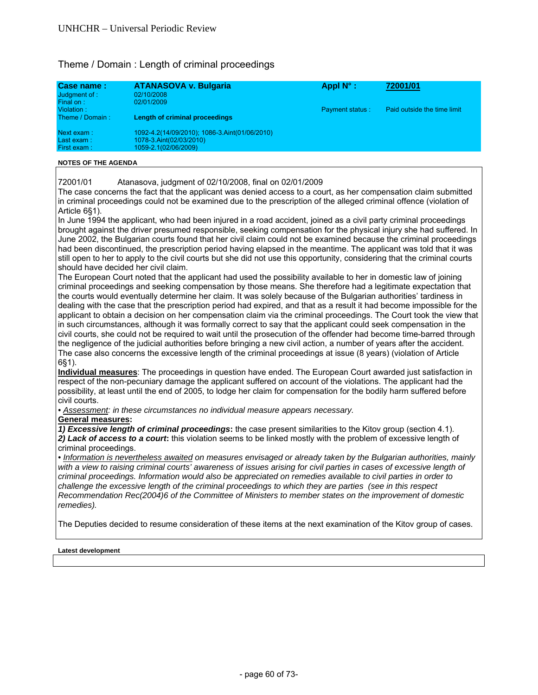# Theme / Domain : Length of criminal proceedings

| Case name:<br>Judgment of :<br>Final on: | <b>ATANASOVA v. Bulgaria</b><br>02/10/2008<br>02/01/2009                                         | Appl $N^{\circ}$ :     | 72001/01                    |
|------------------------------------------|--------------------------------------------------------------------------------------------------|------------------------|-----------------------------|
| Violation:<br>Theme / Domain:            | Length of criminal proceedings                                                                   | <b>Payment status:</b> | Paid outside the time limit |
| Next exam:<br>Last exam:<br>First exam:  | 1092-4.2(14/09/2010); 1086-3.Aint(01/06/2010)<br>1078-3.Aint(02/03/2010)<br>1059-2.1(02/06/2009) |                        |                             |

## **NOTES OF THE AGENDA**

72001/01 Atanasova, judgment of 02/10/2008, final on 02/01/2009

The case concerns the fact that the applicant was denied access to a court, as her compensation claim submitted in criminal proceedings could not be examined due to the prescription of the alleged criminal offence (violation of Article 6§1).

In June 1994 the applicant, who had been injured in a road accident, joined as a civil party criminal proceedings brought against the driver presumed responsible, seeking compensation for the physical injury she had suffered. In June 2002, the Bulgarian courts found that her civil claim could not be examined because the criminal proceedings had been discontinued, the prescription period having elapsed in the meantime. The applicant was told that it was still open to her to apply to the civil courts but she did not use this opportunity, considering that the criminal courts should have decided her civil claim.

The European Court noted that the applicant had used the possibility available to her in domestic law of joining criminal proceedings and seeking compensation by those means. She therefore had a legitimate expectation that the courts would eventually determine her claim. It was solely because of the Bulgarian authorities' tardiness in dealing with the case that the prescription period had expired, and that as a result it had become impossible for the applicant to obtain a decision on her compensation claim via the criminal proceedings. The Court took the view that in such circumstances, although it was formally correct to say that the applicant could seek compensation in the civil courts, she could not be required to wait until the prosecution of the offender had become time-barred through the negligence of the judicial authorities before bringing a new civil action, a number of years after the accident. The case also concerns the excessive length of the criminal proceedings at issue (8 years) (violation of Article 6§1).

**Individual measures**: The proceedings in question have ended. The European Court awarded just satisfaction in respect of the non-pecuniary damage the applicant suffered on account of the violations. The applicant had the possibility, at least until the end of 2005, to lodge her claim for compensation for the bodily harm suffered before civil courts.

*• Assessment: in these circumstances no individual measure appears necessary.* 

# **General measures:**

*1) Excessive length of criminal proceedings***:** the case present similarities to the Kitov group (section 4.1). *2) Lack of access to a court***:** this violation seems to be linked mostly with the problem of excessive length of criminal proceedings.

*• Information is nevertheless awaited on measures envisaged or already taken by the Bulgarian authorities, mainly*  with a view to raising criminal courts' awareness of issues arising for civil parties in cases of excessive length of *criminal proceedings. Information would also be appreciated on remedies available to civil parties in order to challenge the excessive length of the criminal proceedings to which they are parties (see in this respect Recommendation Rec(2004)6 of the Committee of Ministers to member states on the improvement of domestic remedies).* 

The Deputies decided to resume consideration of these items at the next examination of the Kitov group of cases.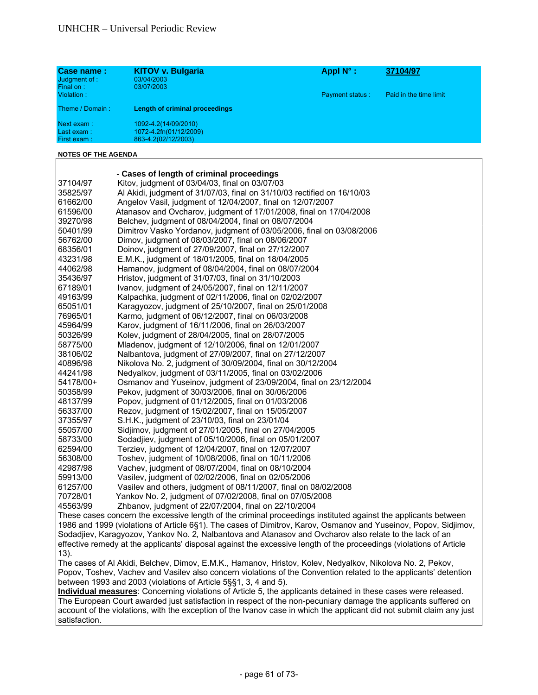| Case name:<br>Judgment of :<br>Final on:<br>Violation: | <b>KITOV v. Bulgaria</b><br>03/04/2003<br>03/07/2003                  | Appl $N^{\circ}$ :<br><b>Payment status:</b> | 37104/97<br>Paid in the time limit |
|--------------------------------------------------------|-----------------------------------------------------------------------|----------------------------------------------|------------------------------------|
| Theme / Domain:                                        | Length of criminal proceedings                                        |                                              |                                    |
| Next exam:<br>Last exam:<br>First exam:                | 1092-4.2(14/09/2010)<br>1072-4.2fn(01/12/2009)<br>863-4.2(02/12/2003) |                                              |                                    |

|           | - Cases of length of criminal proceedings                                                                     |
|-----------|---------------------------------------------------------------------------------------------------------------|
| 37104/97  | Kitov, judgment of 03/04/03, final on 03/07/03                                                                |
| 35825/97  | Al Akidi, judgment of 31/07/03, final on 31/10/03 rectified on 16/10/03                                       |
| 61662/00  | Angelov Vasil, judgment of 12/04/2007, final on 12/07/2007                                                    |
| 61596/00  | Atanasov and Ovcharov, judgment of 17/01/2008, final on 17/04/2008                                            |
| 39270/98  | Belchev, judgment of 08/04/2004, final on 08/07/2004                                                          |
| 50401/99  | Dimitrov Vasko Yordanov, judgment of 03/05/2006, final on 03/08/2006                                          |
| 56762/00  | Dimov, judgment of 08/03/2007, final on 08/06/2007                                                            |
| 68356/01  | Doinov, judgment of 27/09/2007, final on 27/12/2007                                                           |
| 43231/98  | E.M.K., judgment of 18/01/2005, final on 18/04/2005                                                           |
| 44062/98  | Hamanov, judgment of 08/04/2004, final on 08/07/2004                                                          |
| 35436/97  | Hristov, judgment of 31/07/03, final on 31/10/2003                                                            |
| 67189/01  | Ivanov, judgment of 24/05/2007, final on 12/11/2007                                                           |
| 49163/99  | Kalpachka, judgment of 02/11/2006, final on 02/02/2007                                                        |
| 65051/01  | Karagyozov, judgment of 25/10/2007, final on 25/01/2008                                                       |
| 76965/01  | Karmo, judgment of 06/12/2007, final on 06/03/2008                                                            |
| 45964/99  | Karov, judgment of 16/11/2006, final on 26/03/2007                                                            |
| 50326/99  | Kolev, judgment of 28/04/2005, final on 28/07/2005                                                            |
| 58775/00  | Mladenov, judgment of 12/10/2006, final on 12/01/2007                                                         |
| 38106/02  | Nalbantova, judgment of 27/09/2007, final on 27/12/2007                                                       |
| 40896/98  | Nikolova No. 2, judgment of 30/09/2004, final on 30/12/2004                                                   |
| 44241/98  | Nedyalkov, judgment of 03/11/2005, final on 03/02/2006                                                        |
| 54178/00+ | Osmanov and Yuseinov, judgment of 23/09/2004, final on 23/12/2004                                             |
| 50358/99  | Pekov, judgment of 30/03/2006, final on 30/06/2006                                                            |
| 48137/99  | Popov, judgment of 01/12/2005, final on 01/03/2006                                                            |
| 56337/00  | Rezov, judgment of 15/02/2007, final on 15/05/2007                                                            |
| 37355/97  | S.H.K., judgment of 23/10/03, final on 23/01/04                                                               |
| 55057/00  | Sidjimov, judgment of 27/01/2005, final on 27/04/2005                                                         |
| 58733/00  | Sodadjiev, judgment of 05/10/2006, final on 05/01/2007                                                        |
| 62594/00  | Terziev, judgment of 12/04/2007, final on 12/07/2007                                                          |
| 56308/00  | Toshev, judgment of 10/08/2006, final on 10/11/2006                                                           |
| 42987/98  | Vachev, judgment of 08/07/2004, final on 08/10/2004                                                           |
| 59913/00  | Vasilev, judgment of 02/02/2006, final on 02/05/2006                                                          |
| 61257/00  | Vasilev and others, judgment of 08/11/2007, final on 08/02/2008                                               |
| 70728/01  | Yankov No. 2, judgment of 07/02/2008, final on 07/05/2008                                                     |
| 45563/99  | Zhbanov, judgment of 22/07/2004, final on 22/10/2004                                                          |
|           | These cases concern the excessive length of the criminal proceedings instituted against the applicants betwee |

essive length of the criminal proceedings instituted against the applicants between 1986 and 1999 (violations of Article 6§1). The cases of Dimitrov, Karov, Osmanov and Yuseinov, Popov, Sidjimov, Sodadjiev, Karagyozov, Yankov No. 2*,* Nalbantova and Atanasov and Ovcharov also relate to the lack of an effective remedy at the applicants' disposal against the excessive length of the proceedings (violations of Article 13).

The cases of Al Akidi, Belchev, Dimov, E.M.K., Hamanov, Hristov, Kolev, Nedyalkov, Nikolova No. 2, Pekov, Popov, Toshev, Vachev and Vasilev also concern violations of the Convention related to the applicants' detention between 1993 and 2003 (violations of Article 5§§1, 3, 4 and 5).

**Individual measures**: Concerning violations of Article 5, the applicants detained in these cases were released. The European Court awarded just satisfaction in respect of the non-pecuniary damage the applicants suffered on account of the violations, with the exception of the Ivanov case in which the applicant did not submit claim any just satisfaction.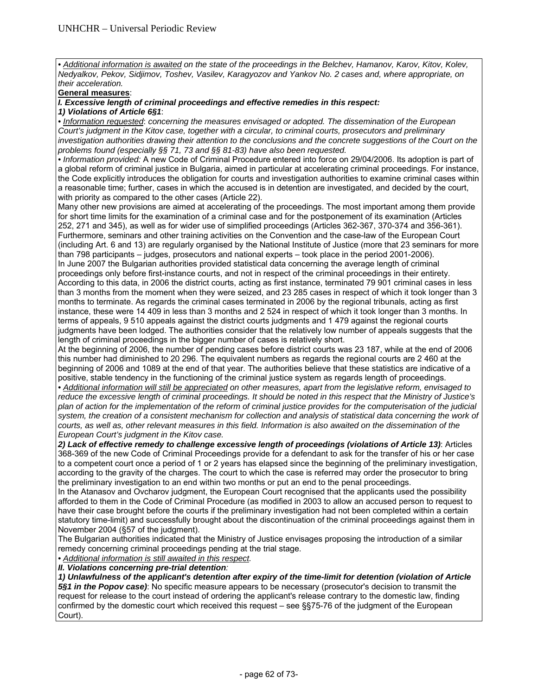*• Additional information is awaited on the state of the proceedings in the Belchev, Hamanov, Karov, Kitov, Kolev, Nedyalkov, Pekov, Sidjimov, Toshev, Vasilev, Karagyozov and Yankov No. 2 cases and, where appropriate, on their acceleration.* 

# **General measures**:

*I. Excessive length of criminal proceedings and effective remedies in this respect:* 

*1) Violations of Article 6§1*:

*• Information requested*: *concerning the measures envisaged or adopted. The dissemination of the European Court's judgment in the Kitov case, together with a circular, to criminal courts, prosecutors and preliminary*  investigation authorities drawing their attention to the conclusions and the concrete suggestions of the Court on the *problems found (especially §§ 71, 73 and §§ 81-83) have also been requested.* 

*• Information provided:* A new Code of Criminal Procedure entered into force on 29/04/2006. Its adoption is part of a global reform of criminal justice in Bulgaria, aimed in particular at accelerating criminal proceedings. For instance, the Code explicitly introduces the obligation for courts and investigation authorities to examine criminal cases within a reasonable time; further, cases in which the accused is in detention are investigated, and decided by the court, with priority as compared to the other cases (Article 22).

Many other new provisions are aimed at accelerating of the proceedings. The most important among them provide for short time limits for the examination of a criminal case and for the postponement of its examination (Articles 252, 271 and 345), as well as for wider use of simplified proceedings (Articles 362-367, 370-374 and 356-361). Furthermore, seminars and other training activities on the Convention and the case-law of the European Court (including Art. 6 and 13) are regularly organised by the National Institute of Justice (more that 23 seminars for more than 798 participants – judges, prosecutors and national experts – took place in the period 2001-2006). In June 2007 the Bulgarian authorities provided statistical data concerning the average length of criminal proceedings only before first-instance courts, and not in respect of the criminal proceedings in their entirety. According to this data, in 2006 the district courts, acting as first instance, terminated 79 901 criminal cases in less than 3 months from the moment when they were seized, and 23 285 cases in respect of which it took longer than 3 months to terminate. As regards the criminal cases terminated in 2006 by the regional tribunals, acting as first instance, these were 14 409 in less than 3 months and 2 524 in respect of which it took longer than 3 months. In terms of appeals, 9 510 appeals against the district courts judgments and 1 479 against the regional courts judgments have been lodged. The authorities consider that the relatively low number of appeals suggests that the length of criminal proceedings in the bigger number of cases is relatively short.

At the beginning of 2006, the number of pending cases before district courts was 23 187, while at the end of 2006 this number had diminished to 20 296. The equivalent numbers as regards the regional courts are 2 460 at the beginning of 2006 and 1089 at the end of that year. The authorities believe that these statistics are indicative of a positive, stable tendency in the functioning of the criminal justice system as regards length of proceedings.

*• Additional information will still be appreciated on other measures, apart from the legislative reform, envisaged to reduce the excessive length of criminal proceedings. It should be noted in this respect that the Ministry of Justice's plan of action for the implementation of the reform of criminal justice provides for the computerisation of the judicial*  system, the creation of a consistent mechanism for collection and analysis of statistical data concerning the work of *courts, as well as, other relevant measures in this field. Information is also awaited on the dissemination of the European Court's judgment in the Kitov case.* 

*2) Lack of effective remedy to challenge excessive length of proceedings (violations of Article 13)*: Articles 368-369 of the new Code of Criminal Proceedings provide for a defendant to ask for the transfer of his or her case to a competent court once a period of 1 or 2 years has elapsed since the beginning of the preliminary investigation, according to the gravity of the charges. The court to which the case is referred may order the prosecutor to bring the preliminary investigation to an end within two months or put an end to the penal proceedings.

In the Atanasov and Ovcharov judgment, the European Court recognised that the applicants used the possibility afforded to them in the Code of Criminal Procedure (as modified in 2003 to allow an accused person to request to have their case brought before the courts if the preliminary investigation had not been completed within a certain statutory time-limit) and successfully brought about the discontinuation of the criminal proceedings against them in November 2004 (§57 of the judgment).

The Bulgarian authorities indicated that the Ministry of Justice envisages proposing the introduction of a similar remedy concerning criminal proceedings pending at the trial stage.

*• Additional information is still awaited in this respect.* 

*II. Violations concerning pre-trial detention:* 

*1) Unlawfulness of the applicant's detention after expiry of the time-limit for detention (violation of Article 5§1 in the Popov case)*: No specific measure appears to be necessary (prosecutor's decision to transmit the request for release to the court instead of ordering the applicant's release contrary to the domestic law, finding confirmed by the domestic court which received this request – see §§75-76 of the judgment of the European Court).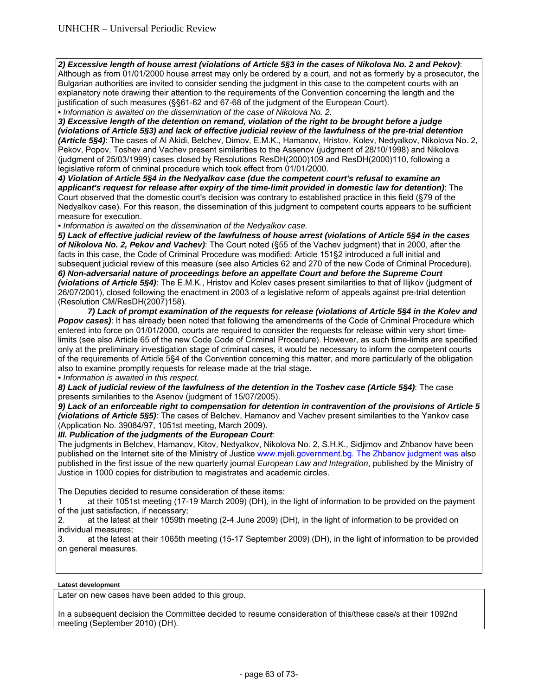*2) Excessive length of house arrest (violations of Article 5§3 in the cases of Nikolova No. 2 and Pekov)*: Although as from 01/01/2000 house arrest may only be ordered by a court, and not as formerly by a prosecutor, the Bulgarian authorities are invited to consider sending the judgment in this case to the competent courts with an explanatory note drawing their attention to the requirements of the Convention concerning the length and the justification of such measures (§§61-62 and 67-68 of the judgment of the European Court). *• Information is awaited on the dissemination of the case of Nikolova No. 2.* 

*3) Excessive length of the detention on remand, violation of the right to be brought before a judge (violations of Article 5§3) and lack of effective judicial review of the lawfulness of the pre-trial detention (Article 5§4)*: The cases of Al Akidi, Belchev, Dimov, E.M.K., Hamanov, Hristov, Kolev, Nedyalkov, Nikolova No. 2, Pekov, Popov, Toshev and Vachev present similarities to the Assenov (judgment of 28/10/1998) and Nikolova (judgment of 25/03/1999) cases closed by Resolutions ResDH(2000)109 and ResDH(2000)110, following a legislative reform of criminal procedure which took effect from 01/01/2000.

*4) Violation of Article 5§4 in the Nedyalkov case (due the competent court's refusal to examine an applicant's request for release after expiry of the time-limit provided in domestic law for detention)*: The Court observed that the domestic court's decision was contrary to established practice in this field (§79 of the Nedyalkov case). For this reason, the dissemination of this judgment to competent courts appears to be sufficient measure for execution.

*• Information is awaited on the dissemination of the Nedyalkov case.* 

*5) Lack of effective judicial review of the lawfulness of house arrest (violations of Article 5§4 in the cases of Nikolova No. 2, Pekov and Vachev)*: The Court noted (§55 of the Vachev judgment) that in 2000, after the facts in this case, the Code of Criminal Procedure was modified: Article 151§2 introduced a full initial and subsequent judicial review of this measure (see also Articles 62 and 270 of the new Code of Criminal Procedure). *6) Non-adversarial nature of proceedings before an appellate Court and before the Supreme Court (violations of Article 5§4)*: The E.M.K., Hristov and Kolev cases present similarities to that of Ilijkov (judgment of 26/07/2001), closed following the enactment in 2003 of a legislative reform of appeals against pre-trial detention (Resolution CM/ResDH(2007)158).

 *7) Lack of prompt examination of the requests for release (violations of Article 5§4 in the Kolev and Popov cases)*: It has already been noted that following the amendments of the Code of Criminal Procedure which entered into force on 01/01/2000, courts are required to consider the requests for release within very short timelimits (see also Article 65 of the new Code Code of Criminal Procedure). However, as such time-limits are specified only at the preliminary investigation stage of criminal cases, it would be necessary to inform the competent courts of the requirements of Article 5§4 of the Convention concerning this matter, and more particularly of the obligation also to examine promptly requests for release made at the trial stage.

*• Information is awaited in this respect.* 

*8) Lack of judicial review of the lawfulness of the detention in the Toshev case (Article 5§4)*: The case presents similarities to the Asenov (judgment of 15/07/2005).

*9) Lack of an enforceable right to compensation for detention in contravention of the provisions of Article 5 (violations of Article 5§5)*: The cases of Belchev, Hamanov and Vachev present similarities to the Yankov case (Application No. 39084/97, 1051st meeting, March 2009).

*III. Publication of the judgments of the European Court:* 

The judgments in Belchev, Hamanov, Kitov, Nedyalkov, Nikolova No. 2, S.H.K., Sidjimov and Zhbanov have been published on the Internet site of the Ministry of Justice www.mjeli.government.bg. The Zhbanov judgment was also published in the first issue of the new quarterly journal *European Law and Integration*, published by the Ministry of Justice in 1000 copies for distribution to magistrates and academic circles.

The Deputies decided to resume consideration of these items:

1 at their 1051st meeting (17-19 March 2009) (DH), in the light of information to be provided on the payment of the just satisfaction, if necessary;

2. at the latest at their 1059th meeting (2-4 June 2009) (DH), in the light of information to be provided on individual measures;

3. at the latest at their 1065th meeting (15-17 September 2009) (DH), in the light of information to be provided on general measures.

# **Latest development**

Later on new cases have been added to this group.

In a subsequent decision the Committee decided to resume consideration of this/these case/s at their 1092nd meeting (September 2010) (DH).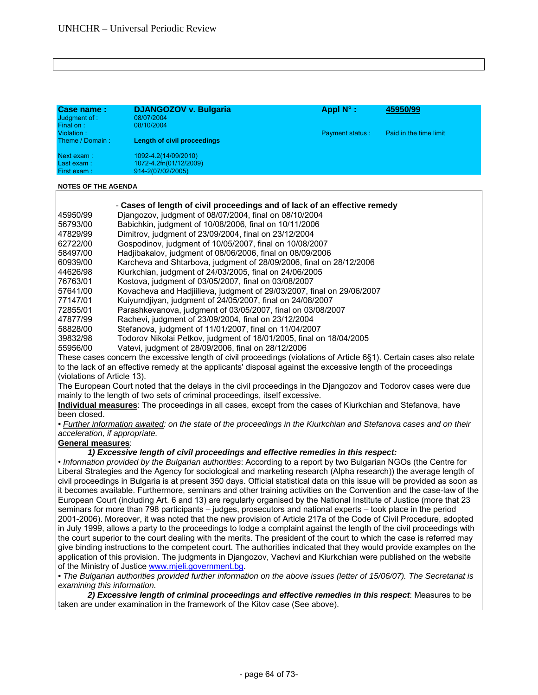| Case name:<br>Judgment of :<br>Final on: | <b>DJANGOZOV v. Bulgaria</b><br>08/07/2004<br>08/10/2004            | Appl $N^{\circ}$ :     | 45950/99               |
|------------------------------------------|---------------------------------------------------------------------|------------------------|------------------------|
| Violation:<br>Theme / Domain:            | Length of civil proceedings                                         | <b>Payment status:</b> | Paid in the time limit |
| Next exam:<br>Last exam:<br>First exam:  | 1092-4.2(14/09/2010)<br>1072-4.2fn(01/12/2009)<br>914-2(07/02/2005) |                        |                        |

| 45950/99 |  | Djangozov, judgment of 08/07/2004, final on 08/10/2004 |
|----------|--|--------------------------------------------------------|
|          |  |                                                        |

- 56793/00 Babichkin, judgment of 10/08/2006, final on 10/11/2006
- 47829/99 Dimitrov, judgment of 23/09/2004, final on 23/12/2004
- 62722/00 Gospodinov, judgment of 10/05/2007, final on 10/08/2007
- 58497/00 Hadjibakalov, judgment of 08/06/2006, final on 08/09/2006
- 60939/00 Karcheva and Shtarbova, judgment of 28/09/2006, final on 28/12/2006
- 44626/98 Kiurkchian, judgment of 24/03/2005, final on 24/06/2005
- 76763/01 Kostova, judgment of 03/05/2007, final on 03/08/2007
	- 57641/00 Kovacheva and Hadjiilieva, judgment of 29/03/2007, final on 29/06/2007
- 77147/01 Kuiyumdjiyan, judgment of 24/05/2007, final on 24/08/2007
- 72855/01 Parashkevanova, judgment of 03/05/2007, final on 03/08/2007
- 47877/99 Rachevi, judgment of 23/09/2004, final on 23/12/2004
- 58828/00 Stefanova, judgment of 11/01/2007, final on 11/04/2007
- 39832/98 Todorov Nikolai Petkov, judgment of 18/01/2005, final on 18/04/2005
- 55956/00 Vatevi, judgment of 28/09/2006, final on 28/12/2006

These cases concern the excessive length of civil proceedings (violations of Article 6§1). Certain cases also relate to the lack of an effective remedy at the applicants' disposal against the excessive length of the proceedings (violations of Article 13).

The European Court noted that the delays in the civil proceedings in the Djangozov and Todorov cases were due mainly to the length of two sets of criminal proceedings, itself excessive.

**Individual measures**: The proceedings in all cases, except from the cases of Kiurkchian and Stefanova, have been closed.

*• Further information awaited: on the state of the proceedings in the Kiurkchian and Stefanova cases and on their acceleration, if appropriate.* 

# **General measures**:

 *1) Excessive length of civil proceedings and effective remedies in this respect:* 

• *Information provided by the Bulgarian authorities*: According to a report by two Bulgarian NGOs (the Centre for Liberal Strategies and the Agency for sociological and marketing research (Alpha research)) the average length of civil proceedings in Bulgaria is at present 350 days. Official statistical data on this issue will be provided as soon as it becomes available. Furthermore, seminars and other training activities on the Convention and the case-law of the European Court (including Art. 6 and 13) are regularly organised by the National Institute of Justice (more that 23 seminars for more than 798 participants – judges, prosecutors and national experts – took place in the period 2001-2006). Moreover, it was noted that the new provision of Article 217a of the Code of Civil Procedure, adopted in July 1999, allows a party to the proceedings to lodge a complaint against the length of the civil proceedings with the court superior to the court dealing with the merits. The president of the court to which the case is referred may give binding instructions to the competent court. The authorities indicated that they would provide examples on the application of this provision. The judgments in Djangozov, Vachevi and Kiurkchian were published on the website of the Ministry of Justice www.mjeli.government.bg.

*• The Bulgarian authorities provided further information on the above issues (letter of 15/06/07). The Secretariat is examining this information.* 

 *2) Excessive length of criminal proceedings and effective remedies in this respect*: Measures to be taken are under examination in the framework of the Kitov case (See above).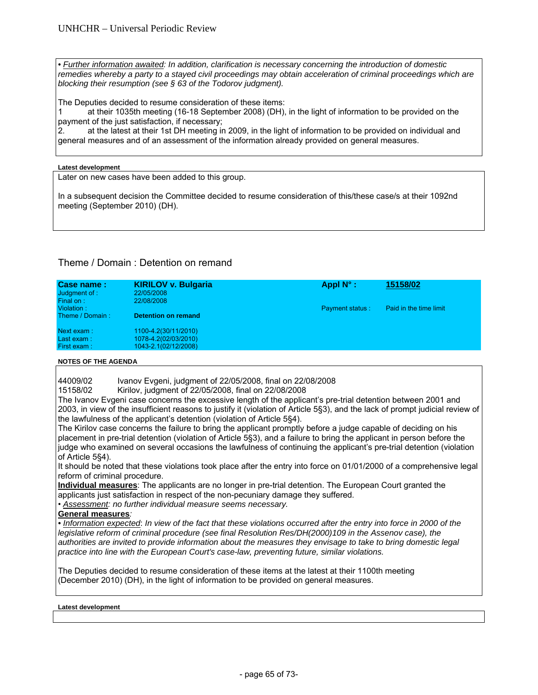**• Further information awaited: In addition, clarification is necessary concerning the introduction of domestic** *remedies whereby a party to a stayed civil proceedings may obtain acceleration of criminal proceedings which are blocking their resumption (see § 63 of the Todorov judgment).* 

The Deputies decided to resume consideration of these items:

1 at their 1035th meeting (16-18 September 2008) (DH), in the light of information to be provided on the payment of the just satisfaction, if necessary;

2. at the latest at their 1st DH meeting in 2009, in the light of information to be provided on individual and general measures and of an assessment of the information already provided on general measures.

#### **Latest development**

Later on new cases have been added to this group.

In a subsequent decision the Committee decided to resume consideration of this/these case/s at their 1092nd meeting (September 2010) (DH).

# Theme / Domain : Detention on remand

| Case name:<br>Judgment of:<br>Final on: | <b>KIRILOV v. Bulgaria</b><br>22/05/2008<br>22/08/2008               | Appl $N^{\circ}$ :     | 15158/02               |  |
|-----------------------------------------|----------------------------------------------------------------------|------------------------|------------------------|--|
| Violation:<br>Theme / Domain:           | <b>Detention on remand</b>                                           | <b>Payment status:</b> | Paid in the time limit |  |
| Next exam:<br>Last exam:<br>First exam: | 1100-4.2(30/11/2010)<br>1078-4.2(02/03/2010)<br>1043-2.1(02/12/2008) |                        |                        |  |

#### **NOTES OF THE AGENDA**

44009/02 Ivanov Evgeni, judgment of 22/05/2008, final on 22/08/2008<br>15158/02 Kirilov, judgment of 22/05/2008, final on 22/08/2008

Kirilov, judgment of 22/05/2008, final on 22/08/2008

The Ivanov Evgeni case concerns the excessive length of the applicant's pre-trial detention between 2001 and 2003, in view of the insufficient reasons to justify it (violation of Article 5§3), and the lack of prompt judicial review of the lawfulness of the applicant's detention (violation of Article 5§4).

The Kirilov case concerns the failure to bring the applicant promptly before a judge capable of deciding on his placement in pre-trial detention (violation of Article 5§3), and a failure to bring the applicant in person before the judge who examined on several occasions the lawfulness of continuing the applicant's pre-trial detention (violation of Article 5§4).

It should be noted that these violations took place after the entry into force on 01/01/2000 of a comprehensive legal reform of criminal procedure.

**Individual measures**: The applicants are no longer in pre-trial detention. The European Court granted the applicants just satisfaction in respect of the non-pecuniary damage they suffered.

• *Assessment: no further individual measure seems necessary.*

**General measures***:* 

*• Information expected*: *In view of the fact that these violations occurred after the entry into force in 2000 of the legislative reform of criminal procedure (see final Resolution Res/DH(2000)109 in the Assenov case), the authorities are invited to provide information about the measures they envisage to take to bring domestic legal practice into line with the European Court's case-law, preventing future, similar violations.* 

The Deputies decided to resume consideration of these items at the latest at their 1100th meeting (December 2010) (DH), in the light of information to be provided on general measures.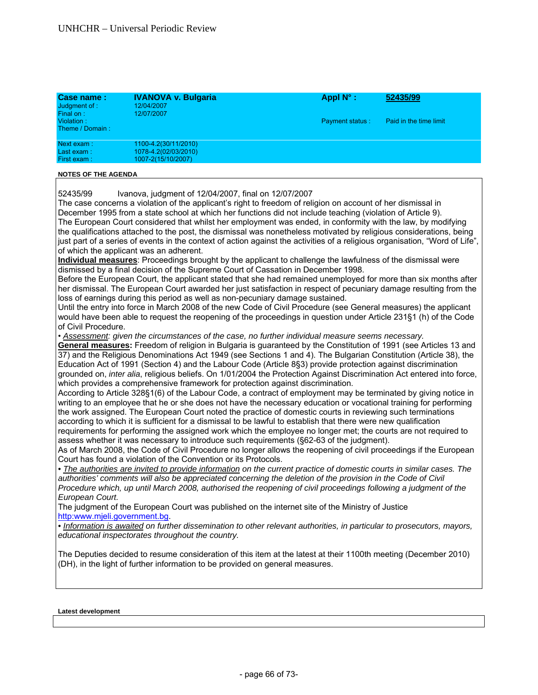| Case name:<br>Judgment of :<br>Final on: | <b>IVANOVA v. Bulgaria</b><br>12/04/2007<br>12/07/2007             | Appl $N^{\circ}$ :     | 52435/99               |
|------------------------------------------|--------------------------------------------------------------------|------------------------|------------------------|
| Violation:<br>Theme / Domain:            |                                                                    | <b>Payment status:</b> | Paid in the time limit |
| Next exam:<br>Last exam:<br>First exam:  | 1100-4.2(30/11/2010)<br>1078-4.2(02/03/2010)<br>1007-2(15/10/2007) |                        |                        |

52435/99 Ivanova, judgment of 12/04/2007, final on 12/07/2007

The case concerns a violation of the applicant's right to freedom of religion on account of her dismissal in December 1995 from a state school at which her functions did not include teaching (violation of Article 9). The European Court considered that whilst her employment was ended, in conformity with the law, by modifying the qualifications attached to the post, the dismissal was nonetheless motivated by religious considerations, being just part of a series of events in the context of action against the activities of a religious organisation, "Word of Life", of which the applicant was an adherent.

**Individual measures**: Proceedings brought by the applicant to challenge the lawfulness of the dismissal were dismissed by a final decision of the Supreme Court of Cassation in December 1998.

Before the European Court, the applicant stated that she had remained unemployed for more than six months after her dismissal. The European Court awarded her just satisfaction in respect of pecuniary damage resulting from the loss of earnings during this period as well as non-pecuniary damage sustained.

Until the entry into force in March 2008 of the new Code of Civil Procedure (see General measures) the applicant would have been able to request the reopening of the proceedings in question under Article 231§1 (h) of the Code of Civil Procedure.

• *Assessment: given the circumstances of the case, no further individual measure seems necessary.* 

**General measures:** Freedom of religion in Bulgaria is guaranteed by the Constitution of 1991 (see Articles 13 and 37) and the Religious Denominations Act 1949 (see Sections 1 and 4). The Bulgarian Constitution (Article 38), the Education Act of 1991 (Section 4) and the Labour Code (Article 8§3) provide protection against discrimination grounded on, *inter alia*, religious beliefs. On 1/01/2004 the Protection Against Discrimination Act entered into force, which provides a comprehensive framework for protection against discrimination.

According to Article 328§1(6) of the Labour Code, a contract of employment may be terminated by giving notice in writing to an employee that he or she does not have the necessary education or vocational training for performing the work assigned. The European Court noted the practice of domestic courts in reviewing such terminations according to which it is sufficient for a dismissal to be lawful to establish that there were new qualification requirements for performing the assigned work which the employee no longer met; the courts are not required to assess whether it was necessary to introduce such requirements (§62-63 of the judgment).

As of March 2008, the Code of Civil Procedure no longer allows the reopening of civil proceedings if the European Court has found a violation of the Convention or its Protocols.

*• The authorities are invited to provide information on the current practice of domestic courts in similar cases. The*  authorities' comments will also be appreciated concerning the deletion of the provision in the Code of Civil *Procedure which, up until March 2008, authorised the reopening of civil proceedings following a judgment of the European Court.* 

The judgment of the European Court was published on the internet site of the Ministry of Justice http:www.mjeli.government.bg.

*• Information is awaited on further dissemination to other relevant authorities, in particular to prosecutors, mayors, educational inspectorates throughout the country.* 

The Deputies decided to resume consideration of this item at the latest at their 1100th meeting (December 2010) (DH), in the light of further information to be provided on general measures.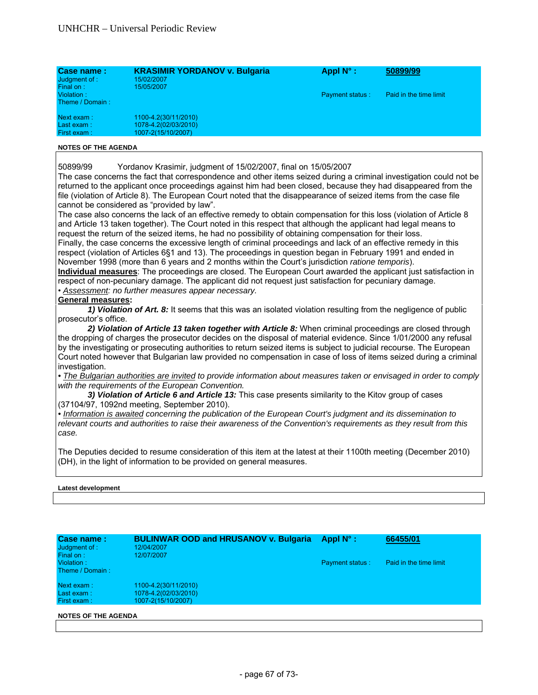| Case name:<br>Judgment of :<br>Final on: | <b>KRASIMIR YORDANOV v. Bulgaria</b><br>15/02/2007<br>15/05/2007   | Appl $N^{\circ}$ :     | 50899/99               |
|------------------------------------------|--------------------------------------------------------------------|------------------------|------------------------|
| Violation:<br>Theme / Domain:            |                                                                    | <b>Payment status:</b> | Paid in the time limit |
| Next exam:<br>Last exam:<br>First exam:  | 1100-4.2(30/11/2010)<br>1078-4.2(02/03/2010)<br>1007-2(15/10/2007) |                        |                        |

50899/99 Yordanov Krasimir, judgment of 15/02/2007, final on 15/05/2007

The case concerns the fact that correspondence and other items seized during a criminal investigation could not be returned to the applicant once proceedings against him had been closed, because they had disappeared from the file (violation of Article 8). The European Court noted that the disappearance of seized items from the case file cannot be considered as "provided by law".

The case also concerns the lack of an effective remedy to obtain compensation for this loss (violation of Article 8 and Article 13 taken together). The Court noted in this respect that although the applicant had legal means to request the return of the seized items, he had no possibility of obtaining compensation for their loss.

Finally, the case concerns the excessive length of criminal proceedings and lack of an effective remedy in this respect (violation of Articles 6§1 and 13). The proceedings in question began in February 1991 and ended in November 1998 (more than 6 years and 2 months within the Court's jurisdiction *ratione temporis*).

**Individual measures**: The proceedings are closed. The European Court awarded the applicant just satisfaction in respect of non-pecuniary damage. The applicant did not request just satisfaction for pecuniary damage. • *Assessment: no further measures appear necessary.*

# **General measures:**

 *1) Violation of Art. 8:* It seems that this was an isolated violation resulting from the negligence of public prosecutor's office.

*2) Violation of Article 13 taken together with Article 8:* When criminal proceedings are closed through the dropping of charges the prosecutor decides on the disposal of material evidence. Since 1/01/2000 any refusal by the investigating or prosecuting authorities to return seized items is subject to judicial recourse. The European Court noted however that Bulgarian law provided no compensation in case of loss of items seized during a criminal investigation.

*• The Bulgarian authorities are invited to provide information about measures taken or envisaged in order to comply with the requirements of the European Convention.* 

 *3) Violation of Article 6 and Article 13:* This case presents similarity to the Kitov group of cases (37104/97, 1092nd meeting, September 2010).

*• Information is awaited concerning the publication of the European Court's judgment and its dissemination to relevant courts and authorities to raise their awareness of the Convention's requirements as they result from this case.*

The Deputies decided to resume consideration of this item at the latest at their 1100th meeting (December 2010) (DH), in the light of information to be provided on general measures.

| Case name:<br>Judgment of :<br>Final on:  | <b>BULINWAR OOD and HRUSANOV v. Bulgaria</b><br>12/04/2007<br>12/07/2007 | Appl $N^{\circ}$ :     | 66455/01               |
|-------------------------------------------|--------------------------------------------------------------------------|------------------------|------------------------|
| Violation:<br>Theme / Domain:             |                                                                          | <b>Payment status:</b> | Paid in the time limit |
| Next exam:<br>Last $exam:$<br>First exam: | 1100-4.2(30/11/2010)<br>1078-4.2(02/03/2010)<br>1007-2(15/10/2007)       |                        |                        |
| <b>NOTES OF THE AGENDA</b>                |                                                                          |                        |                        |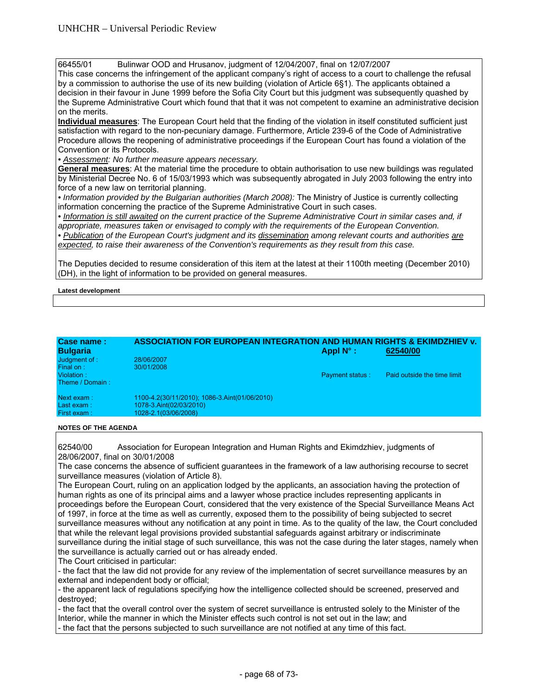66455/01 Bulinwar OOD and Hrusanov, judgment of 12/04/2007, final on 12/07/2007

This case concerns the infringement of the applicant company's right of access to a court to challenge the refusal by a commission to authorise the use of its new building (violation of Article 6§1). The applicants obtained a decision in their favour in June 1999 before the Sofia City Court but this judgment was subsequently quashed by the Supreme Administrative Court which found that that it was not competent to examine an administrative decision on the merits.

**Individual measures**: The European Court held that the finding of the violation in itself constituted sufficient just satisfaction with regard to the non-pecuniary damage. Furthermore, Article 239-6 of the Code of Administrative Procedure allows the reopening of administrative proceedings if the European Court has found a violation of the Convention or its Protocols.

*• Assessment: No further measure appears necessary.*

**General measures**: At the material time the procedure to obtain authorisation to use new buildings was regulated by Ministerial Decree No. 6 of 15/03/1993 which was subsequently abrogated in July 2003 following the entry into force of a new law on territorial planning.

*• Information provided by the Bulgarian authorities (March 2008):* The Ministry of Justice is currently collecting information concerning the practice of the Supreme Administrative Court in such cases.

• Information is still awaited on the current practice of the Supreme Administrative Court in similar cases and, if *appropriate, measures taken or envisaged to comply with the requirements of the European Convention.* 

*• Publication of the European Court's judgment and its dissemination among relevant courts and authorities are expected, to raise their awareness of the Convention's requirements as they result from this case.* 

The Deputies decided to resume consideration of this item at the latest at their 1100th meeting (December 2010) (DH), in the light of information to be provided on general measures.

**Latest development** 

| Case name:<br><b>Bulgaria</b> | <b>ASSOCIATION FOR EUROPEAN INTEGRATION AND HUMAN RIGHTS &amp; EKIMDZHIEV v.</b> | Appl $N^{\circ}$ :     | 62540/00                    |
|-------------------------------|----------------------------------------------------------------------------------|------------------------|-----------------------------|
| Judgment of :                 | 28/06/2007                                                                       |                        |                             |
| Final on:                     | 30/01/2008                                                                       |                        |                             |
| Violation:                    |                                                                                  | <b>Payment status:</b> | Paid outside the time limit |
| Theme / Domain:               |                                                                                  |                        |                             |
| Next exam:                    | 1100-4.2(30/11/2010); 1086-3.Aint(01/06/2010)                                    |                        |                             |
| Last $exam:$                  | 1078-3.Aint(02/03/2010)                                                          |                        |                             |
| First exam:                   | 1028-2.1(03/06/2008)                                                             |                        |                             |

# **NOTES OF THE AGENDA**

62540/00 Association for European Integration and Human Rights and Ekimdzhiev, judgments of 28/06/2007, final on 30/01/2008

The case concerns the absence of sufficient guarantees in the framework of a law authorising recourse to secret surveillance measures (violation of Article 8).

The European Court, ruling on an application lodged by the applicants, an association having the protection of human rights as one of its principal aims and a lawyer whose practice includes representing applicants in proceedings before the European Court, considered that the very existence of the Special Surveillance Means Act of 1997, in force at the time as well as currently, exposed them to the possibility of being subjected to secret surveillance measures without any notification at any point in time. As to the quality of the law, the Court concluded that while the relevant legal provisions provided substantial safeguards against arbitrary or indiscriminate surveillance during the initial stage of such surveillance, this was not the case during the later stages, namely when the surveillance is actually carried out or has already ended.

The Court criticised in particular:

- the fact that the law did not provide for any review of the implementation of secret surveillance measures by an external and independent body or official;

- the apparent lack of regulations specifying how the intelligence collected should be screened, preserved and destroyed;

- the fact that the overall control over the system of secret surveillance is entrusted solely to the Minister of the Interior, while the manner in which the Minister effects such control is not set out in the law; and

- the fact that the persons subjected to such surveillance are not notified at any time of this fact.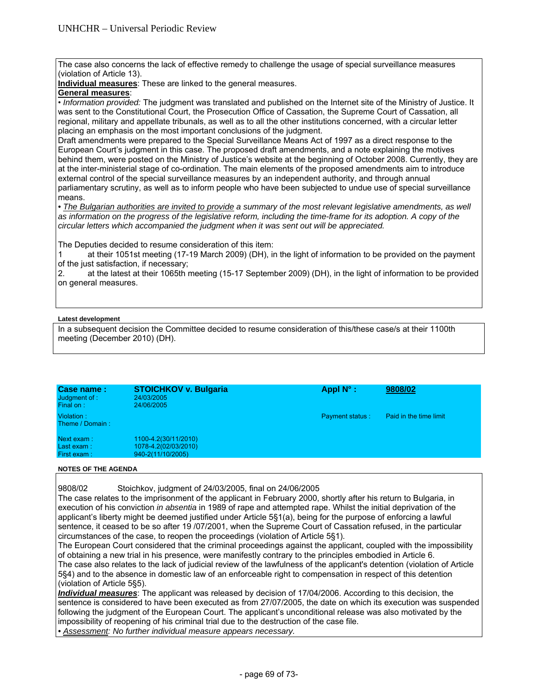The case also concerns the lack of effective remedy to challenge the usage of special surveillance measures (violation of Article 13).

**Individual measures**: These are linked to the general measures.

# **General measures**:

• *Information provided:* The judgment was translated and published on the Internet site of the Ministry of Justice. It was sent to the Constitutional Court, the Prosecution Office of Cassation, the Supreme Court of Cassation, all regional, military and appellate tribunals, as well as to all the other institutions concerned, with a circular letter placing an emphasis on the most important conclusions of the judgment.

Draft amendments were prepared to the Special Surveillance Means Act of 1997 as a direct response to the European Court's judgment in this case. The proposed draft amendments, and a note explaining the motives behind them, were posted on the Ministry of Justice's website at the beginning of October 2008. Currently, they are at the inter-ministerial stage of co-ordination. The main elements of the proposed amendments aim to introduce external control of the special surveillance measures by an independent authority, and through annual parliamentary scrutiny, as well as to inform people who have been subjected to undue use of special surveillance means.

• The Bulgarian authorities are invited to provide a summary of the most relevant legislative amendments, as well as information on the progress of the legislative reform, including the time-frame for its adoption. A copy of the *circular letters which accompanied the judgment when it was sent out will be appreciated.* 

The Deputies decided to resume consideration of this item:

1 at their 1051st meeting (17-19 March 2009) (DH), in the light of information to be provided on the payment of the just satisfaction, if necessary;

2. at the latest at their 1065th meeting (15-17 September 2009) (DH), in the light of information to be provided on general measures.

# **Latest development**

In a subsequent decision the Committee decided to resume consideration of this/these case/s at their 1100th meeting (December 2010) (DH).

| Case name:<br>Judgment of :<br>Final on: | <b>STOICHKOV v. Bulgaria</b><br>24/03/2005<br>24/06/2005          | Appl $N^{\circ}$ :     | 9808/02                |
|------------------------------------------|-------------------------------------------------------------------|------------------------|------------------------|
| Violation:<br>Theme / Domain:            |                                                                   | <b>Payment status:</b> | Paid in the time limit |
| Next exam:<br>Last exam:<br>First exam:  | 1100-4.2(30/11/2010)<br>1078-4.2(02/03/2010)<br>940-2(11/10/2005) |                        |                        |

# **NOTES OF THE AGENDA**

9808/02 Stoichkov, judgment of 24/03/2005, final on 24/06/2005

The case relates to the imprisonment of the applicant in February 2000, shortly after his return to Bulgaria, in execution of his conviction *in absentia* in 1989 of rape and attempted rape. Whilst the initial deprivation of the applicant's liberty might be deemed justified under Article 5§1(a), being for the purpose of enforcing a lawful sentence, it ceased to be so after 19 /07/2001, when the Supreme Court of Cassation refused, in the particular circumstances of the case, to reopen the proceedings (violation of Article 5§1).

The European Court considered that the criminal proceedings against the applicant, coupled with the impossibility of obtaining a new trial in his presence, were manifestly contrary to the principles embodied in Article 6. The case also relates to the lack of judicial review of the lawfulness of the applicant's detention (violation of Article 5§4) and to the absence in domestic law of an enforceable right to compensation in respect of this detention (violation of Article 5§5).

*Individual measures*: The applicant was released by decision of 17/04/2006. According to this decision, the sentence is considered to have been executed as from 27/07/2005, the date on which its execution was suspended following the judgment of the European Court. The applicant's unconditional release was also motivated by the impossibility of reopening of his criminal trial due to the destruction of the case file. *• Assessment: No further individual measure appears necessary.* 

- page 69 of 73-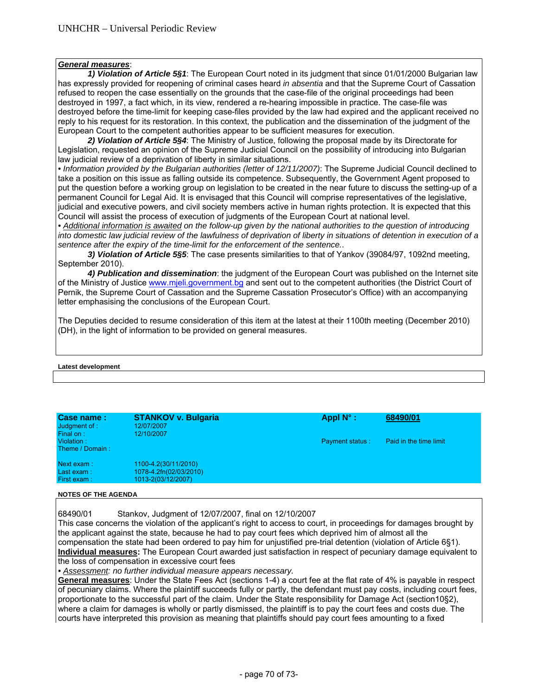# *General measures*:

 *1) Violation of Article 5§1*: The European Court noted in its judgment that since 01/01/2000 Bulgarian law has expressly provided for reopening of criminal cases heard *in absentia* and that the Supreme Court of Cassation refused to reopen the case essentially on the grounds that the case-file of the original proceedings had been destroyed in 1997, a fact which, in its view, rendered a re-hearing impossible in practice. The case-file was destroyed before the time-limit for keeping case-files provided by the law had expired and the applicant received no reply to his request for its restoration. In this context, the publication and the dissemination of the judgment of the European Court to the competent authorities appear to be sufficient measures for execution.

 *2) Violation of Article 5§4*: The Ministry of Justice, following the proposal made by its Directorate for Legislation, requested an opinion of the Supreme Judicial Council on the possibility of introducing into Bulgarian law judicial review of a deprivation of liberty in similar situations.

*• Information provided by the Bulgarian authorities (letter of 12/11/2007)*: The Supreme Judicial Council declined to take a position on this issue as falling outside its competence. Subsequently, the Government Agent proposed to put the question before a working group on legislation to be created in the near future to discuss the setting-up of a permanent Council for Legal Aid. It is envisaged that this Council will comprise representatives of the legislative, judicial and executive powers, and civil society members active in human rights protection. It is expected that this Council will assist the process of execution of judgments of the European Court at national level.

*• Additional information is awaited on the follow-up given by the national authorities to the question of introducing into domestic law judicial review of the lawfulness of deprivation of liberty in situations of detention in execution of a sentence after the expiry of the time-limit for the enforcement of the sentence.*.

 *3) Violation of Article 5§5*: The case presents similarities to that of Yankov (39084/97, 1092nd meeting, September 2010).

 *4) Publication and dissemination*: the judgment of the European Court was published on the Internet site of the Ministry of Justice www.mjeli.government.bg and sent out to the competent authorities (the District Court of Pernik, the Supreme Court of Cassation and the Supreme Cassation Prosecutor's Office) with an accompanying letter emphasising the conclusions of the European Court.

The Deputies decided to resume consideration of this item at the latest at their 1100th meeting (December 2010) (DH), in the light of information to be provided on general measures.

## **Latest development**

| 12/10/2007                                     | <b>Payment status:</b> | Paid in the time limit |
|------------------------------------------------|------------------------|------------------------|
| 1100-4.2(30/11/2010)<br>1078-4.2fn(02/03/2010) |                        |                        |
|                                                | 1013-2(03/12/2007)     |                        |

#### **NOTES OF THE AGENDA**

68490/01 Stankov, Judgment of 12/07/2007, final on 12/10/2007

This case concerns the violation of the applicant's right to access to court, in proceedings for damages brought by the applicant against the state, because he had to pay court fees which deprived him of almost all the compensation the state had been ordered to pay him for unjustified pre-trial detention (violation of Article 6§1). **Individual measures:** The European Court awarded just satisfaction in respect of pecuniary damage equivalent to the loss of compensation in excessive court fees

*• Assessment: no further individual measure appears necessary.*

**General measures**: Under the State Fees Act (sections 1-4) a court fee at the flat rate of 4% is payable in respect of pecuniary claims. Where the plaintiff succeeds fully or partly, the defendant must pay costs, including court fees, proportionate to the successful part of the claim. Under the State responsibility for Damage Act (section10§2), where a claim for damages is wholly or partly dismissed, the plaintiff is to pay the court fees and costs due. The courts have interpreted this provision as meaning that plaintiffs should pay court fees amounting to a fixed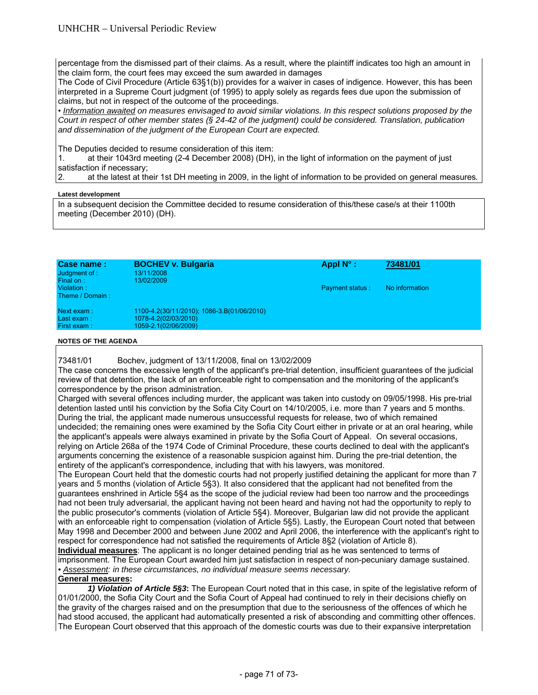percentage from the dismissed part of their claims. As a result, where the plaintiff indicates too high an amount in the claim form, the court fees may exceed the sum awarded in damages

The Code of Civil Procedure (Article 63§1(b)) provides for a waiver in cases of indigence. However, this has been interpreted in a Supreme Court judgment (of 1995) to apply solely as regards fees due upon the submission of claims, but not in respect of the outcome of the proceedings.

• *Information awaited on measures envisaged to avoid similar violations. In this respect solutions proposed by the Court in respect of other member states (§ 24-42 of the judgment) could be considered. Translation, publication and dissemination of the judgment of the European Court are expected.* 

The Deputies decided to resume consideration of this item:

1. at their 1043rd meeting (2-4 December 2008) (DH), in the light of information on the payment of just satisfaction if necessary;

2. at the latest at their 1st DH meeting in 2009, in the light of information to be provided on general measures*.*

# **Latest development**

In a subsequent decision the Committee decided to resume consideration of this/these case/s at their 1100th meeting (December 2010) (DH).

| Case name:<br>Judgment of :<br>Final on: | <b>BOCHEV v. Bulgaria</b><br>13/11/2008<br>13/02/2009                                      | Appl $N^{\circ}$ :     | 73481/01       |
|------------------------------------------|--------------------------------------------------------------------------------------------|------------------------|----------------|
| Violation:<br>Theme / Domain:            |                                                                                            | <b>Payment status:</b> | No information |
| Next exam:<br>Last exam:<br>First exam:  | 1100-4.2(30/11/2010); 1086-3.B(01/06/2010)<br>1078-4.2(02/03/2010)<br>1059-2.1(02/06/2009) |                        |                |

## **NOTES OF THE AGENDA**

73481/01 Bochev, judgment of 13/11/2008, final on 13/02/2009

The case concerns the excessive length of the applicant's pre-trial detention, insufficient guarantees of the judicial review of that detention, the lack of an enforceable right to compensation and the monitoring of the applicant's correspondence by the prison administration.

Charged with several offences including murder, the applicant was taken into custody on 09/05/1998. His pre-trial detention lasted until his conviction by the Sofia City Court on 14/10/2005, i.e. more than 7 years and 5 months. During the trial, the applicant made numerous unsuccessful requests for release, two of which remained undecided; the remaining ones were examined by the Sofia City Court either in private or at an oral hearing, while the applicant's appeals were always examined in private by the Sofia Court of Appeal. On several occasions, relying on Article 268a of the 1974 Code of Criminal Procedure, these courts declined to deal with the applicant's arguments concerning the existence of a reasonable suspicion against him. During the pre-trial detention, the entirety of the applicant's correspondence, including that with his lawyers, was monitored.

The European Court held that the domestic courts had not properly justified detaining the applicant for more than 7 years and 5 months (violation of Article 5§3). It also considered that the applicant had not benefited from the guarantees enshrined in Article 5§4 as the scope of the judicial review had been too narrow and the proceedings had not been truly adversarial, the applicant having not been heard and having not had the opportunity to reply to the public prosecutor's comments (violation of Article 5§4). Moreover, Bulgarian law did not provide the applicant with an enforceable right to compensation (violation of Article 5§5). Lastly, the European Court noted that between May 1998 and December 2000 and between June 2002 and April 2006, the interference with the applicant's right to respect for correspondence had not satisfied the requirements of Article 8§2 (violation of Article 8).

**Individual measures**: The applicant is no longer detained pending trial as he was sentenced to terms of imprisonment. The European Court awarded him just satisfaction in respect of non-pecuniary damage sustained. *• Assessment: in these circumstances, no individual measure seems necessary.* 

# **General measures:**

*1) Violation of Article 5§3***:** The European Court noted that in this case, in spite of the legislative reform of 01/01/2000, the Sofia City Court and the Sofia Court of Appeal had continued to rely in their decisions chiefly on the gravity of the charges raised and on the presumption that due to the seriousness of the offences of which he had stood accused, the applicant had automatically presented a risk of absconding and committing other offences. The European Court observed that this approach of the domestic courts was due to their expansive interpretation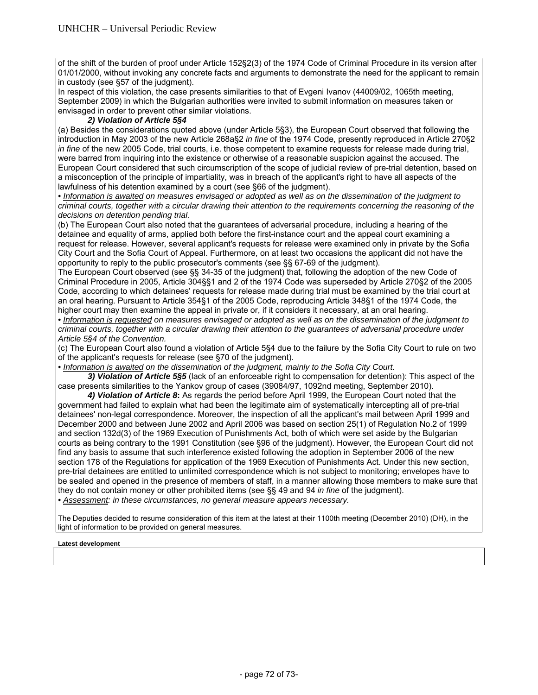of the shift of the burden of proof under Article 152§2(3) of the 1974 Code of Criminal Procedure in its version after 01/01/2000, without invoking any concrete facts and arguments to demonstrate the need for the applicant to remain in custody (see §57 of the judgment).

In respect of this violation, the case presents similarities to that of Evgeni Ivanov (44009/02, 1065th meeting, September 2009) in which the Bulgarian authorities were invited to submit information on measures taken or envisaged in order to prevent other similar violations.

# *2) Violation of Article 5§4*

(a) Besides the considerations quoted above (under Article 5§3), the European Court observed that following the introduction in May 2003 of the new Article 268a§2 *in fine* of the 1974 Code, presently reproduced in Article 270§2 *in fine* of the new 2005 Code, trial courts, i.e. those competent to examine requests for release made during trial, were barred from inquiring into the existence or otherwise of a reasonable suspicion against the accused. The European Court considered that such circumscription of the scope of judicial review of pre-trial detention, based on a misconception of the principle of impartiality, was in breach of the applicant's right to have all aspects of the lawfulness of his detention examined by a court (see §66 of the judgment).

*• Information is awaited on measures envisaged or adopted as well as on the dissemination of the judgment to criminal courts, together with a circular drawing their attention to the requirements concerning the reasoning of the decisions on detention pending trial.* 

(b) The European Court also noted that the guarantees of adversarial procedure, including a hearing of the detainee and equality of arms, applied both before the first-instance court and the appeal court examining a request for release. However, several applicant's requests for release were examined only in private by the Sofia City Court and the Sofia Court of Appeal. Furthermore, on at least two occasions the applicant did not have the opportunity to reply to the public prosecutor's comments (see §§ 67-69 of the judgment).

The European Court observed (see §§ 34-35 of the judgment) that, following the adoption of the new Code of Criminal Procedure in 2005, Article 304§§1 and 2 of the 1974 Code was superseded by Article 270§2 of the 2005 Code, according to which detainees' requests for release made during trial must be examined by the trial court at an oral hearing. Pursuant to Article 354§1 of the 2005 Code, reproducing Article 348§1 of the 1974 Code, the higher court may then examine the appeal in private or, if it considers it necessary, at an oral hearing.

*• Information is requested on measures envisaged or adopted as well as on the dissemination of the judgment to criminal courts, together with a circular drawing their attention to the guarantees of adversarial procedure under Article 5§4 of the Convention.* 

(c) The European Court also found a violation of Article 5§4 due to the failure by the Sofia City Court to rule on two of the applicant's requests for release (see §70 of the judgment).

*• Information is awaited on the dissemination of the judgment, mainly to the Sofia City Court.* 

*3) Violation of Article 5§5* (lack of an enforceable right to compensation for detention): This aspect of the case presents similarities to the Yankov group of cases (39084/97, 1092nd meeting, September 2010).

*4) Violation of Article 8***:** As regards the period before April 1999, the European Court noted that the government had failed to explain what had been the legitimate aim of systematically intercepting all of pre-trial detainees' non-legal correspondence. Moreover, the inspection of all the applicant's mail between April 1999 and December 2000 and between June 2002 and April 2006 was based on section 25(1) of Regulation No.2 of 1999 and section 132d(3) of the 1969 Execution of Punishments Act, both of which were set aside by the Bulgarian courts as being contrary to the 1991 Constitution (see §96 of the judgment). However, the European Court did not find any basis to assume that such interference existed following the adoption in September 2006 of the new section 178 of the Regulations for application of the 1969 Execution of Punishments Act. Under this new section, pre-trial detainees are entitled to unlimited correspondence which is not subject to monitoring; envelopes have to be sealed and opened in the presence of members of staff, in a manner allowing those members to make sure that they do not contain money or other prohibited items (see §§ 49 and 94 *in fine* of the judgment). *• Assessment: in these circumstances, no general measure appears necessary.* 

The Deputies decided to resume consideration of this item at the latest at their 1100th meeting (December 2010) (DH), in the light of information to be provided on general measures.